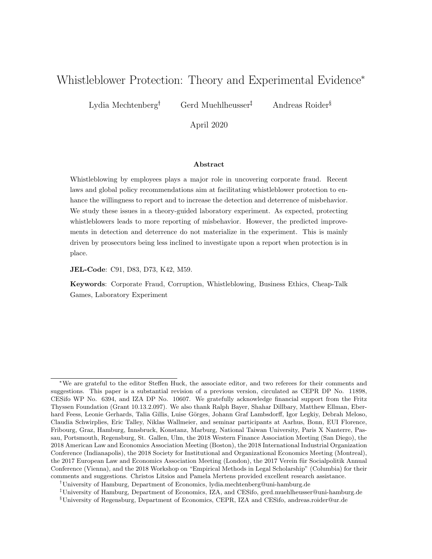# Whistleblower Protection: Theory and Experimental Evidence\*

Lydia Mechtenberg<sup>†</sup> Gerd Muehlheusser<sup>‡</sup> Andreas Roider<sup>§</sup>

April 2020

#### Abstract

Whistleblowing by employees plays a major role in uncovering corporate fraud. Recent laws and global policy recommendations aim at facilitating whistleblower protection to enhance the willingness to report and to increase the detection and deterrence of misbehavior. We study these issues in a theory-guided laboratory experiment. As expected, protecting whistleblowers leads to more reporting of misbehavior. However, the predicted improvements in detection and deterrence do not materialize in the experiment. This is mainly driven by prosecutors being less inclined to investigate upon a report when protection is in place.

JEL-Code: C91, D83, D73, K42, M59.

Keywords: Corporate Fraud, Corruption, Whistleblowing, Business Ethics, Cheap-Talk Games, Laboratory Experiment

<sup>\*</sup>We are grateful to the editor Steffen Huck, the associate editor, and two referees for their comments and suggestions. This paper is a substantial revision of a previous version, circulated as CEPR DP No. 11898, CESifo WP No. 6394, and IZA DP No. 10607. We gratefully acknowledge financial support from the Fritz Thyssen Foundation (Grant 10.13.2.097). We also thank Ralph Bayer, Shahar Dillbary, Matthew Ellman, Eberhard Feess, Leonie Gerhards, Talia Gillis, Luise Görges, Johann Graf Lambsdorff, Igor Legkiy, Debrah Meloso, Claudia Schwirplies, Eric Talley, Niklas Wallmeier, and seminar participants at Aarhus, Bonn, EUI Florence, Fribourg, Graz, Hamburg, Innsbruck, Konstanz, Marburg, National Taiwan University, Paris X Nanterre, Passau, Portsmouth, Regensburg, St. Gallen, Ulm, the 2018 Western Finance Association Meeting (San Diego), the 2018 American Law and Economics Association Meeting (Boston), the 2018 International Industrial Organization Conference (Indianapolis), the 2018 Society for Institutional and Organizational Economics Meeting (Montreal), the 2017 European Law and Economics Association Meeting (London), the 2017 Verein für Socialpolitik Annual Conference (Vienna), and the 2018 Workshop on "Empirical Methods in Legal Scholarship" (Columbia) for their comments and suggestions. Christos Litsios and Pamela Mertens provided excellent research assistance.

University of Hamburg, Department of Economics, lydia.mechtenberg@uni-hamburg.de

University of Hamburg, Department of Economics, IZA, and CESifo, gerd.muehlheusser@uni-hamburg.de §University of Regensburg, Department of Economics, CEPR, IZA and CESifo, andreas.roider@ur.de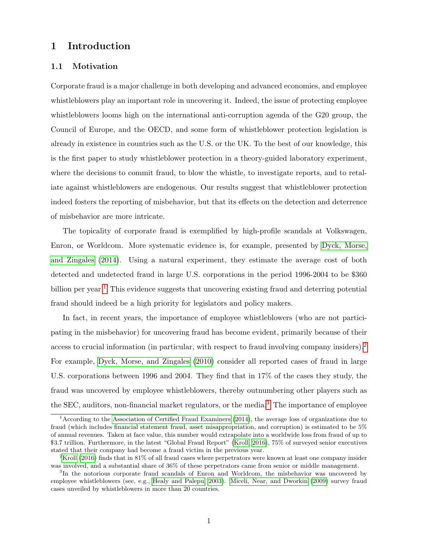## 1 Introduction

## 1.1 Motivation

Corporate fraud is a major challenge in both developing and advanced economies, and employee whistleblowers play an important role in uncovering it. Indeed, the issue of protecting employee whistleblowers looms high on the international anti-corruption agenda of the G20 group, the Council of Europe, and the OECD, and some form of whistleblower protection legislation is already in existence in countries such as the U.S. or the UK. To the best of our knowledge, this is the first paper to study whistleblower protection in a theory-guided laboratory experiment, where the decisions to commit fraud, to blow the whistle, to investigate reports, and to retaliate against whistleblowers are endogenous. Our results suggest that whistleblower protection indeed fosters the reporting of misbehavior, but that its effects on the detection and deterrence of misbehavior are more intricate.

The topicality of corporate fraud is exemplified by high-profile scandals at Volkswagen, Enron, or Worldcom. More systematic evidence is, for example, presented by [Dyck, Morse,](#page-30-0) [and Zingales](#page-30-0) [\(2014\)](#page-30-0). Using a natural experiment, they estimate the average cost of both detected and undetected fraud in large U.S. corporations in the period 1996-2004 to be \$360 billion per year.<sup>[1](#page-1-0)</sup> This evidence suggests that uncovering existing fraud and deterring potential fraud should indeed be a high priority for legislators and policy makers.

In fact, in recent years, the importance of employee whistleblowers (who are not participating in the misbehavior) for uncovering fraud has become evident, primarily because of their access to crucial information (in particular, with respect to fraud involving company insiders).[2](#page-1-1) For example, [Dyck, Morse, and Zingales](#page-30-1) [\(2010\)](#page-30-1) consider all reported cases of fraud in large U.S. corporations between 1996 and 2004. They find that in 17% of the cases they study, the fraud was uncovered by employee whistleblowers, thereby outnumbering other players such as the SEC, auditors, non-financial market regulators, or the media.<sup>[3](#page-1-2)</sup> The importance of employee

<span id="page-1-0"></span><sup>1</sup>According to the [Association of Certified Fraud Examiners](#page-28-0) [\(2014\)](#page-28-0), the average loss of organizations due to fraud (which includes financial statement fraud, asset misappropriation, and corruption) is estimated to be 5% of annual revenues. Taken at face value, this number would extrapolate into a worldwide loss from fraud of up to \$3.7 trillion. Furthermore, in the latest "Global Fraud Report" [\(Kroll, 2016\)](#page-32-0), 75% of surveyed senior executives stated that their company had become a fraud victim in the previous year.

<span id="page-1-1"></span><sup>2</sup>[Kroll](#page-32-0) [\(2016\)](#page-32-0) finds that in 81% of all fraud cases where perpetrators were known at least one company insider was involved, and a substantial share of 36% of these perpetrators came from senior or middle management.

<span id="page-1-2"></span><sup>&</sup>lt;sup>3</sup>In the notorious corporate fraud scandals of Enron and Worldcom, the misbehavior was uncovered by employee whistleblowers (see, e.g., [Healy and Palepu, 2003\)](#page-31-0). [Miceli, Near, and Dworkin](#page-32-1) [\(2009\)](#page-32-1) survey fraud cases unveiled by whistleblowers in more than 20 countries.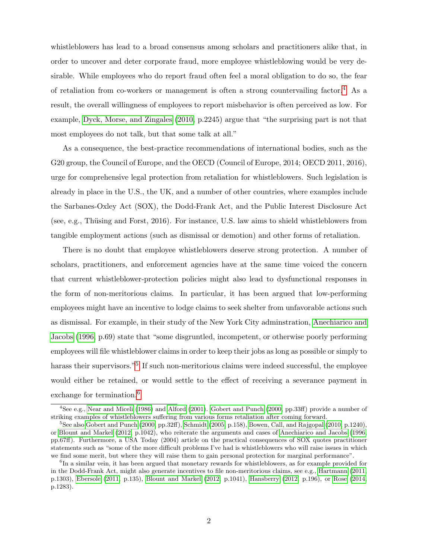whistleblowers has lead to a broad consensus among scholars and practitioners alike that, in order to uncover and deter corporate fraud, more employee whistleblowing would be very desirable. While employees who do report fraud often feel a moral obligation to do so, the fear of retaliation from co-workers or management is often a strong countervailing factor.<sup>[4](#page-2-0)</sup> As a result, the overall willingness of employees to report misbehavior is often perceived as low. For example, [Dyck, Morse, and Zingales](#page-30-1) [\(2010,](#page-30-1) p.2245) argue that "the surprising part is not that most employees do not talk, but that some talk at all."

As a consequence, the best-practice recommendations of international bodies, such as the G20 group, the Council of Europe, and the OECD (Council of Europe, 2014; OECD 2011, 2016), urge for comprehensive legal protection from retaliation for whistleblowers. Such legislation is already in place in the U.S., the UK, and a number of other countries, where examples include the Sarbanes-Oxley Act (SOX), the Dodd-Frank Act, and the Public Interest Disclosure Act (see, e.g., Thüsing and Forst, 2016). For instance, U.S. law aims to shield whistleblowers from tangible employment actions (such as dismissal or demotion) and other forms of retaliation.

There is no doubt that employee whistleblowers deserve strong protection. A number of scholars, practitioners, and enforcement agencies have at the same time voiced the concern that current whistleblower-protection policies might also lead to dysfunctional responses in the form of non-meritorious claims. In particular, it has been argued that low-performing employees might have an incentive to lodge claims to seek shelter from unfavorable actions such as dismissal. For example, in their study of the New York City adminstration, [Anechiarico and](#page-28-1) [Jacobs](#page-28-1) [\(1996,](#page-28-1) p.69) state that "some disgruntled, incompetent, or otherwise poorly performing employees will file whistleblower claims in order to keep their jobs as long as possible or simply to harass their supervisors."<sup>[5](#page-2-1)</sup> If such non-meritorious claims were indeed successful, the employee would either be retained, or would settle to the effect of receiving a severance payment in exchange for termination.<sup>[6](#page-2-2)</sup>

<span id="page-2-0"></span><sup>4</sup>See e.g., [Near and Miceli](#page-32-2) [\(1986\)](#page-32-2) and [Alford](#page-28-2) [\(2001\)](#page-28-2). [Gobert and Punch](#page-31-1) [\(2000,](#page-31-1) pp.33ff) provide a number of striking examples of whistleblowers suffering from various forms retaliation after coming forward.

<span id="page-2-1"></span><sup>&</sup>lt;sup>5</sup>See also [Gobert and Punch](#page-31-1) [\(2000,](#page-31-1) pp.32ff), [Schmidt](#page-33-0) [\(2005,](#page-33-0) p.158), [Bowen, Call, and Rajgopal](#page-29-0) [\(2010,](#page-29-0) p.1240), or [Blount and Markel](#page-29-1) [\(2012,](#page-29-1) p.1042), who reiterate the arguments and cases of [Anechiarico and Jacobs](#page-28-1) [\(1996,](#page-28-1) pp.67ff). Furthermore, a USA Today (2004) article on the practical consequences of SOX quotes practitioner statements such as "some of the more difficult problems I've had is whistleblowers who will raise issues in which we find some merit, but where they will raise them to gain personal protection for marginal performance".

<span id="page-2-2"></span><sup>&</sup>lt;sup>6</sup>In a similar vein, it has been argued that monetary rewards for whistleblowers, as for example provided for in the Dodd-Frank Act, might also generate incentives to file non-meritorious claims, see e.g., [Hartmann](#page-31-2) [\(2011,](#page-31-2) p.1303), [Ebersole](#page-30-2) [\(2011,](#page-30-2) p.135), [Blount and Markel](#page-29-1) [\(2012,](#page-29-1) p.1041), [Hansberry](#page-31-3) [\(2012,](#page-31-3) p.196), or [Rose](#page-33-1) [\(2014,](#page-33-1) p.1283).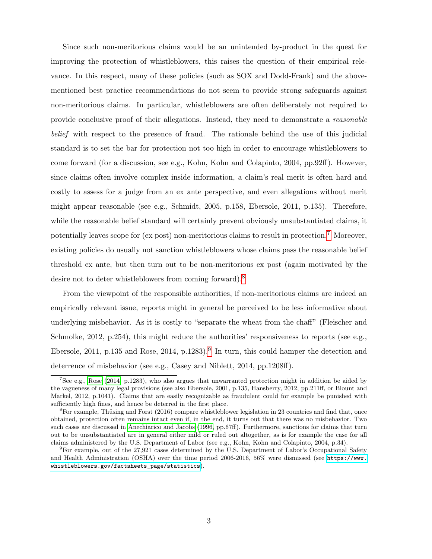Since such non-meritorious claims would be an unintended by-product in the quest for improving the protection of whistleblowers, this raises the question of their empirical relevance. In this respect, many of these policies (such as SOX and Dodd-Frank) and the abovementioned best practice recommendations do not seem to provide strong safeguards against non-meritorious claims. In particular, whistleblowers are often deliberately not required to provide conclusive proof of their allegations. Instead, they need to demonstrate a reasonable belief with respect to the presence of fraud. The rationale behind the use of this judicial standard is to set the bar for protection not too high in order to encourage whistleblowers to come forward (for a discussion, see e.g., Kohn, Kohn and Colapinto, 2004, pp.92ff). However, since claims often involve complex inside information, a claim's real merit is often hard and costly to assess for a judge from an ex ante perspective, and even allegations without merit might appear reasonable (see e.g., Schmidt, 2005, p.158, Ebersole, 2011, p.135). Therefore, while the reasonable belief standard will certainly prevent obviously unsubstantiated claims, it potentially leaves scope for (ex post) non-meritorious claims to result in protection.[7](#page-3-0) Moreover, existing policies do usually not sanction whistleblowers whose claims pass the reasonable belief threshold ex ante, but then turn out to be non-meritorious ex post (again motivated by the desire not to deter whistleblowers from coming forward).[8](#page-3-1)

From the viewpoint of the responsible authorities, if non-meritorious claims are indeed an empirically relevant issue, reports might in general be perceived to be less informative about underlying misbehavior. As it is costly to "separate the wheat from the chaff" (Fleischer and Schmolke, 2012, p.254), this might reduce the authorities' responsiveness to reports (see e.g., Ebersole, 2011, p.135 and Rose, 2014, p.1283).<sup>[9](#page-3-2)</sup> In turn, this could hamper the detection and deterrence of misbehavior (see e.g., Casey and Niblett, 2014, pp.1208ff).

<span id="page-3-0"></span><sup>7</sup>See e.g., [Rose](#page-33-1) [\(2014,](#page-33-1) p.1283), who also argues that unwarranted protection might in addition be aided by the vagueness of many legal provisions (see also Ebersole, 2001, p.135, Hansberry, 2012, pp.211ff, or Blount and Markel, 2012, p.1041). Claims that are easily recognizable as fraudulent could for example be punished with sufficiently high fines, and hence be deterred in the first place.

<span id="page-3-1"></span> ${}^{8}$ For example, Thüsing and Forst (2016) compare whistleblower legislation in 23 countries and find that, once obtained, protection often remains intact even if, in the end, it turns out that there was no misbehavior. Two such cases are discussed in [Anechiarico and Jacobs](#page-28-1) [\(1996,](#page-28-1) pp.67ff). Furthermore, sanctions for claims that turn out to be unsubstantiated are in general either mild or ruled out altogether, as is for example the case for all claims administered by the U.S. Department of Labor (see e.g., Kohn, Kohn and Colapinto, 2004, p.34).

<span id="page-3-2"></span><sup>&</sup>lt;sup>9</sup>For example, out of the 27,921 cases determined by the U.S. Department of Labor's Occupational Safety and Health Administration (OSHA) over the time period 2006-2016, 56% were dismissed (see [https://www.](https://www.whistleblowers.gov/factsheets_page/statistics) [whistleblowers.gov/factsheets\\_page/statistics](https://www.whistleblowers.gov/factsheets_page/statistics)).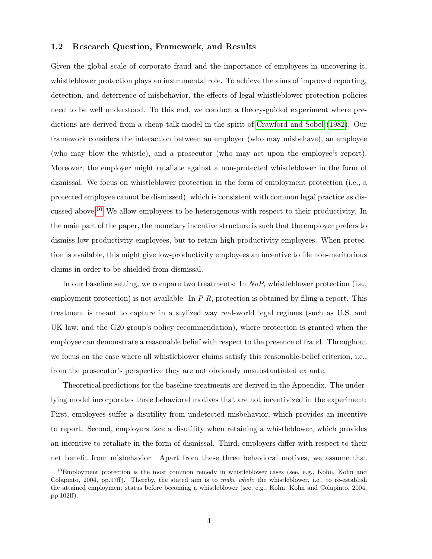#### 1.2 Research Question, Framework, and Results

Given the global scale of corporate fraud and the importance of employees in uncovering it, whistleblower protection plays an instrumental role. To achieve the aims of improved reporting, detection, and deterrence of misbehavior, the effects of legal whistleblower-protection policies need to be well understood. To this end, we conduct a theory-guided experiment where predictions are derived from a cheap-talk model in the spirit of [Crawford and Sobel](#page-30-3) [\(1982\)](#page-30-3). Our framework considers the interaction between an employer (who may misbehave), an employee (who may blow the whistle), and a prosecutor (who may act upon the employee's report). Moreover, the employer might retaliate against a non-protected whistleblower in the form of dismissal. We focus on whistleblower protection in the form of employment protection (i.e., a protected employee cannot be dismissed), which is consistent with common legal practice as discussed above.[10](#page-4-0) We allow employees to be heterogenous with respect to their productivity. In the main part of the paper, the monetary incentive structure is such that the employer prefers to dismiss low-productivity employees, but to retain high-productivity employees. When protection is available, this might give low-productivity employees an incentive to file non-meritorious claims in order to be shielded from dismissal.

In our baseline setting, we compare two treatments: In NoP, whistleblower protection (i.e., employment protection) is not available. In  $P-R$ , protection is obtained by filing a report. This treatment is meant to capture in a stylized way real-world legal regimes (such as U.S. and UK law, and the G20 group's policy recommendation), where protection is granted when the employee can demonstrate a reasonable belief with respect to the presence of fraud. Throughout we focus on the case where all whistleblower claims satisfy this reasonable-belief criterion, i.e., from the prosecutor's perspective they are not obviously unsubstantiated ex ante.

Theoretical predictions for the baseline treatments are derived in the Appendix. The underlying model incorporates three behavioral motives that are not incentivized in the experiment: First, employees suffer a disutility from undetected misbehavior, which provides an incentive to report. Second, employers face a disutility when retaining a whistleblower, which provides an incentive to retaliate in the form of dismissal. Third, employers differ with respect to their net benefit from misbehavior. Apart from these three behavioral motives, we assume that

<span id="page-4-0"></span><sup>&</sup>lt;sup>10</sup>Employment protection is the most common remedy in whistleblower cases (see, e.g., Kohn, Kohn and Colapinto, 2004, pp.97ff). Thereby, the stated aim is to make whole the whistleblower, i.e., to re-establish the attained employment status before becoming a whistleblower (see, e.g., Kohn, Kohn and Colapinto, 2004, pp.102ff).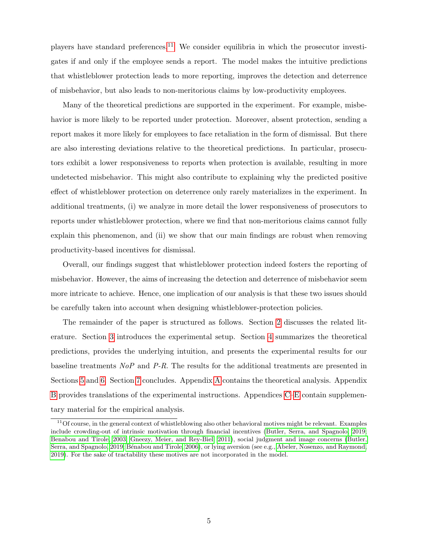players have standard preferences.<sup>[11](#page-5-0)</sup> We consider equilibria in which the prosecutor investigates if and only if the employee sends a report. The model makes the intuitive predictions that whistleblower protection leads to more reporting, improves the detection and deterrence of misbehavior, but also leads to non-meritorious claims by low-productivity employees.

Many of the theoretical predictions are supported in the experiment. For example, misbehavior is more likely to be reported under protection. Moreover, absent protection, sending a report makes it more likely for employees to face retaliation in the form of dismissal. But there are also interesting deviations relative to the theoretical predictions. In particular, prosecutors exhibit a lower responsiveness to reports when protection is available, resulting in more undetected misbehavior. This might also contribute to explaining why the predicted positive effect of whistleblower protection on deterrence only rarely materializes in the experiment. In additional treatments, (i) we analyze in more detail the lower responsiveness of prosecutors to reports under whistleblower protection, where we find that non-meritorious claims cannot fully explain this phenomenon, and (ii) we show that our main findings are robust when removing productivity-based incentives for dismissal.

Overall, our findings suggest that whistleblower protection indeed fosters the reporting of misbehavior. However, the aims of increasing the detection and deterrence of misbehavior seem more intricate to achieve. Hence, one implication of our analysis is that these two issues should be carefully taken into account when designing whistleblower-protection policies.

The remainder of the paper is structured as follows. Section [2](#page-6-0) discusses the related literature. Section [3](#page-8-0) introduces the experimental setup. Section [4](#page-12-0) summarizes the theoretical predictions, provides the underlying intuition, and presents the experimental results for our baseline treatments NoP and P-R. The results for the additional treatments are presented in Sections [5](#page-20-0) and [6.](#page-23-0) Section [7](#page-26-0) concludes. Appendix [A](#page-34-0) contains the theoretical analysis. Appendix [B](#page-44-0) provides translations of the experimental instructions. Appendices [C–](#page-53-0)[E](#page-63-0) contain supplementary material for the empirical analysis.

<span id="page-5-0"></span> $11$ Of course, in the general context of whistleblowing also other behavioral motives might be relevant. Examples include crowding-out of intrinsic motivation through financial incentives [\(Butler, Serra, and Spagnolo, 2019;](#page-29-2) [Benabou and Tirole, 2003;](#page-29-3) [Gneezy, Meier, and Rey-Biel, 2011\)](#page-31-4), social judgment and image concerns [\(Butler,](#page-29-2) [Serra, and Spagnolo, 2019;](#page-29-2) Bénabou and Tirole, 2006), or lying aversion (see e.g., [Abeler, Nosenzo, and Raymond,](#page-28-3) [2019\)](#page-28-3). For the sake of tractability these motives are not incorporated in the model.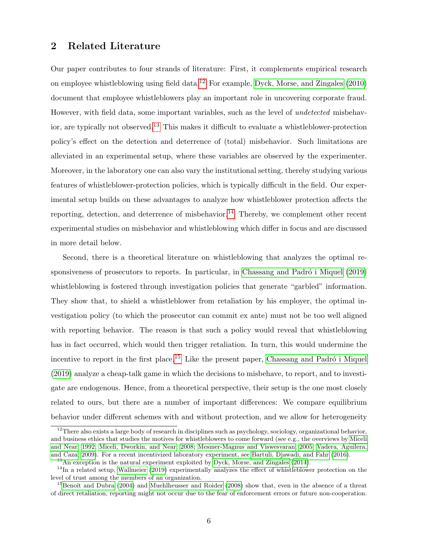## <span id="page-6-0"></span>2 Related Literature

Our paper contributes to four strands of literature: First, it complements empirical research on employee whistleblowing using field data.<sup>[12](#page-6-1)</sup> For example, [Dyck, Morse, and Zingales](#page-30-1)  $(2010)$ document that employee whistleblowers play an important role in uncovering corporate fraud. However, with field data, some important variables, such as the level of undetected misbehavior, are typically not observed.[13](#page-6-2) This makes it difficult to evaluate a whistleblower-protection policy's effect on the detection and deterrence of (total) misbehavior. Such limitations are alleviated in an experimental setup, where these variables are observed by the experimenter. Moreover, in the laboratory one can also vary the institutional setting, thereby studying various features of whistleblower-protection policies, which is typically difficult in the field. Our experimental setup builds on these advantages to analyze how whistleblower protection affects the reporting, detection, and deterrence of misbehavior.<sup>[14](#page-6-3)</sup> Thereby, we complement other recent experimental studies on misbehavior and whistleblowing which differ in focus and are discussed in more detail below.

Second, there is a theoretical literature on whistleblowing that analyzes the optimal re-sponsiveness of prosecutors to reports. In particular, in Chassang and Padró i Miquel [\(2019\)](#page-29-5) whistleblowing is fostered through investigation policies that generate "garbled" information. They show that, to shield a whistleblower from retaliation by his employer, the optimal investigation policy (to which the prosecutor can commit ex ante) must not be too well aligned with reporting behavior. The reason is that such a policy would reveal that whistleblowing has in fact occurred, which would then trigger retaliation. In turn, this would undermine the incentive to report in the first place.<sup>[15](#page-6-4)</sup> Like the present paper, Chassang and Padró i Miquel [\(2019\)](#page-29-5) analyze a cheap-talk game in which the decisions to misbehave, to report, and to investigate are endogenous. Hence, from a theoretical perspective, their setup is the one most closely related to ours, but there are a number of important differences: We compare equilibrium behavior under different schemes with and without protection, and we allow for heterogeneity

<span id="page-6-1"></span> $12$ There also exists a large body of research in disciplines such as psychology, sociology, organizational behavior, and business ethics that studies the motives for whistleblowers to come forward (see e.g., the overviews by [Miceli](#page-32-3) [and Near, 1992;](#page-32-3) [Miceli, Dworkin, and Near, 2008;](#page-32-4) [Mesmer-Magnus and Viswesvaran, 2005;](#page-32-5) [Vadera, Aguilera,](#page-33-2) [and Caza, 2009\)](#page-33-2). For a recent incentivized laboratory experiment, see [Bartuli, Djawadi, and Fahr](#page-28-4) [\(2016\)](#page-28-4).

<span id="page-6-3"></span><span id="page-6-2"></span><sup>13</sup>An exception is the natural experiment exploited by [Dyck, Morse, and Zingales](#page-30-0) [\(2014\)](#page-30-0).

<sup>&</sup>lt;sup>14</sup>In a related setup, [Wallmeier](#page-33-3) [\(2019\)](#page-33-3) experimentally analyzes the effect of whistleblower protection on the level of trust among the members of an organization.

<span id="page-6-4"></span> $15$ Benoît and Dubra [\(2004\)](#page-29-6) and [Muehlheusser and Roider](#page-32-6) [\(2008\)](#page-32-6) show that, even in the absence of a threat of direct retaliation, reporting might not occur due to the fear of enforcement errors or future non-cooperation.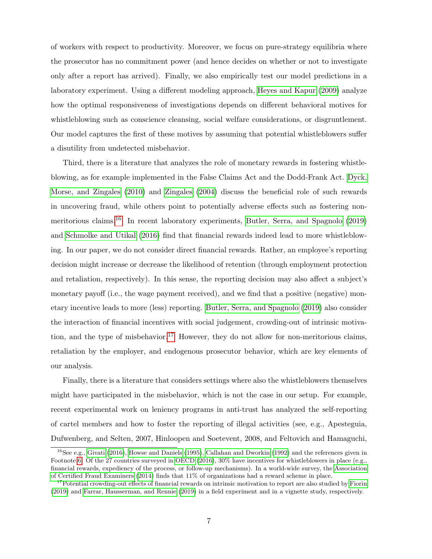of workers with respect to productivity. Moreover, we focus on pure-strategy equilibria where the prosecutor has no commitment power (and hence decides on whether or not to investigate only after a report has arrived). Finally, we also empirically test our model predictions in a laboratory experiment. Using a different modeling approach, [Heyes and Kapur](#page-31-5) [\(2009\)](#page-31-5) analyze how the optimal responsiveness of investigations depends on different behavioral motives for whistleblowing such as conscience cleansing, social welfare considerations, or disgruntlement. Our model captures the first of these motives by assuming that potential whistleblowers suffer a disutility from undetected misbehavior.

Third, there is a literature that analyzes the role of monetary rewards in fostering whistleblowing, as for example implemented in the False Claims Act and the Dodd-Frank Act. [Dyck,](#page-30-1) [Morse, and Zingales](#page-30-1) [\(2010\)](#page-30-1) and [Zingales](#page-33-4) [\(2004\)](#page-33-4) discuss the beneficial role of such rewards in uncovering fraud, while others point to potentially adverse effects such as fostering nonmeritorious claims.[16](#page-7-0) In recent laboratory experiments, [Butler, Serra, and Spagnolo](#page-29-2) [\(2019\)](#page-29-2) and [Schmolke and Utikal](#page-33-5) [\(2016\)](#page-33-5) find that financial rewards indeed lead to more whistleblowing. In our paper, we do not consider direct financial rewards. Rather, an employee's reporting decision might increase or decrease the likelihood of retention (through employment protection and retaliation, respectively). In this sense, the reporting decision may also affect a subject's monetary payoff (i.e., the wage payment received), and we find that a positive (negative) monetary incentive leads to more (less) reporting. [Butler, Serra, and Spagnolo](#page-29-2) [\(2019\)](#page-29-2) also consider the interaction of financial incentives with social judgement, crowding-out of intrinsic motiva-tion, and the type of misbehavior.<sup>[17](#page-7-1)</sup> However, they do not allow for non-meritorious claims, retaliation by the employer, and endogenous prosecutor behavior, which are key elements of our analysis.

Finally, there is a literature that considers settings where also the whistleblowers themselves might have participated in the misbehavior, which is not the case in our setup. For example, recent experimental work on leniency programs in anti-trust has analyzed the self-reporting of cartel members and how to foster the reporting of illegal activities (see, e.g., Apesteguia, Dufwenberg, and Selten, 2007, Hinloopen and Soetevent, 2008, and Feltovich and Hamaguchi,

<span id="page-7-0"></span> $^{16}$ See e.g., [Givati](#page-31-6) [\(2016\)](#page-31-6), [Howse and Daniels](#page-31-7) [\(1995\)](#page-31-7), [Callahan and Dworkin](#page-29-7) [\(1992\)](#page-29-7) and the references given in Footnote [6.](#page-2-2) Of the 27 countries surveyed in [OECD](#page-33-6) [\(2016\)](#page-33-6), 30% have incentives for whistleblowers in place (e.g., financial rewards, expediency of the process, or follow-up mechanisms). In a world-wide survey, the [Association](#page-28-0) [of Certified Fraud Examiners](#page-28-0) [\(2014\)](#page-28-0) finds that 11% of organizations had a reward scheme in place.

<span id="page-7-1"></span><sup>&</sup>lt;sup>17</sup>Potential crowding-out effects of financial rewards on intrinsic motivation to report are also studied by [Fiorin](#page-30-4) [\(2019\)](#page-30-4) and [Farrar, Hausserman, and Rennie](#page-30-5) [\(2019\)](#page-30-5) in a field experiment and in a vignette study, respectively.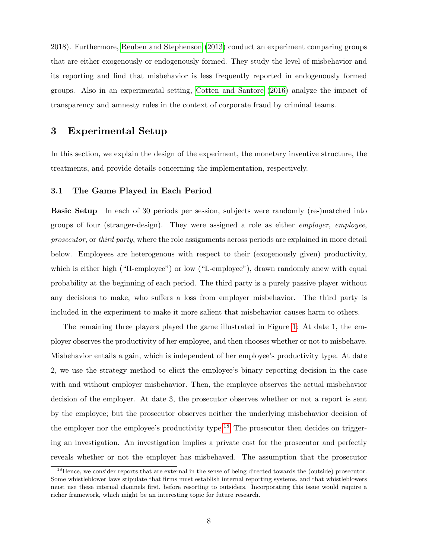2018). Furthermore, [Reuben and Stephenson](#page-33-7) [\(2013\)](#page-33-7) conduct an experiment comparing groups that are either exogenously or endogenously formed. They study the level of misbehavior and its reporting and find that misbehavior is less frequently reported in endogenously formed groups. Also in an experimental setting, [Cotten and Santore](#page-30-6) [\(2016\)](#page-30-6) analyze the impact of transparency and amnesty rules in the context of corporate fraud by criminal teams.

## <span id="page-8-0"></span>3 Experimental Setup

In this section, we explain the design of the experiment, the monetary inventive structure, the treatments, and provide details concerning the implementation, respectively.

### <span id="page-8-2"></span>3.1 The Game Played in Each Period

Basic Setup In each of 30 periods per session, subjects were randomly (re-)matched into groups of four (stranger-design). They were assigned a role as either employer, employee, prosecutor, or third party, where the role assignments across periods are explained in more detail below. Employees are heterogenous with respect to their (exogenously given) productivity, which is either high ("H-employee") or low ("L-employee"), drawn randomly anew with equal probability at the beginning of each period. The third party is a purely passive player without any decisions to make, who suffers a loss from employer misbehavior. The third party is included in the experiment to make it more salient that misbehavior causes harm to others.

The remaining three players played the game illustrated in Figure [1:](#page-9-0) At date 1, the employer observes the productivity of her employee, and then chooses whether or not to misbehave. Misbehavior entails a gain, which is independent of her employee's productivity type. At date 2, we use the strategy method to elicit the employee's binary reporting decision in the case with and without employer misbehavior. Then, the employee observes the actual misbehavior decision of the employer. At date 3, the prosecutor observes whether or not a report is sent by the employee; but the prosecutor observes neither the underlying misbehavior decision of the employer nor the employee's productivity type.<sup>[18](#page-8-1)</sup> The prosecutor then decides on triggering an investigation. An investigation implies a private cost for the prosecutor and perfectly reveals whether or not the employer has misbehaved. The assumption that the prosecutor

<span id="page-8-1"></span><sup>&</sup>lt;sup>18</sup>Hence, we consider reports that are external in the sense of being directed towards the (outside) prosecutor. Some whistleblower laws stipulate that firms must establish internal reporting systems, and that whistleblowers must use these internal channels first, before resorting to outsiders. Incorporating this issue would require a richer framework, which might be an interesting topic for future research.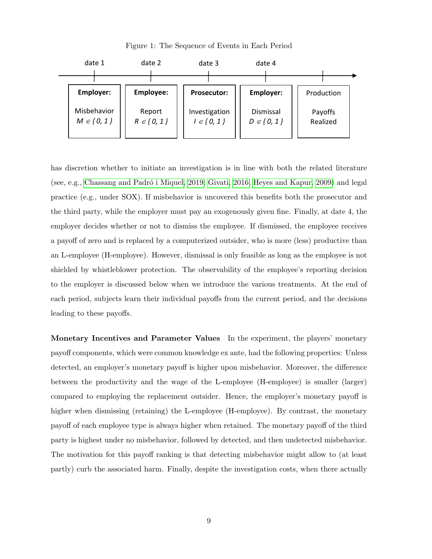Figure 1: The Sequence of Events in Each Period

<span id="page-9-0"></span>

has discretion whether to initiate an investigation is in line with both the related literature (see, e.g., Chassang and Padró i Miquel, 2019; [Givati, 2016;](#page-31-6) [Heyes and Kapur, 2009\)](#page-31-5) and legal practice (e.g., under SOX). If misbehavior is uncovered this benefits both the prosecutor and the third party, while the employer must pay an exogenously given fine. Finally, at date 4, the employer decides whether or not to dismiss the employee. If dismissed, the employee receives a payoff of zero and is replaced by a computerized outsider, who is more (less) productive than an L-employee (H-employee). However, dismissal is only feasible as long as the employee is not shielded by whistleblower protection. The observability of the employee's reporting decision to the employer is discussed below when we introduce the various treatments. At the end of each period, subjects learn their individual payoffs from the current period, and the decisions leading to these payoffs.

Monetary Incentives and Parameter Values In the experiment, the players' monetary payoff components, which were common knowledge ex ante, had the following properties: Unless detected, an employer's monetary payoff is higher upon misbehavior. Moreover, the difference between the productivity and the wage of the L-employee (H-employee) is smaller (larger) compared to employing the replacement outsider. Hence, the employer's monetary payoff is higher when dismissing (retaining) the L-employee (H-employee). By contrast, the monetary payoff of each employee type is always higher when retained. The monetary payoff of the third party is highest under no misbehavior, followed by detected, and then undetected misbehavior. The motivation for this payoff ranking is that detecting misbehavior might allow to (at least partly) curb the associated harm. Finally, despite the investigation costs, when there actually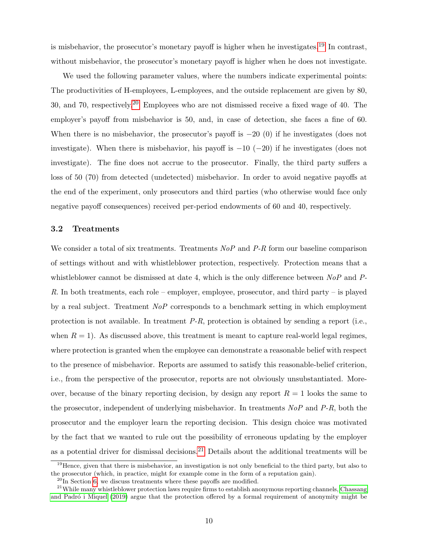is misbehavior, the prosecutor's monetary payoff is higher when he investigates.<sup>[19](#page-10-0)</sup> In contrast, without misbehavior, the prosecutor's monetary payoff is higher when he does not investigate.

We used the following parameter values, where the numbers indicate experimental points: The productivities of H-employees, L-employees, and the outside replacement are given by 80, 30, and 70, respectively.<sup>[20](#page-10-1)</sup> Employees who are not dismissed receive a fixed wage of 40. The employer's payoff from misbehavior is 50, and, in case of detection, she faces a fine of 60. When there is no misbehavior, the prosecutor's payoff is  $-20$  (0) if he investigates (does not investigate). When there is misbehavior, his payoff is  $-10$  ( $-20$ ) if he investigates (does not investigate). The fine does not accrue to the prosecutor. Finally, the third party suffers a loss of 50 (70) from detected (undetected) misbehavior. In order to avoid negative payoffs at the end of the experiment, only prosecutors and third parties (who otherwise would face only negative payoff consequences) received per-period endowments of 60 and 40, respectively.

### <span id="page-10-3"></span>3.2 Treatments

We consider a total of six treatments. Treatments  $NoP$  and  $P-R$  form our baseline comparison of settings without and with whistleblower protection, respectively. Protection means that a whistleblower cannot be dismissed at date 4, which is the only difference between  $N \circ P$  and P-R. In both treatments, each role – employer, employee, prosecutor, and third party – is played by a real subject. Treatment  $NoP$  corresponds to a benchmark setting in which employment protection is not available. In treatment  $P-R$ , protection is obtained by sending a report (i.e., when  $R = 1$ ). As discussed above, this treatment is meant to capture real-world legal regimes, where protection is granted when the employee can demonstrate a reasonable belief with respect to the presence of misbehavior. Reports are assumed to satisfy this reasonable-belief criterion, i.e., from the perspective of the prosecutor, reports are not obviously unsubstantiated. Moreover, because of the binary reporting decision, by design any report  $R = 1$  looks the same to the prosecutor, independent of underlying misbehavior. In treatments  $NoP$  and  $P-R$ , both the prosecutor and the employer learn the reporting decision. This design choice was motivated by the fact that we wanted to rule out the possibility of erroneous updating by the employer as a potential driver for dismissal decisions.<sup>[21](#page-10-2)</sup> Details about the additional treatments will be

<span id="page-10-0"></span><sup>&</sup>lt;sup>19</sup>Hence, given that there is misbehavior, an investigation is not only beneficial to the third party, but also to the prosecutor (which, in practice, might for example come in the form of a reputation gain).

<span id="page-10-2"></span><span id="page-10-1"></span> ${}^{20}$ In Section [6,](#page-23-0) we discuss treatments where these payoffs are modified.

<sup>&</sup>lt;sup>21</sup>While many whistleblower protection laws require firms to establish anonymous reporting channels, [Chassang](#page-29-5) and Padró i Miquel [\(2019\)](#page-29-5) argue that the protection offered by a formal requirement of anonymity might be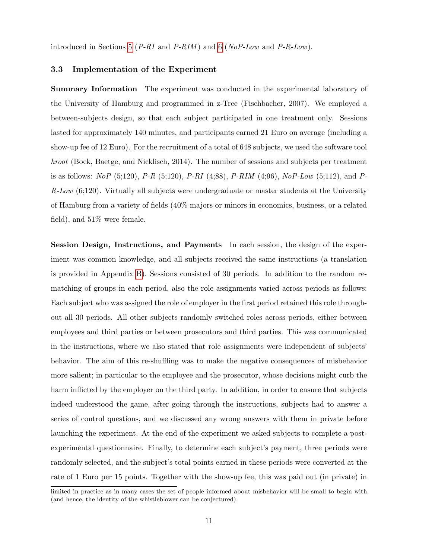introduced in Sections [5](#page-20-0) ( $P-RI$  and  $P-RIM$ ) and [6](#page-23-0) ( $NoP-Low$  and  $P-R-Low$ ).

### 3.3 Implementation of the Experiment

Summary Information The experiment was conducted in the experimental laboratory of the University of Hamburg and programmed in z-Tree (Fischbacher, 2007). We employed a between-subjects design, so that each subject participated in one treatment only. Sessions lasted for approximately 140 minutes, and participants earned 21 Euro on average (including a show-up fee of 12 Euro). For the recruitment of a total of 648 subjects, we used the software tool hroot (Bock, Baetge, and Nicklisch, 2014). The number of sessions and subjects per treatment is as follows: NoP  $(5,120)$ , P-R  $(5,120)$ , P-RI  $(4,88)$ , P-RIM  $(4,96)$ , NoP-Low  $(5,112)$ , and P- $R\text{-}Low (6;120)$ . Virtually all subjects were undergraduate or master students at the University of Hamburg from a variety of fields (40% majors or minors in economics, business, or a related field), and 51% were female.

Session Design, Instructions, and Payments In each session, the design of the experiment was common knowledge, and all subjects received the same instructions (a translation is provided in Appendix [B\)](#page-44-0). Sessions consisted of 30 periods. In addition to the random rematching of groups in each period, also the role assignments varied across periods as follows: Each subject who was assigned the role of employer in the first period retained this role throughout all 30 periods. All other subjects randomly switched roles across periods, either between employees and third parties or between prosecutors and third parties. This was communicated in the instructions, where we also stated that role assignments were independent of subjects' behavior. The aim of this re-shuffling was to make the negative consequences of misbehavior more salient; in particular to the employee and the prosecutor, whose decisions might curb the harm inflicted by the employer on the third party. In addition, in order to ensure that subjects indeed understood the game, after going through the instructions, subjects had to answer a series of control questions, and we discussed any wrong answers with them in private before launching the experiment. At the end of the experiment we asked subjects to complete a postexperimental questionnaire. Finally, to determine each subject's payment, three periods were randomly selected, and the subject's total points earned in these periods were converted at the rate of 1 Euro per 15 points. Together with the show-up fee, this was paid out (in private) in

limited in practice as in many cases the set of people informed about misbehavior will be small to begin with (and hence, the identity of the whistleblower can be conjectured).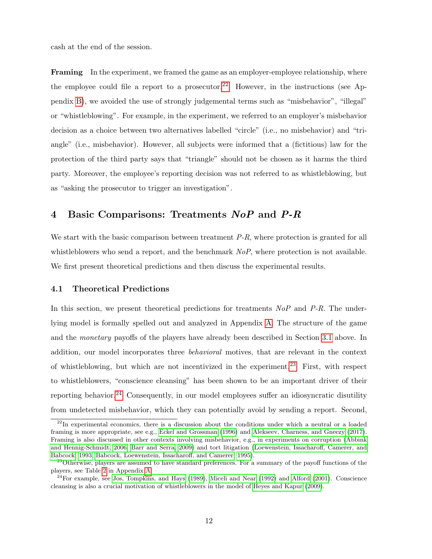cash at the end of the session.

Framing In the experiment, we framed the game as an employer-employee relationship, where the employee could file a report to a prosecutor.<sup>[22](#page-12-1)</sup> However, in the instructions (see Appendix [B\)](#page-44-0), we avoided the use of strongly judgemental terms such as "misbehavior", "illegal" or "whistleblowing". For example, in the experiment, we referred to an employer's misbehavior decision as a choice between two alternatives labelled "circle" (i.e., no misbehavior) and "triangle" (i.e., misbehavior). However, all subjects were informed that a (fictitious) law for the protection of the third party says that "triangle" should not be chosen as it harms the third party. Moreover, the employee's reporting decision was not referred to as whistleblowing, but as "asking the prosecutor to trigger an investigation".

## <span id="page-12-0"></span>4 Basic Comparisons: Treatments NoP and P-R

We start with the basic comparison between treatment  $P-R$ , where protection is granted for all whistleblowers who send a report, and the benchmark NoP, where protection is not available. We first present theoretical predictions and then discuss the experimental results.

#### <span id="page-12-4"></span>4.1 Theoretical Predictions

In this section, we present theoretical predictions for treatments  $N \circ P$  and  $P-R$ . The underlying model is formally spelled out and analyzed in Appendix [A.](#page-34-0) The structure of the game and the monetary payoffs of the players have already been described in Section [3.1](#page-8-2) above. In addition, our model incorporates three behavioral motives, that are relevant in the context of whistleblowing, but which are not incentivized in the experiment.<sup>[23](#page-12-2)</sup> First, with respect to whistleblowers, "conscience cleansing" has been shown to be an important driver of their reporting behavior.<sup>[24](#page-12-3)</sup> Consequently, in our model employees suffer an idiosyncratic disutility from undetected misbehavior, which they can potentially avoid by sending a report. Second,

<span id="page-12-1"></span><sup>&</sup>lt;sup>22</sup>In experimental economics, there is a discussion about the conditions under which a neutral or a loaded framing is more appropriate, see e.g., [Eckel and Grossman](#page-30-7) [\(1996\)](#page-30-7) and [Alekseev, Charness, and Gneezy](#page-28-5) [\(2017\)](#page-28-5). Framing is also discussed in other contexts involving misbehavior, e.g., in experiments on corruption [\(Abbink](#page-28-6) [and Hennig-Schmidt, 2006;](#page-28-6) [Barr and Serra, 2009\)](#page-28-7) and tort litigation [\(Loewenstein, Issacharoff, Camerer, and](#page-32-7) [Babcock, 1993;](#page-32-7) [Babcock, Loewenstein, Issacharoff, and Camerer, 1995\)](#page-28-8).

<span id="page-12-2"></span><sup>&</sup>lt;sup>23</sup>Otherwise, players are assumed to have standard preferences. For a summary of the payoff functions of the players, see Table [2](#page-36-0) in Appendix [A.](#page-34-0)

<span id="page-12-3"></span> $^{24}$ For example, see [Jos, Tompkins, and Hays](#page-32-8) [\(1989\)](#page-32-8), [Miceli and Near](#page-32-3) [\(1992\)](#page-32-3) and [Alford](#page-28-2) [\(2001\)](#page-28-2). Conscience cleansing is also a crucial motivation of whistleblowers in the model of [Heyes and Kapur](#page-31-5) [\(2009\)](#page-31-5).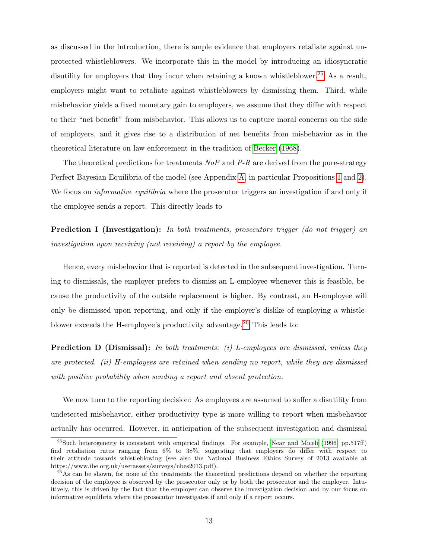as discussed in the Introduction, there is ample evidence that employers retaliate against unprotected whistleblowers. We incorporate this in the model by introducing an idiosyncratic disutility for employers that they incur when retaining a known whistleblower.<sup>[25](#page-13-0)</sup> As a result, employers might want to retaliate against whistleblowers by dismissing them. Third, while misbehavior yields a fixed monetary gain to employers, we assume that they differ with respect to their "net benefit" from misbehavior. This allows us to capture moral concerns on the side of employers, and it gives rise to a distribution of net benefits from misbehavior as in the theoretical literature on law enforcement in the tradition of [Becker](#page-28-9) [\(1968\)](#page-28-9).

The theoretical predictions for treatments  $N \circ P$  and  $P-R$  are derived from the pure-strategy Perfect Bayesian Equilibria of the model (see Appendix [A,](#page-34-0) in particular Propositions [1](#page-40-0) and [2\)](#page-43-0). We focus on *informative equilibria* where the prosecutor triggers an investigation if and only if the employee sends a report. This directly leads to

**Prediction I (Investigation):** In both treatments, prosecutors trigger (do not trigger) an investigation upon receiving (not receiving) a report by the employee.

Hence, every misbehavior that is reported is detected in the subsequent investigation. Turning to dismissals, the employer prefers to dismiss an L-employee whenever this is feasible, because the productivity of the outside replacement is higher. By contrast, an H-employee will only be dismissed upon reporting, and only if the employer's dislike of employing a whistle-blower exceeds the H-employee's productivity advantage.<sup>[26](#page-13-1)</sup> This leads to:

**Prediction D (Dismissal):** In both treatments: (i) L-employees are dismissed, unless they are protected. (ii) H-employees are retained when sending no report, while they are dismissed with positive probability when sending a report and absent protection.

We now turn to the reporting decision: As employees are assumed to suffer a disutility from undetected misbehavior, either productivity type is more willing to report when misbehavior actually has occurred. However, in anticipation of the subsequent investigation and dismissal

<span id="page-13-0"></span><sup>&</sup>lt;sup>25</sup>Such heterogeneity is consistent with empirical findings. For example, [Near and Miceli](#page-32-9) [\(1996,](#page-32-9) pp.517ff) find retaliation rates ranging from 6% to 38%, suggesting that employers do differ with respect to their attitude towards whistleblowing (see also the National Business Ethics Survey of 2013 available at https://www.ibe.org.uk/userassets/surveys/nbes2013.pdf).

<span id="page-13-1"></span> $^{26}$ As can be shown, for none of the treatments the theoretical predictions depend on whether the reporting decision of the employee is observed by the prosecutor only or by both the prosecutor and the employer. Intuitively, this is driven by the fact that the employer can observe the investigation decision and by our focus on informative equilibria where the prosecutor investigates if and only if a report occurs.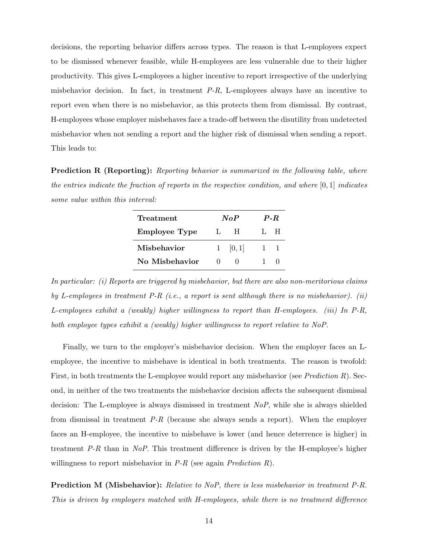decisions, the reporting behavior differs across types. The reason is that L-employees expect to be dismissed whenever feasible, while H-employees are less vulnerable due to their higher productivity. This gives L-employees a higher incentive to report irrespective of the underlying misbehavior decision. In fact, in treatment  $P-R$ , L-employees always have an incentive to report even when there is no misbehavior, as this protects them from dismissal. By contrast, H-employees whose employer misbehaves face a trade-off between the disutility from undetected misbehavior when not sending a report and the higher risk of dismissal when sending a report. This leads to:

**Prediction R (Reporting):** Reporting behavior is summarized in the following table, where the entries indicate the fraction of reports in the respective condition, and where  $[0, 1]$  indicates some value within this interval:

| Treatment            |    | $N \alpha P$    | $P - R$ |  |  |
|----------------------|----|-----------------|---------|--|--|
| <b>Employee Type</b> | Ι, | -н              | Н.      |  |  |
| <b>Mishehavior</b>   |    | $1 \quad [0,1]$ |         |  |  |
| No Misbehavior       |    |                 |         |  |  |

In particular: (i) Reports are triggered by misbehavior, but there are also non-meritorious claims by L-employees in treatment  $P-R$  (i.e., a report is sent although there is no misbehavior). (ii) L-employees exhibit a (weakly) higher willingness to report than H-employees. (iii) In P-R, both employee types exhibit a (weakly) higher willingness to report relative to NoP.

Finally, we turn to the employer's misbehavior decision. When the employer faces an Lemployee, the incentive to misbehave is identical in both treatments. The reason is twofold: First, in both treatments the L-employee would report any misbehavior (see *Prediction R*). Second, in neither of the two treatments the misbehavior decision affects the subsequent dismissal decision: The L-employee is always dismissed in treatment NoP, while she is always shielded from dismissal in treatment  $P-R$  (because she always sends a report). When the employer faces an H-employee, the incentive to misbehave is lower (and hence deterrence is higher) in treatment  $P-R$  than in NoP. This treatment difference is driven by the H-employee's higher willingness to report misbehavior in  $P-R$  (see again Prediction R).

Prediction M (Misbehavior): Relative to NoP, there is less misbehavior in treatment P-R. This is driven by employers matched with H-employees, while there is no treatment difference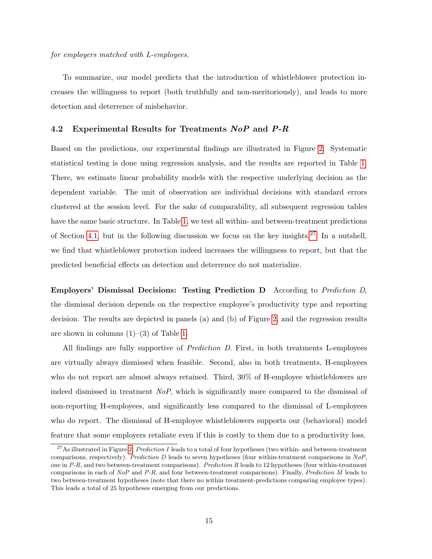#### for employers matched with L-employees.

To summarize, our model predicts that the introduction of whistleblower protection increases the willingness to report (both truthfully and non-meritoriously), and leads to more detection and deterrence of misbehavior.

### 4.2 Experimental Results for Treatments NoP and P-R

Based on the predictions, our experimental findings are illustrated in Figure [2.](#page-16-0) Systematic statistical testing is done using regression analysis, and the results are reported in Table [1.](#page-17-0) There, we estimate linear probability models with the respective underlying decision as the dependent variable. The unit of observation are individual decisions with standard errors clustered at the session level. For the sake of comparability, all subsequent regression tables have the same basic structure. In Table [1,](#page-17-0) we test all within- and between-treatment predictions of Section [4.1,](#page-12-4) but in the following discussion we focus on the key insights.<sup>[27](#page-15-0)</sup> In a nutshell, we find that whistleblower protection indeed increases the willingness to report, but that the predicted beneficial effects on detection and deterrence do not materialize.

Employers' Dismissal Decisions: Testing Prediction D According to Prediction D, the dismissal decision depends on the respective employee's productivity type and reporting decision. The results are depicted in panels (a) and (b) of Figure [2,](#page-16-0) and the regression results are shown in columns  $(1)-(3)$  of Table [1.](#page-17-0)

All findings are fully supportive of *Prediction D.* First, in both treatments L-employees are virtually always dismissed when feasible. Second, also in both treatments, H-employees who do not report are almost always retained. Third,  $30\%$  of H-employee whistleblowers are indeed dismissed in treatment  $NoP$ , which is significantly more compared to the dismissal of non-reporting H-employees, and significantly less compared to the dismissal of L-employees who do report. The dismissal of H-employee whistleblowers supports our (behavioral) model feature that some employers retaliate even if this is costly to them due to a productivity loss.

<span id="page-15-0"></span><sup>&</sup>lt;sup>27</sup>As illustrated in Figure [2,](#page-16-0) *Prediction I* leads to a total of four hypotheses (two within- and between-treatment comparisons, respectively). Prediction D leads to seven hypotheses (four within-treatment comparisons in NoP, one in P-R, and two between-treatment comparisons). Prediction R leads to 12 hypotheses (four within-treatment comparisons in each of  $NoP$  and  $P-R$ , and four between-treatment comparisons). Finally, Prediction M leads to two between-treatment hypotheses (note that there no within treatment-predictions comparing employee types). This leads a total of 25 hypotheses emerging from our predictions.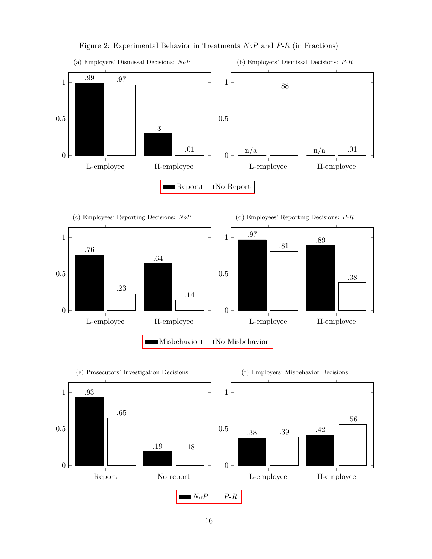<span id="page-16-0"></span>

Figure 2: Experimental Behavior in Treatments NoP and P-R (in Fractions)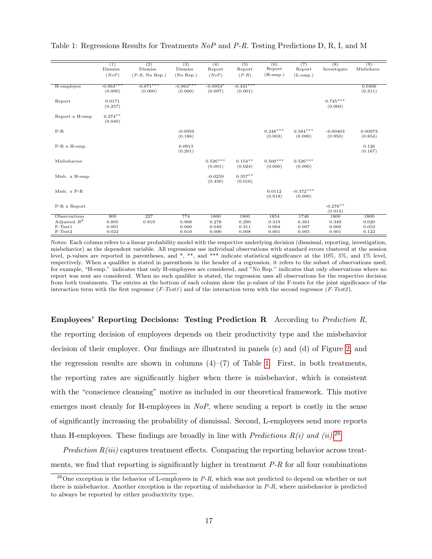|                 | (1)<br>Dismiss         | (2)<br>Dismiss         | (3)<br>Dismiss         | (4)<br>Report         | $\overline{(5)}$<br>Report | (6)<br>Report     | (7)<br>Report          | (8)<br>Investigate    | (9)<br>Misbehave  |
|-----------------|------------------------|------------------------|------------------------|-----------------------|----------------------------|-------------------|------------------------|-----------------------|-------------------|
|                 | (NoP)                  | $(P-R, No Rep.)$       | (No Rep.)              | (NoP)                 | $(P-R)$                    | $(H-emp.)$        | $(L-emp.)$             |                       |                   |
|                 |                        |                        |                        |                       |                            |                   |                        |                       |                   |
| H-employee      | $-0.963***$<br>(0.000) | $-0.871***$<br>(0.000) | $-0.963***$<br>(0.000) | $-0.0953*$<br>(0.097) | $-0.431***$<br>(0.001)     |                   |                        |                       | 0.0406<br>(0.311) |
|                 |                        |                        |                        |                       |                            |                   |                        |                       |                   |
| Report          | 0.0171                 |                        |                        |                       |                            |                   |                        | $0.745***$            |                   |
|                 | (0.257)                |                        |                        |                       |                            |                   |                        | (0.000)               |                   |
| Report x H-emp. | $0.274***$             |                        |                        |                       |                            |                   |                        |                       |                   |
|                 | (0.040)                |                        |                        |                       |                            |                   |                        |                       |                   |
| $P-R$           |                        |                        | $-0.0959$              |                       |                            | $0.248***$        | $0.584***$             | $-0.00403$            | 0.00973           |
|                 |                        |                        | (0.186)                |                       |                            | (0.003)           | (0.000)                | (0.950)               | (0.854)           |
| P-R x H-emp.    |                        |                        | 0.0913                 |                       |                            |                   |                        |                       | 0.126             |
|                 |                        |                        | (0.201)                |                       |                            |                   |                        |                       | (0.167)           |
| Misbehavior     |                        |                        |                        | $0.526***$            | $0.154***$                 | $0.500***$        | $0.526***$             |                       |                   |
|                 |                        |                        |                        | (0.001)               | (0.024)                    | (0.000)           | (0.000)                |                       |                   |
| Misb. x H-emp.  |                        |                        |                        | $-0.0259$             | $0.357***$                 |                   |                        |                       |                   |
|                 |                        |                        |                        | (0.450)               | (0.016)                    |                   |                        |                       |                   |
|                 |                        |                        |                        |                       |                            |                   |                        |                       |                   |
| Misb. x P-R     |                        |                        |                        |                       |                            | 0.0112<br>(0.918) | $-0.372***$<br>(0.000) |                       |                   |
|                 |                        |                        |                        |                       |                            |                   |                        |                       |                   |
| P-R x Report    |                        |                        |                        |                       |                            |                   |                        | $-0.276**$<br>(0.013) |                   |
| Observations    | 900                    | 227                    | 774                    | 1800                  | 1800                       | 1854              | 1746                   | 1800                  | 1800              |
| Adjusted $R^2$  | 0.805                  | 0.819                  | 0.908                  | 0.278                 | 0.290                      | 0.319             | 0.361                  | 0.349                 | 0.020             |
| $F-Test1$       | 0.001                  |                        | 0.000                  | 0.049                 | 0.311                      | 0.004             | 0.007                  | 0.000                 | 0.053             |
| $F-Test2$       | 0.022                  |                        | 0.610                  | 0.000                 | 0.008                      | 0.001             | 0.005                  | 0.001                 | 0.122             |

<span id="page-17-0"></span>Table 1: Regressions Results for Treatments NoP and P-R. Testing Predictions D, R, I, and M

Notes: Each column refers to a linear probability model with the respective underlying decision (dismissal, reporting, investigation, misbehavior) as the dependent variable. All regressions use individual observations with standard errors clustered at the session level, p-values are reported in parentheses, and \*, \*\*, and \*\*\* indicate statistical significance at the 10%, 5%, and 1% level, respectively. When a qualifier is stated in parenthesis in the header of a regression, it refers to the subset of observations used; for example, "H-emp." indicates that only H-employees are considered, and "No Rep." indicates that only observations where no report was sent are considered. When no such qualifier is stated, the regression uses all observations for the respective decision from both treatments. The entries at the bottom of each column show the p-values of the F-tests for the joint significance of the interaction term with the first regressor  $(F-Test1)$  and of the interaction term with the second regressor  $(F-Test2)$ .

Employees' Reporting Decisions: Testing Prediction R According to Prediction R, the reporting decision of employees depends on their productivity type and the misbehavior decision of their employer. Our findings are illustrated in panels (c) and (d) of Figure [2,](#page-16-0) and the regression results are shown in columns  $(4)$ – $(7)$  of Table [1.](#page-17-0) First, in both treatments, the reporting rates are significantly higher when there is misbehavior, which is consistent with the "conscience cleansing" motive as included in our theoretical framework. This motive emerges most cleanly for H-employees in NoP, where sending a report is costly in the sense of significantly increasing the probability of dismissal. Second, L-employees send more reports than H-employees. These findings are broadly in line with *Predictions R(i)* and (ii).<sup>[28](#page-17-1)</sup>

*Prediction R(iii)* captures treatment effects. Comparing the reporting behavior across treatments, we find that reporting is significantly higher in treatment  $P-R$  for all four combinations

<span id="page-17-1"></span><sup>&</sup>lt;sup>28</sup>One exception is the behavior of L-employees in  $P-R$ , which was not predicted to depend on whether or not there is misbehavior. Another exception is the reporting of misbehavior in P-R, where misbehavior is predicted to always be reported by either productivity type.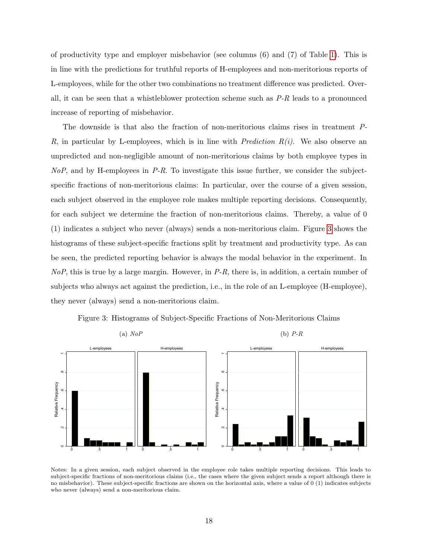of productivity type and employer misbehavior (see columns (6) and (7) of Table [1\)](#page-17-0). This is in line with the predictions for truthful reports of H-employees and non-meritorious reports of L-employees, while for the other two combinations no treatment difference was predicted. Overall, it can be seen that a whistleblower protection scheme such as P-R leads to a pronounced increase of reporting of misbehavior.

The downside is that also the fraction of non-meritorious claims rises in treatment P-R, in particular by L-employees, which is in line with *Prediction R(i)*. We also observe an unpredicted and non-negligible amount of non-meritorious claims by both employee types in  $NoP$ , and by H-employees in  $P-R$ . To investigate this issue further, we consider the subjectspecific fractions of non-meritorious claims: In particular, over the course of a given session, each subject observed in the employee role makes multiple reporting decisions. Consequently, for each subject we determine the fraction of non-meritorious claims. Thereby, a value of 0 (1) indicates a subject who never (always) sends a non-meritorious claim. Figure [3](#page-18-0) shows the histograms of these subject-specific fractions split by treatment and productivity type. As can be seen, the predicted reporting behavior is always the modal behavior in the experiment. In  $NoP$ , this is true by a large margin. However, in  $P-R$ , there is, in addition, a certain number of subjects who always act against the prediction, i.e., in the role of an L-employee (H-employee), they never (always) send a non-meritorious claim.



<span id="page-18-0"></span>

Notes: In a given session, each subject observed in the employee role takes multiple reporting decisions. This leads to subject-specific fractions of non-meritorious claims (i.e., the cases where the given subject sends a report although there is no misbehavior). These subject-specific fractions are shown on the horizontal axis, where a value of 0 (1) indicates subjects who never (always) send a non-meritorious claim.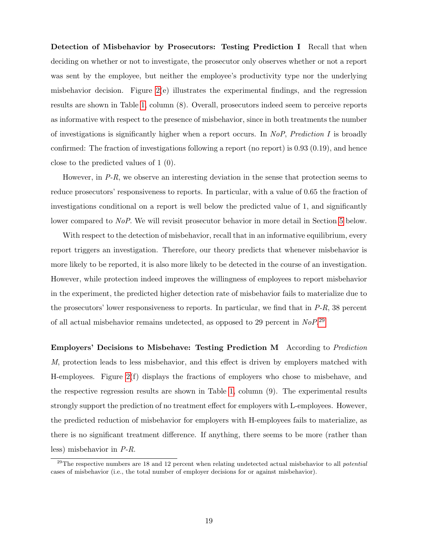Detection of Misbehavior by Prosecutors: Testing Prediction I Recall that when deciding on whether or not to investigate, the prosecutor only observes whether or not a report was sent by the employee, but neither the employee's productivity type nor the underlying misbehavior decision. Figure [2\(](#page-16-0)e) illustrates the experimental findings, and the regression results are shown in Table [1,](#page-17-0) column (8). Overall, prosecutors indeed seem to perceive reports as informative with respect to the presence of misbehavior, since in both treatments the number of investigations is significantly higher when a report occurs. In NoP, Prediction I is broadly confirmed: The fraction of investigations following a report (no report) is 0.93 (0.19), and hence close to the predicted values of 1 (0).

However, in P-R, we observe an interesting deviation in the sense that protection seems to reduce prosecutors' responsiveness to reports. In particular, with a value of 0.65 the fraction of investigations conditional on a report is well below the predicted value of 1, and significantly lower compared to NoP. We will revisit prosecutor behavior in more detail in Section [5](#page-20-0) below.

With respect to the detection of misbehavior, recall that in an informative equilibrium, every report triggers an investigation. Therefore, our theory predicts that whenever misbehavior is more likely to be reported, it is also more likely to be detected in the course of an investigation. However, while protection indeed improves the willingness of employees to report misbehavior in the experiment, the predicted higher detection rate of misbehavior fails to materialize due to the prosecutors' lower responsiveness to reports. In particular, we find that in  $P-R$ , 38 percent of all actual misbehavior remains undetected, as opposed to [29](#page-19-0) percent in  $N_oP^{29}$ 

Employers' Decisions to Misbehave: Testing Prediction M According to Prediction M, protection leads to less misbehavior, and this effect is driven by employers matched with H-employees. Figure [2\(](#page-16-0)f) displays the fractions of employers who chose to misbehave, and the respective regression results are shown in Table [1,](#page-17-0) column (9). The experimental results strongly support the prediction of no treatment effect for employers with L-employees. However, the predicted reduction of misbehavior for employers with H-employees fails to materialize, as there is no significant treatment difference. If anything, there seems to be more (rather than less) misbehavior in P-R.

<span id="page-19-0"></span><sup>&</sup>lt;sup>29</sup>The respective numbers are 18 and 12 percent when relating undetected actual misbehavior to all *potential* cases of misbehavior (i.e., the total number of employer decisions for or against misbehavior).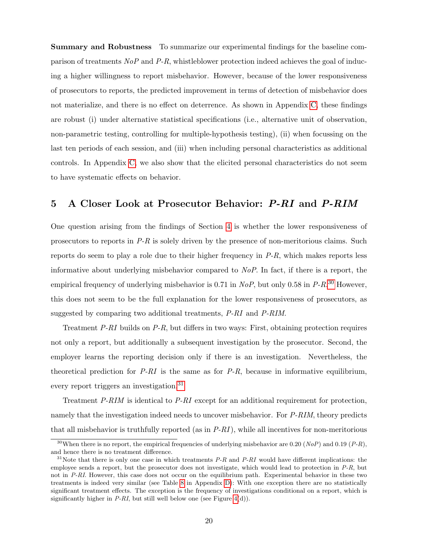Summary and Robustness To summarize our experimental findings for the baseline comparison of treatments NoP and P-R, whistleblower protection indeed achieves the goal of inducing a higher willingness to report misbehavior. However, because of the lower responsiveness of prosecutors to reports, the predicted improvement in terms of detection of misbehavior does not materialize, and there is no effect on deterrence. As shown in Appendix [C,](#page-53-0) these findings are robust (i) under alternative statistical specifications (i.e., alternative unit of observation, non-parametric testing, controlling for multiple-hypothesis testing), (ii) when focussing on the last ten periods of each session, and (iii) when including personal characteristics as additional controls. In Appendix [C,](#page-53-0) we also show that the elicited personal characteristics do not seem to have systematic effects on behavior.

## <span id="page-20-0"></span>5 A Closer Look at Prosecutor Behavior: P-RI and P-RIM

One question arising from the findings of Section [4](#page-12-0) is whether the lower responsiveness of prosecutors to reports in  $P-R$  is solely driven by the presence of non-meritorious claims. Such reports do seem to play a role due to their higher frequency in  $P-R$ , which makes reports less informative about underlying misbehavior compared to  $NoP$ . In fact, if there is a report, the empirical frequency of underlying misbehavior is 0.71 in  $NoP$ , but only 0.58 in  $P-R^{30}$  $P-R^{30}$  $P-R^{30}$  However, this does not seem to be the full explanation for the lower responsiveness of prosecutors, as suggested by comparing two additional treatments, P-RI and P-RIM.

Treatment P-RI builds on P-R, but differs in two ways: First, obtaining protection requires not only a report, but additionally a subsequent investigation by the prosecutor. Second, the employer learns the reporting decision only if there is an investigation. Nevertheless, the theoretical prediction for  $P-RI$  is the same as for  $P-R$ , because in informative equilibrium, every report triggers an investigation.<sup>[31](#page-20-2)</sup>

Treatment  $P-RIM$  is identical to  $P-RI$  except for an additional requirement for protection, namely that the investigation indeed needs to uncover misbehavior. For P-RIM, theory predicts that all misbehavior is truthfully reported (as in  $P-RI$ ), while all incentives for non-meritorious

<span id="page-20-1"></span><sup>&</sup>lt;sup>30</sup>When there is no report, the empirical frequencies of underlying misbehavior are 0.20 (NoP) and 0.19 (P-R), and hence there is no treatment difference.

<span id="page-20-2"></span><sup>&</sup>lt;sup>31</sup>Note that there is only one case in which treatments  $P-R$  and  $P-RI$  would have different implications: the employee sends a report, but the prosecutor does not investigate, which would lead to protection in P-R, but not in P-RI. However, this case does not occur on the equilibrium path. Experimental behavior in these two treatments is indeed very similar (see Table [8](#page-61-0) in Appendix [D\)](#page-61-1): With one exception there are no statistically significant treatment effects. The exception is the frequency of investigations conditional on a report, which is significantly higher in  $P-RI$ , but still well below one (see Figure [4\(](#page-22-0)d)).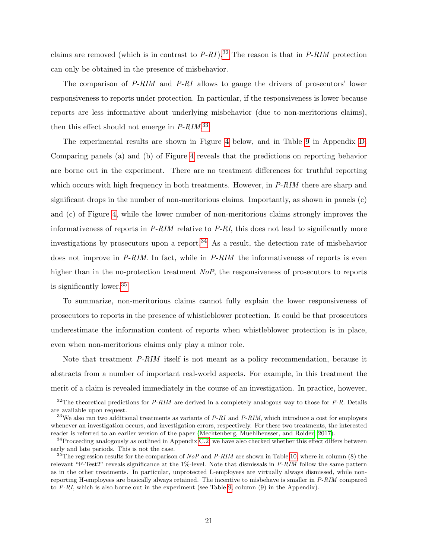claims are removed (which is in contrast to  $P-RI$ ).<sup>[32](#page-21-0)</sup> The reason is that in  $P-RIM$  protection can only be obtained in the presence of misbehavior.

The comparison of P-RIM and P-RI allows to gauge the drivers of prosecutors' lower responsiveness to reports under protection. In particular, if the responsiveness is lower because reports are less informative about underlying misbehavior (due to non-meritorious claims), then this effect should not emerge in  $P-RIM$ .<sup>[33](#page-21-1)</sup>

The experimental results are shown in Figure [4](#page-22-0) below, and in Table [9](#page-62-0) in Appendix [D.](#page-61-1) Comparing panels (a) and (b) of Figure [4](#page-22-0) reveals that the predictions on reporting behavior are borne out in the experiment. There are no treatment differences for truthful reporting which occurs with high frequency in both treatments. However, in P-RIM there are sharp and significant drops in the number of non-meritorious claims. Importantly, as shown in panels (c) and (c) of Figure [4,](#page-22-0) while the lower number of non-meritorious claims strongly improves the informativeness of reports in  $P\text{-}RIM$  relative to  $P\text{-}RI$ , this does not lead to significantly more investigations by prosecutors upon a report.<sup>[34](#page-21-2)</sup> As a result, the detection rate of misbehavior does not improve in  $P\text{-}RIM$ . In fact, while in  $P\text{-}RIM$  the informativeness of reports is even higher than in the no-protection treatment  $NoP$ , the responsiveness of prosecutors to reports is significantly lower.[35](#page-21-3)

To summarize, non-meritorious claims cannot fully explain the lower responsiveness of prosecutors to reports in the presence of whistleblower protection. It could be that prosecutors underestimate the information content of reports when whistleblower protection is in place, even when non-meritorious claims only play a minor role.

Note that treatment P-RIM itself is not meant as a policy recommendation, because it abstracts from a number of important real-world aspects. For example, in this treatment the merit of a claim is revealed immediately in the course of an investigation. In practice, however,

<span id="page-21-0"></span><sup>&</sup>lt;sup>32</sup>The theoretical predictions for P-RIM are derived in a completely analogous way to those for P-R. Details are available upon request.

<span id="page-21-1"></span> $33$ We also ran two additional treatments as variants of P-RI and P-RIM, which introduce a cost for employers whenever an investigation occurs, and investigation errors, respectively. For these two treatments, the interested reader is referred to an earlier version of the paper [\(Mechtenberg, Muehlheusser, and Roider, 2017\)](#page-32-10).

<span id="page-21-2"></span> $34$ Proceeding analogously as outlined in Appendix [C.2,](#page-55-0) we have also checked whether this effect differs between early and late periods. This is not the case.

<span id="page-21-3"></span><sup>&</sup>lt;sup>35</sup>The regression results for the comparison of NoP and P-RIM are shown in Table [10,](#page-62-1) where in column (8) the relevant "F-Test2" reveals significance at the 1%-level. Note that dismissals in P-RIM follow the same pattern as in the other treatments. In particular, unprotected L-employees are virtually always dismissed, while nonreporting H-employees are basically always retained. The incentive to misbehave is smaller in P-RIM compared to P-RI, which is also borne out in the experiment (see Table [9,](#page-62-0) column (9) in the Appendix).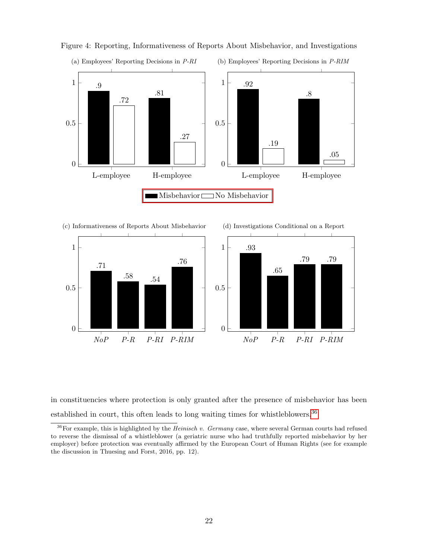

#### <span id="page-22-0"></span>Figure 4: Reporting, Informativeness of Reports About Misbehavior, and Investigations



in constituencies where protection is only granted after the presence of misbehavior has been established in court, this often leads to long waiting times for whistleblowers.<sup>[36](#page-22-1)</sup>

<span id="page-22-1"></span> $36$  For example, this is highlighted by the *Heinisch v. Germany* case, where several German courts had refused to reverse the dismissal of a whistleblower (a geriatric nurse who had truthfully reported misbehavior by her employer) before protection was eventually affirmed by the European Court of Human Rights (see for example the discussion in Thuesing and Forst, 2016, pp. 12).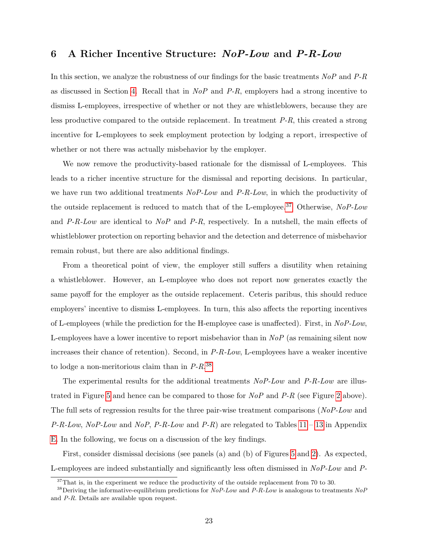## <span id="page-23-0"></span>6 A Richer Incentive Structure: NoP-Low and P-R-Low

In this section, we analyze the robustness of our findings for the basic treatments NoP and P-R as discussed in Section [4.](#page-12-0) Recall that in  $NoP$  and  $P-R$ , employers had a strong incentive to dismiss L-employees, irrespective of whether or not they are whistleblowers, because they are less productive compared to the outside replacement. In treatment P-R, this created a strong incentive for L-employees to seek employment protection by lodging a report, irrespective of whether or not there was actually misbehavior by the employer.

We now remove the productivity-based rationale for the dismissal of L-employees. This leads to a richer incentive structure for the dismissal and reporting decisions. In particular, we have run two additional treatments  $NoP-Low$  and  $P-R-Low$ , in which the productivity of the outside replacement is reduced to match that of the L-employee.<sup>[37](#page-23-1)</sup> Otherwise,  $NoP-Low$ and  $P-R-Low$  are identical to  $NoP$  and  $P-R$ , respectively. In a nutshell, the main effects of whistleblower protection on reporting behavior and the detection and deterrence of misbehavior remain robust, but there are also additional findings.

From a theoretical point of view, the employer still suffers a disutility when retaining a whistleblower. However, an L-employee who does not report now generates exactly the same payoff for the employer as the outside replacement. Ceteris paribus, this should reduce employers' incentive to dismiss L-employees. In turn, this also affects the reporting incentives of L-employees (while the prediction for the H-employee case is unaffected). First, in  $NoP-Low$ , L-employees have a lower incentive to report misbehavior than in  $NoP$  (as remaining silent now increases their chance of retention). Second, in P-R-Low, L-employees have a weaker incentive to lodge a non-meritorious claim than in  $P-R^{38}$  $P-R^{38}$  $P-R^{38}$ 

The experimental results for the additional treatments NoP-Low and P-R-Low are illustrated in Figure [5](#page-24-0) and hence can be compared to those for NoP and P-R (see Figure [2](#page-16-0) above). The full sets of regression results for the three pair-wise treatment comparisons (NoP-Low and  $P-R-Low$ , NoP-Low and NoP, P-R-Low and P-R) are relegated to Tables [11](#page-63-1) – [13](#page-64-0) in Appendix [E.](#page-63-0) In the following, we focus on a discussion of the key findings.

First, consider dismissal decisions (see panels (a) and (b) of Figures [5](#page-24-0) and [2\)](#page-16-0). As expected, L-employees are indeed substantially and significantly less often dismissed in NoP-Low and P-

<span id="page-23-2"></span><span id="page-23-1"></span> $37$ That is, in the experiment we reduce the productivity of the outside replacement from 70 to 30.

<sup>&</sup>lt;sup>38</sup>Deriving the informative-equilibrium predictions for NoP-Low and P-R-Low is analogous to treatments NoP and P-R. Details are available upon request.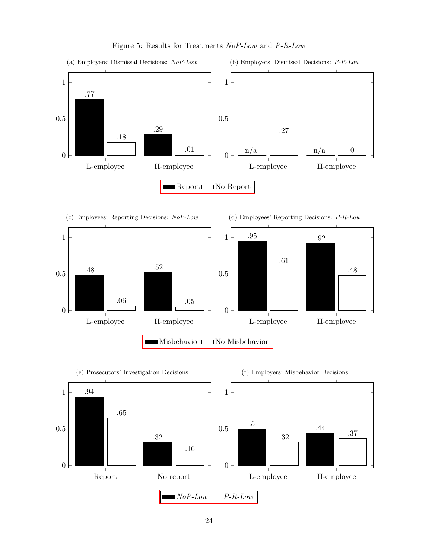<span id="page-24-0"></span>

Figure 5: Results for Treatments NoP-Low and P-R-Low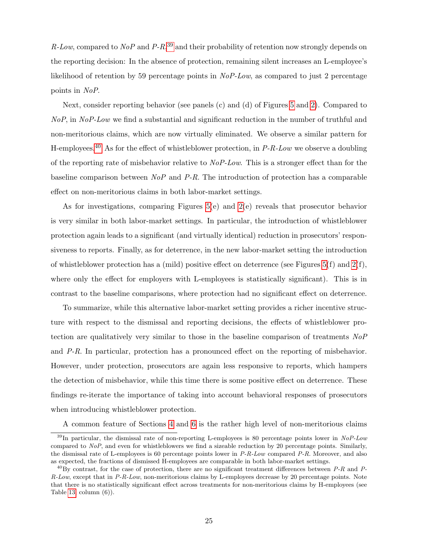R-Low, compared to NoP and  $P-R$ ,<sup>[39](#page-25-0)</sup> and their probability of retention now strongly depends on the reporting decision: In the absence of protection, remaining silent increases an L-employee's likelihood of retention by 59 percentage points in NoP-Low, as compared to just 2 percentage points in NoP.

Next, consider reporting behavior (see panels (c) and (d) of Figures [5](#page-24-0) and [2\)](#page-16-0). Compared to NoP, in NoP-Low we find a substantial and significant reduction in the number of truthful and non-meritorious claims, which are now virtually eliminated. We observe a similar pattern for H-employees.<sup>[40](#page-25-1)</sup> As for the effect of whistleblower protection, in  $P-R-Low$  we observe a doubling of the reporting rate of misbehavior relative to  $NoP-Low$ . This is a stronger effect than for the baseline comparison between  $NoP$  and  $P-R$ . The introduction of protection has a comparable effect on non-meritorious claims in both labor-market settings.

As for investigations, comparing Figures [5\(](#page-24-0)e) and [2\(](#page-16-0)e) reveals that prosecutor behavior is very similar in both labor-market settings. In particular, the introduction of whistleblower protection again leads to a significant (and virtually identical) reduction in prosecutors' responsiveness to reports. Finally, as for deterrence, in the new labor-market setting the introduction of whistleblower protection has a (mild) positive effect on deterrence (see Figures  $5(f)$  and  $2(f)$ , where only the effect for employers with L-employees is statistically significant). This is in contrast to the baseline comparisons, where protection had no significant effect on deterrence.

To summarize, while this alternative labor-market setting provides a richer incentive structure with respect to the dismissal and reporting decisions, the effects of whistleblower protection are qualitatively very similar to those in the baseline comparison of treatments NoP and P-R. In particular, protection has a pronounced effect on the reporting of misbehavior. However, under protection, prosecutors are again less responsive to reports, which hampers the detection of misbehavior, while this time there is some positive effect on deterrence. These findings re-iterate the importance of taking into account behavioral responses of prosecutors when introducing whistleblower protection.

<span id="page-25-0"></span>A common feature of Sections [4](#page-12-0) and [6](#page-23-0) is the rather high level of non-meritorious claims

 $39$ In particular, the dismissal rate of non-reporting L-employees is 80 percentage points lower in NoP-Low compared to NoP, and even for whistleblowers we find a sizeable reduction by 20 percentage points. Similarly, the dismissal rate of L-employees is 60 percentage points lower in  $P-R-Low$  compared  $P-R$ . Moreover, and also as expected, the fractions of dismissed H-employees are comparable in both labor-market settings.

<span id="page-25-1"></span> $^{40}$ By contrast, for the case of protection, there are no significant treatment differences between  $P-R$  and  $P R-Low$ , except that in  $P-R-Low$ , non-meritorious claims by L-employees decrease by 20 percentage points. Note that there is no statistically significant effect across treatments for non-meritorious claims by H-employees (see Table [13,](#page-64-0) column (6)).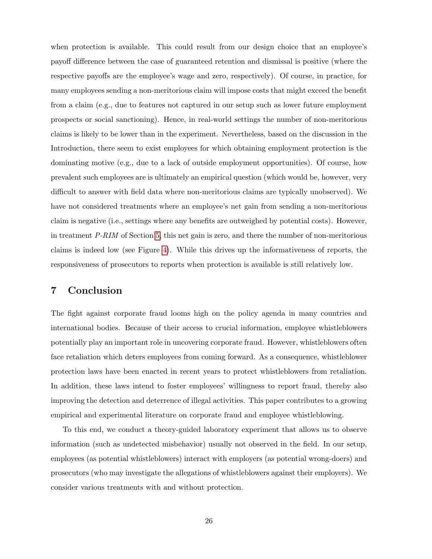when protection is available. This could result from our design choice that an employee's payoff difference between the case of guaranteed retention and dismissal is positive (where the respective payoffs are the employee's wage and zero, respectively). Of course, in practice, for many employees sending a non-meritorious claim will impose costs that might exceed the benefit from a claim (e.g., due to features not captured in our setup such as lower future employment prospects or social sanctioning). Hence, in real-world settings the number of non-meritorious claims is likely to be lower than in the experiment. Nevertheless, based on the discussion in the Introduction, there seem to exist employees for which obtaining employment protection is the dominating motive (e.g., due to a lack of outside employment opportunities). Of course, how prevalent such employees are is ultimately an empirical question (which would be, however, very difficult to answer with field data where non-meritorious claims are typically unobserved). We have not considered treatments where an employee's net gain from sending a non-meritorious claim is negative (i.e., settings where any benefits are outweighed by potential costs). However, in treatment  $P-RIM$  of Section [5,](#page-20-0) this net gain is zero, and there the number of non-meritorious claims is indeed low (see Figure [4\)](#page-22-0). While this drives up the informativeness of reports, the responsiveness of prosecutors to reports when protection is available is still relatively low.

## <span id="page-26-0"></span>7 Conclusion

The fight against corporate fraud looms high on the policy agenda in many countries and international bodies. Because of their access to crucial information, employee whistleblowers potentially play an important role in uncovering corporate fraud. However, whistleblowers often face retaliation which deters employees from coming forward. As a consequence, whistleblower protection laws have been enacted in recent years to protect whistleblowers from retaliation. In addition, these laws intend to foster employees' willingness to report fraud, thereby also improving the detection and deterrence of illegal activities. This paper contributes to a growing empirical and experimental literature on corporate fraud and employee whistleblowing.

To this end, we conduct a theory-guided laboratory experiment that allows us to observe information (such as undetected misbehavior) usually not observed in the field. In our setup, employees (as potential whistleblowers) interact with employers (as potential wrong-doers) and prosecutors (who may investigate the allegations of whistleblowers against their employers). We consider various treatments with and without protection.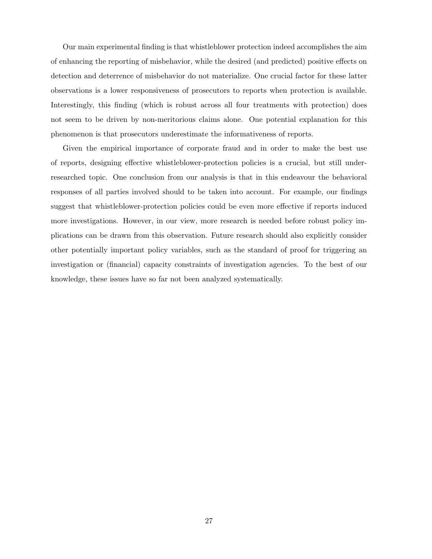Our main experimental finding is that whistleblower protection indeed accomplishes the aim of enhancing the reporting of misbehavior, while the desired (and predicted) positive effects on detection and deterrence of misbehavior do not materialize. One crucial factor for these latter observations is a lower responsiveness of prosecutors to reports when protection is available. Interestingly, this finding (which is robust across all four treatments with protection) does not seem to be driven by non-meritorious claims alone. One potential explanation for this phenomenon is that prosecutors underestimate the informativeness of reports.

Given the empirical importance of corporate fraud and in order to make the best use of reports, designing effective whistleblower-protection policies is a crucial, but still underresearched topic. One conclusion from our analysis is that in this endeavour the behavioral responses of all parties involved should to be taken into account. For example, our findings suggest that whistleblower-protection policies could be even more effective if reports induced more investigations. However, in our view, more research is needed before robust policy implications can be drawn from this observation. Future research should also explicitly consider other potentially important policy variables, such as the standard of proof for triggering an investigation or (financial) capacity constraints of investigation agencies. To the best of our knowledge, these issues have so far not been analyzed systematically.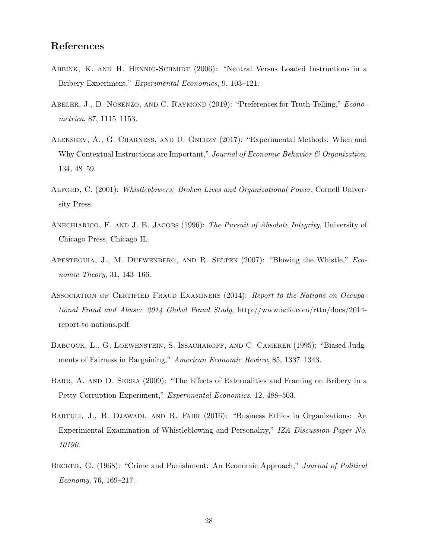## References

- <span id="page-28-6"></span>ABBINK, K. AND H. HENNIG-SCHMIDT (2006): "Neutral Versus Loaded Instructions in a Bribery Experiment," Experimental Economics, 9, 103–121.
- <span id="page-28-3"></span>ABELER, J., D. NOSENZO, AND C. RAYMOND (2019): "Preferences for Truth-Telling," Econometrica, 87, 1115–1153.
- <span id="page-28-5"></span>Alekseev, A., G. Charness, and U. Gneezy (2017): "Experimental Methods: When and Why Contextual Instructions are Important," Journal of Economic Behavior & Organization, 134, 48–59.
- <span id="page-28-2"></span>Alford, C. (2001): Whistleblowers: Broken Lives and Organizational Power, Cornell University Press.
- <span id="page-28-1"></span>ANECHIARICO, F. AND J. B. JACOBS (1996): The Pursuit of Absolute Integrity, University of Chicago Press, Chicago IL.
- Apesteguia, J., M. Dufwenberg, and R. Selten (2007): "Blowing the Whistle," Economic Theory, 31, 143–166.
- <span id="page-28-0"></span>ASSOCIATION OF CERTIFIED FRAUD EXAMINERS (2014): Report to the Nations on Occupational Fraud and Abuse: 2014 Global Fraud Study, http://www.acfe.com/rttn/docs/2014 report-to-nations.pdf.
- <span id="page-28-8"></span>BABCOCK, L., G. LOEWENSTEIN, S. ISSACHAROFF, AND C. CAMERER (1995): "Biased Judgments of Fairness in Bargaining," American Economic Review, 85, 1337–1343.
- <span id="page-28-7"></span>BARR, A. AND D. SERRA (2009): "The Effects of Externalities and Framing on Bribery in a Petty Corruption Experiment," Experimental Economics, 12, 488–503.
- <span id="page-28-4"></span>Bartuli, J., B. Djawadi, and R. Fahr (2016): "Business Ethics in Organizations: An Experimental Examination of Whistleblowing and Personality," IZA Discussion Paper No. 10190.
- <span id="page-28-9"></span>Becker, G. (1968): "Crime and Punishment: An Economic Approach," Journal of Political Economy, 76, 169–217.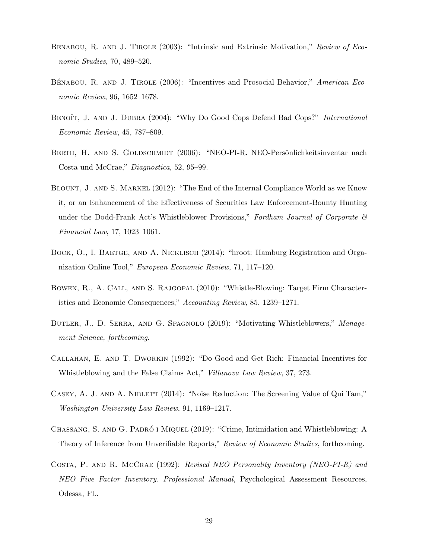- <span id="page-29-3"></span>Benabou, R. and J. Tirole (2003): "Intrinsic and Extrinsic Motivation," Review of Economic Studies, 70, 489–520.
- <span id="page-29-4"></span>BÉNABOU, R. AND J. TIROLE (2006): "Incentives and Prosocial Behavior," American Economic Review, 96, 1652–1678.
- <span id="page-29-6"></span>BENOÎT, J. AND J. DUBRA (2004): "Why Do Good Cops Defend Bad Cops?" *International* Economic Review, 45, 787–809.
- <span id="page-29-9"></span>BERTH, H. AND S. GOLDSCHMIDT (2006): "NEO-PI-R. NEO-Persönlichkeitsinventar nach Costa und McCrae," Diagnostica, 52, 95–99.
- <span id="page-29-1"></span>Blount, J. and S. Markel (2012): "The End of the Internal Compliance World as we Know it, or an Enhancement of the Effectiveness of Securities Law Enforcement-Bounty Hunting under the Dodd-Frank Act's Whistleblower Provisions," Fordham Journal of Corporate  $\mathcal C$ Financial Law, 17, 1023–1061.
- BOCK, O., I. BAETGE, AND A. NICKLISCH (2014): "hroot: Hamburg Registration and Organization Online Tool," European Economic Review, 71, 117–120.
- <span id="page-29-0"></span>Bowen, R., A. Call, and S. Rajgopal (2010): "Whistle-Blowing: Target Firm Characteristics and Economic Consequences," Accounting Review, 85, 1239–1271.
- <span id="page-29-2"></span>BUTLER, J., D. SERRA, AND G. SPAGNOLO (2019): "Motivating Whistleblowers," Management Science, forthcoming.
- <span id="page-29-7"></span>Callahan, E. and T. Dworkin (1992): "Do Good and Get Rich: Financial Incentives for Whistleblowing and the False Claims Act," Villanova Law Review, 37, 273.
- CASEY, A. J. AND A. NIBLETT (2014): "Noise Reduction: The Screening Value of Qui Tam," Washington University Law Review, 91, 1169–1217.
- <span id="page-29-5"></span>CHASSANG, S. AND G. PADRÓ I MIQUEL (2019): "Crime, Intimidation and Whistleblowing: A Theory of Inference from Unverifiable Reports," Review of Economic Studies, forthcoming.
- <span id="page-29-8"></span>Costa, P. and R. McCrae (1992): Revised NEO Personality Inventory (NEO-PI-R) and NEO Five Factor Inventory. Professional Manual, Psychological Assessment Resources, Odessa, FL.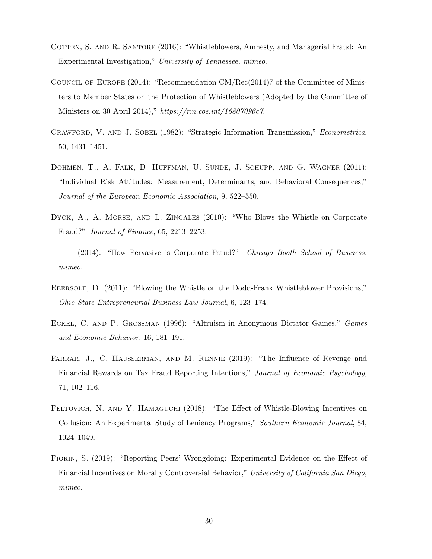- <span id="page-30-6"></span>COTTEN, S. AND R. SANTORE (2016): "Whistleblowers, Amnesty, and Managerial Fraud: An Experimental Investigation," University of Tennessee, mimeo.
- Council of Europe (2014): "Recommendation CM/Rec(2014)7 of the Committee of Ministers to Member States on the Protection of Whistleblowers (Adopted by the Committee of Ministers on 30 April 2014)," https://rm.coe.int/16807096c7.
- <span id="page-30-3"></span>Crawford, V. and J. Sobel (1982): "Strategic Information Transmission," Econometrica, 50, 1431–1451.
- <span id="page-30-8"></span>Dohmen, T., A. Falk, D. Huffman, U. Sunde, J. Schupp, and G. Wagner (2011): "Individual Risk Attitudes: Measurement, Determinants, and Behavioral Consequences," Journal of the European Economic Association, 9, 522–550.
- <span id="page-30-1"></span>DYCK, A., A. MORSE, AND L. ZINGALES (2010): "Who Blows the Whistle on Corporate Fraud?" Journal of Finance, 65, 2213–2253.
- <span id="page-30-0"></span> $-$  (2014): "How Pervasive is Corporate Fraud?" Chicago Booth School of Business, mimeo.
- <span id="page-30-2"></span>Ebersole, D. (2011): "Blowing the Whistle on the Dodd-Frank Whistleblower Provisions," Ohio State Entrepreneurial Business Law Journal, 6, 123–174.
- <span id="page-30-7"></span>Eckel, C. and P. Grossman (1996): "Altruism in Anonymous Dictator Games," Games and Economic Behavior, 16, 181–191.
- <span id="page-30-5"></span>Farrar, J., C. Hausserman, and M. Rennie (2019): "The Influence of Revenge and Financial Rewards on Tax Fraud Reporting Intentions," Journal of Economic Psychology, 71, 102–116.
- FELTOVICH, N. AND Y. HAMAGUCHI (2018): "The Effect of Whistle-Blowing Incentives on Collusion: An Experimental Study of Leniency Programs," Southern Economic Journal, 84, 1024–1049.
- <span id="page-30-4"></span>FIORIN, S. (2019): "Reporting Peers' Wrongdoing: Experimental Evidence on the Effect of Financial Incentives on Morally Controversial Behavior," University of California San Diego, mimeo.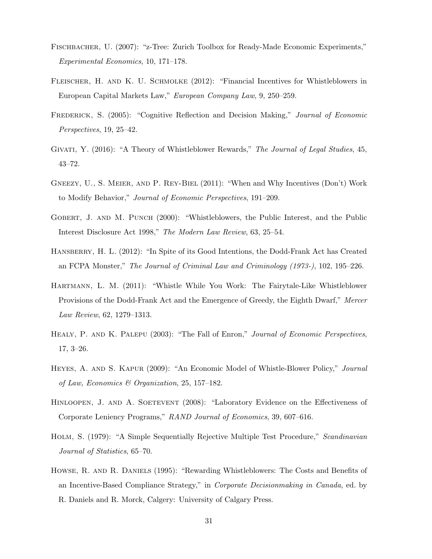- Fischbacher, U. (2007): "z-Tree: Zurich Toolbox for Ready-Made Economic Experiments," Experimental Economics, 10, 171–178.
- Fleischer, H. and K. U. Schmolke (2012): "Financial Incentives for Whistleblowers in European Capital Markets Law," European Company Law, 9, 250–259.
- <span id="page-31-9"></span>FREDERICK, S. (2005): "Cognitive Reflection and Decision Making," *Journal of Economic* Perspectives, 19, 25–42.
- <span id="page-31-6"></span>Givati, Y. (2016): "A Theory of Whistleblower Rewards," The Journal of Legal Studies, 45, 43–72.
- <span id="page-31-4"></span>GNEEZY, U., S. MEIER, AND P. REY-BIEL (2011): "When and Why Incentives (Don't) Work to Modify Behavior," Journal of Economic Perspectives, 191–209.
- <span id="page-31-1"></span>Gobert, J. and M. Punch (2000): "Whistleblowers, the Public Interest, and the Public Interest Disclosure Act 1998," The Modern Law Review, 63, 25–54.
- <span id="page-31-3"></span>HANSBERRY, H. L. (2012): "In Spite of its Good Intentions, the Dodd-Frank Act has Created an FCPA Monster," The Journal of Criminal Law and Criminology (1973-), 102, 195–226.
- <span id="page-31-2"></span>Hartmann, L. M. (2011): "Whistle While You Work: The Fairytale-Like Whistleblower Provisions of the Dodd-Frank Act and the Emergence of Greedy, the Eighth Dwarf," Mercer Law Review, 62, 1279–1313.
- <span id="page-31-0"></span>HEALY, P. AND K. PALEPU (2003): "The Fall of Enron," Journal of Economic Perspectives, 17, 3–26.
- <span id="page-31-5"></span>Heyes, A. and S. Kapur (2009): "An Economic Model of Whistle-Blower Policy," Journal of Law, Economics & Organization, 25, 157-182.
- HINLOOPEN, J. AND A. SOETEVENT (2008): "Laboratory Evidence on the Effectiveness of Corporate Leniency Programs," RAND Journal of Economics, 39, 607–616.
- <span id="page-31-8"></span>Holm, S. (1979): "A Simple Sequentially Rejective Multiple Test Procedure," Scandinavian Journal of Statistics, 65–70.
- <span id="page-31-7"></span>Howse, R. and R. Daniels (1995): "Rewarding Whistleblowers: The Costs and Benefits of an Incentive-Based Compliance Strategy," in Corporate Decisionmaking in Canada, ed. by R. Daniels and R. Morck, Calgery: University of Calgary Press.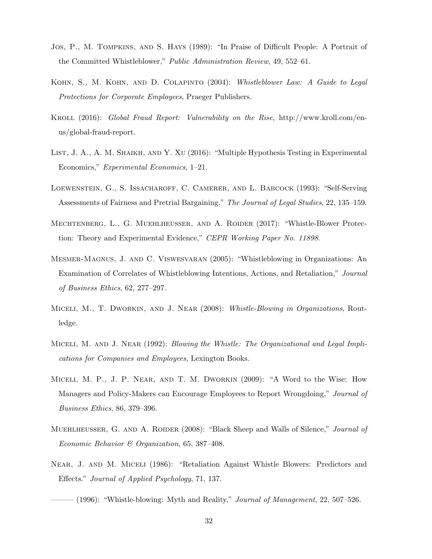- <span id="page-32-8"></span>Jos, P., M. Tompkins, and S. Hays (1989): "In Praise of Difficult People: A Portrait of the Committed Whistleblower," Public Administration Review, 49, 552–61.
- Kohn, S., M. Kohn, and D. Colapinto (2004): Whistleblower Law: A Guide to Legal Protections for Corporate Employees, Praeger Publishers.
- <span id="page-32-0"></span>Kroll (2016): Global Fraud Report: Vulnerability on the Rise, http://www.kroll.com/enus/global-fraud-report.
- LIST, J. A., A. M. SHAIKH, AND Y. XU (2016): "Multiple Hypothesis Testing in Experimental Economics," Experimental Economics, 1–21.
- <span id="page-32-7"></span>Loewenstein, G., S. Issacharoff, C. Camerer, and L. Babcock (1993): "Self-Serving Assessments of Fairness and Pretrial Bargaining," The Journal of Legal Studies, 22, 135–159.
- <span id="page-32-10"></span>Mechtenberg, L., G. Muehlheusser, and A. Roider (2017): "Whistle-Blower Protection: Theory and Experimental Evidence," CEPR Working Paper No. 11898.
- <span id="page-32-5"></span>Mesmer-Magnus, J. and C. Viswesvaran (2005): "Whistleblowing in Organizations: An Examination of Correlates of Whistleblowing Intentions, Actions, and Retaliation," Journal of Business Ethics, 62, 277–297.
- <span id="page-32-4"></span>MICELI, M., T. DWORKIN, AND J. NEAR (2008): Whistle-Blowing in Organizations, Routledge.
- <span id="page-32-3"></span>Miceli, M. and J. Near (1992): Blowing the Whistle: The Organizational and Legal Implications for Companies and Employees, Lexington Books.
- <span id="page-32-1"></span>Miceli, M. P., J. P. Near, and T. M. Dworkin (2009): "A Word to the Wise: How Managers and Policy-Makers can Encourage Employees to Report Wrongdoing," Journal of Business Ethics, 86, 379–396.
- <span id="page-32-6"></span>MUEHLHEUSSER, G. AND A. ROIDER (2008): "Black Sheep and Walls of Silence," *Journal of* Economic Behavior & Organization, 65, 387–408.
- <span id="page-32-9"></span><span id="page-32-2"></span>Near, J. and M. Miceli (1986): "Retaliation Against Whistle Blowers: Predictors and Effects." Journal of Applied Psychology, 71, 137.
	- $-$  (1996): "Whistle-blowing: Myth and Reality," Journal of Management, 22, 507–526.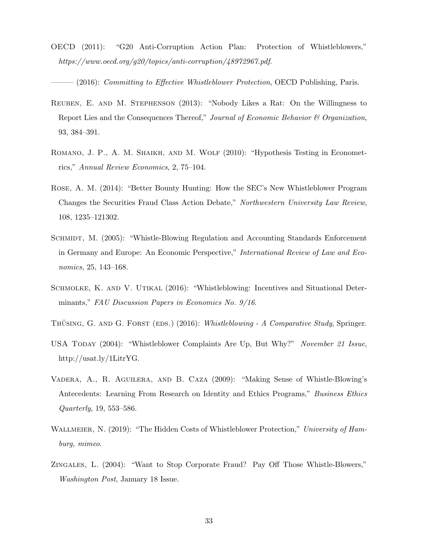OECD (2011): "G20 Anti-Corruption Action Plan: Protection of Whistleblowers," https://www.oecd.org/g20/topics/anti-corruption/48972967.pdf.

<span id="page-33-6"></span> $-$  (2016): *Committing to Effective Whistleblower Protection*, OECD Publishing, Paris.

- <span id="page-33-7"></span>Reuben, E. and M. Stephenson (2013): "Nobody Likes a Rat: On the Willingness to Report Lies and the Consequences Thereof," Journal of Economic Behavior & Organization, 93, 384–391.
- ROMANO, J. P., A. M. SHAIKH, AND M. WOLF (2010): "Hypothesis Testing in Econometrics," Annual Review Economics, 2, 75–104.
- <span id="page-33-1"></span>Rose, A. M. (2014): "Better Bounty Hunting: How the SEC's New Whistleblower Program Changes the Securities Fraud Class Action Debate," Northwestern University Law Review, 108, 1235–121302.
- <span id="page-33-0"></span>SCHMIDT, M. (2005): "Whistle-Blowing Regulation and Accounting Standards Enforcement in Germany and Europe: An Economic Perspective," International Review of Law and Economics, 25, 143–168.
- <span id="page-33-5"></span>Schmolke, K. and V. Utikal (2016): "Whistleblowing: Incentives and Situational Determinants," FAU Discussion Papers in Economics No. 9/16.
- THÜSING, G. AND G. FORST (EDS.) (2016): Whistleblowing A Comparative Study, Springer.
- USA Today (2004): "Whistleblower Complaints Are Up, But Why?" November 21 Issue, http://usat.ly/1LitrYG.
- <span id="page-33-2"></span>Vadera, A., R. Aguilera, and B. Caza (2009): "Making Sense of Whistle-Blowing's Antecedents: Learning From Research on Identity and Ethics Programs," Business Ethics Quarterly, 19, 553–586.
- <span id="page-33-3"></span>WALLMEIER, N. (2019): "The Hidden Costs of Whistleblower Protection," University of Hamburg, mimeo.
- <span id="page-33-4"></span>Zingales, L. (2004): "Want to Stop Corporate Fraud? Pay Off Those Whistle-Blowers," Washington Post, January 18 Issue.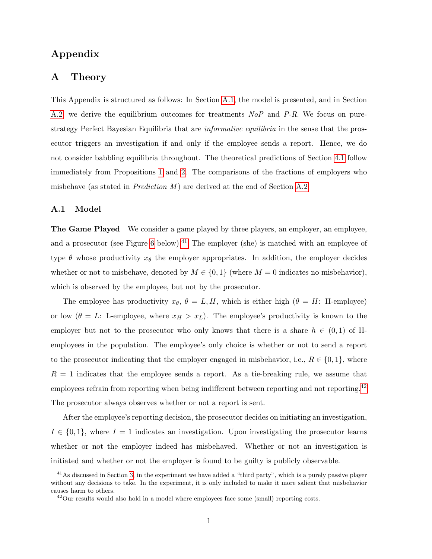## Appendix

## <span id="page-34-0"></span>A Theory

This Appendix is structured as follows: In Section [A.1,](#page-34-1) the model is presented, and in Section [A.2,](#page-37-0) we derive the equilibrium outcomes for treatments  $NoP$  and  $P-R$ . We focus on purestrategy Perfect Bayesian Equilibria that are *informative equilibria* in the sense that the prosecutor triggers an investigation if and only if the employee sends a report. Hence, we do not consider babbling equilibria throughout. The theoretical predictions of Section [4.1](#page-12-4) follow immediately from Propositions [1](#page-40-0) and [2.](#page-43-0) The comparisons of the fractions of employers who misbehave (as stated in *Prediction M*) are derived at the end of Section [A.2.](#page-37-0)

### <span id="page-34-1"></span>A.1 Model

The Game Played We consider a game played by three players, an employer, an employee, and a prosecutor (see Figure [6](#page-35-0) below).<sup>[41](#page-34-2)</sup> The employer (she) is matched with an employee of type  $\theta$  whose productivity  $x_{\theta}$  the employer appropriates. In addition, the employer decides whether or not to misbehave, denoted by  $M \in \{0,1\}$  (where  $M = 0$  indicates no misbehavior), which is observed by the employee, but not by the prosecutor.

The employee has productivity  $x_{\theta}$ ,  $\theta = L, H$ , which is either high ( $\theta = H$ : H-employee) or low ( $\theta = L$ : L-employee, where  $x_H > x_L$ ). The employee's productivity is known to the employer but not to the prosecutor who only knows that there is a share  $h \in (0,1)$  of Hemployees in the population. The employee's only choice is whether or not to send a report to the prosecutor indicating that the employer engaged in misbehavior, i.e.,  $R \in \{0,1\}$ , where  $R = 1$  indicates that the employee sends a report. As a tie-breaking rule, we assume that employees refrain from reporting when being indifferent between reporting and not reporting.<sup>[42](#page-34-3)</sup> The prosecutor always observes whether or not a report is sent.

After the employee's reporting decision, the prosecutor decides on initiating an investigation,  $I \in \{0,1\}$ , where  $I = 1$  indicates an investigation. Upon investigating the prosecutor learns whether or not the employer indeed has misbehaved. Whether or not an investigation is initiated and whether or not the employer is found to be guilty is publicly observable.

<span id="page-34-2"></span><sup>&</sup>lt;sup>41</sup>As discussed in Section [3,](#page-8-0) in the experiment we have added a "third party", which is a purely passive player without any decisions to take. In the experiment, it is only included to make it more salient that misbehavior causes harm to others.

<span id="page-34-3"></span> $42$ Our results would also hold in a model where employees face some (small) reporting costs.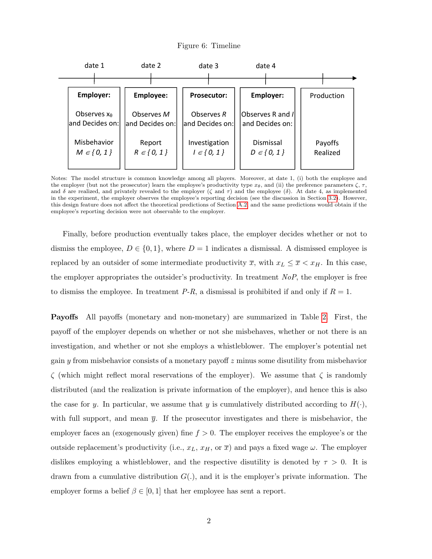#### Figure 6: Timeline

<span id="page-35-0"></span>

Notes: The model structure is common knowledge among all players. Moreover, at date 1, (i) both the employee and the employer (but not the prosecutor) learn the employee's productivity type  $x_{\theta}$ , and (ii) the preference parameters  $\zeta$ ,  $\tau$ , and  $\delta$  are realized, and privately revealed to the employer ( $\zeta$  and  $\tau$ ) and the employee ( $\delta$ ). At date 4, as implemented in the experiment, the employer observes the employee's reporting decision (see the discussion in Section [3.2\)](#page-10-3). However, this design feature does not affect the theoretical predictions of Section [A.2,](#page-37-0) and the same predictions would obtain if the employee's reporting decision were not observable to the employer.

Finally, before production eventually takes place, the employer decides whether or not to dismiss the employee,  $D \in \{0, 1\}$ , where  $D = 1$  indicates a dismissal. A dismissed employee is replaced by an outsider of some intermediate productivity  $\overline{x}$ , with  $x_L \leq \overline{x} \lt x_H$ . In this case, the employer appropriates the outsider's productivity. In treatment  $NoP$ , the employer is free to dismiss the employee. In treatment  $P-R$ , a dismissal is prohibited if and only if  $R=1$ .

Payoffs All payoffs (monetary and non-monetary) are summarized in Table [2.](#page-36-0) First, the payoff of the employer depends on whether or not she misbehaves, whether or not there is an investigation, and whether or not she employs a whistleblower. The employer's potential net gain  $y$  from misbehavior consists of a monetary payoff  $z$  minus some disutility from misbehavior  $\zeta$  (which might reflect moral reservations of the employer). We assume that  $\zeta$  is randomly distributed (and the realization is private information of the employer), and hence this is also the case for y. In particular, we assume that y is cumulatively distributed according to  $H(\cdot)$ , with full support, and mean  $\bar{y}$ . If the prosecutor investigates and there is misbehavior, the employer faces an (exogenously given) fine  $f > 0$ . The employer receives the employee's or the outside replacement's productivity (i.e.,  $x_L$ ,  $x_H$ , or  $\overline{x}$ ) and pays a fixed wage  $\omega$ . The employer dislikes employing a whistleblower, and the respective disutility is denoted by  $\tau > 0$ . It is drawn from a cumulative distribution  $G(.)$ , and it is the employer's private information. The employer forms a belief  $\beta \in [0, 1]$  that her employee has sent a report.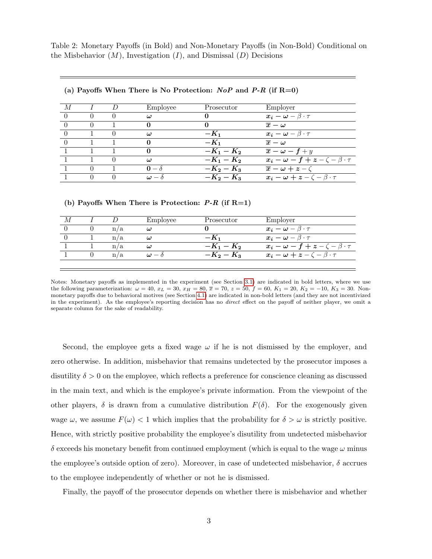Table 2: Monetary Payoffs (in Bold) and Non-Monetary Payoffs (in Non-Bold) Conditional on the Misbehavior  $(M)$ , Investigation  $(I)$ , and Dismissal  $(D)$  Decisions

| M |                  | D | Employee              | Prosecutor   | Employer                                          |
|---|------------------|---|-----------------------|--------------|---------------------------------------------------|
|   | $\theta$         |   | $\boldsymbol{\omega}$ |              | $x_i - \omega - \beta \cdot \tau$                 |
|   |                  |   | $\mathbf{0}$          |              | $\overline{x}-\omega$                             |
|   |                  |   | $\boldsymbol{\omega}$ | $-K_1$       | $x_i - \omega - \beta \cdot \tau$                 |
|   |                  |   | $\mathbf{0}$          | $-K_1$       | $\overline{x}-\omega$                             |
|   |                  |   | $\mathbf{0}$          | $-K_1 - K_2$ | $\overline{x} - \omega - f + y$                   |
|   |                  |   | $\omega$              | $-K_1 - K_2$ | $x_i - \omega - f + z - \zeta - \beta \cdot \tau$ |
|   | $\left( \right)$ |   | $0-\delta$            | $-K_2-K_3$   | $\overline{x} - \omega + z - \zeta$               |
|   |                  |   | $\omega - \delta$     | $-K_2-K_3$   | $x_i - \omega + z - \zeta - \beta \cdot \tau$     |

<span id="page-36-0"></span>(a) Payoffs When There is No Protection: NoP and P-R (if  $R=0$ )

(b) Payoffs When There is Protection:  $P-R$  (if  $R=1$ )

|  |     | Employee              | Prosecutor   | Employer                                               |
|--|-----|-----------------------|--------------|--------------------------------------------------------|
|  | n/a | $\omega$              |              | $x_i - \omega - \beta \cdot \tau$                      |
|  | n/a | $\omega$              | $-K_1$       | $x_i - \omega - \beta \cdot \tau$                      |
|  | n/a | $\boldsymbol{\omega}$ | $-K_1 - K_2$ | $- f + z - \zeta - \beta \cdot \tau$<br>$x_i - \omega$ |
|  | n/a | $\omega - \delta$     | $-K_2-K_3$   | $x_i - \omega + z - \zeta - \beta \cdot \tau$          |
|  |     |                       |              |                                                        |

Notes: Monetary payoffs as implemented in the experiment (see Section [3.1\)](#page-8-2) are indicated in bold letters, where we use the following parameterization:  $\omega = 40$ ,  $x_L = 30$ ,  $x_H = 80$ ,  $\bar{x} = 70$ ,  $z = 50$ ,  $f = 60$ ,  $K_1 = 20$ ,  $K_2 = -10$ ,  $K_3 = 30$ . Nonmonetary payoffs due to behavioral motives (see Section [4.1\)](#page-12-4) are indicated in non-bold letters (and they are not incentivized in the experiment). As the employee's reporting decision has no direct effect on the payoff of neither player, we omit a separate column for the sake of readability.

Second, the employee gets a fixed wage  $\omega$  if he is not dismissed by the employer, and zero otherwise. In addition, misbehavior that remains undetected by the prosecutor imposes a disutility  $\delta > 0$  on the employee, which reflects a preference for conscience cleaning as discussed in the main text, and which is the employee's private information. From the viewpoint of the other players,  $\delta$  is drawn from a cumulative distribution  $F(\delta)$ . For the exogenously given wage  $\omega$ , we assume  $F(\omega) < 1$  which implies that the probability for  $\delta > \omega$  is strictly positive. Hence, with strictly positive probability the employee's disutility from undetected misbehavior  $\delta$  exceeds his monetary benefit from continued employment (which is equal to the wage  $\omega$  minus the employee's outside option of zero). Moreover, in case of undetected misbehavior,  $\delta$  accrues to the employee independently of whether or not he is dismissed.

Finally, the payoff of the prosecutor depends on whether there is misbehavior and whether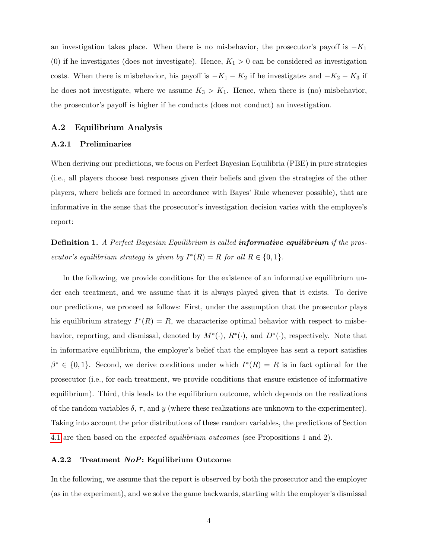an investigation takes place. When there is no misbehavior, the prosecutor's payoff is  $-K_1$ (0) if he investigates (does not investigate). Hence,  $K_1 > 0$  can be considered as investigation costs. When there is misbehavior, his payoff is  $-K_1 - K_2$  if he investigates and  $-K_2 - K_3$  if he does not investigate, where we assume  $K_3 > K_1$ . Hence, when there is (no) misbehavior, the prosecutor's payoff is higher if he conducts (does not conduct) an investigation.

### <span id="page-37-0"></span>A.2 Equilibrium Analysis

#### A.2.1 Preliminaries

When deriving our predictions, we focus on Perfect Bayesian Equilibria (PBE) in pure strategies (i.e., all players choose best responses given their beliefs and given the strategies of the other players, where beliefs are formed in accordance with Bayes' Rule whenever possible), that are informative in the sense that the prosecutor's investigation decision varies with the employee's report:

**Definition 1.** A Perfect Bayesian Equilibrium is called **informative equilibrium** if the prosecutor's equilibrium strategy is given by  $I^*(R) = R$  for all  $R \in \{0, 1\}.$ 

In the following, we provide conditions for the existence of an informative equilibrium under each treatment, and we assume that it is always played given that it exists. To derive our predictions, we proceed as follows: First, under the assumption that the prosecutor plays his equilibrium strategy  $I^*(R) = R$ , we characterize optimal behavior with respect to misbehavior, reporting, and dismissal, denoted by  $M^*(\cdot)$ ,  $R^*(\cdot)$ , and  $D^*(\cdot)$ , respectively. Note that in informative equilibrium, the employer's belief that the employee has sent a report satisfies  $\beta^* \in \{0,1\}$ . Second, we derive conditions under which  $I^*(R) = R$  is in fact optimal for the prosecutor (i.e., for each treatment, we provide conditions that ensure existence of informative equilibrium). Third, this leads to the equilibrium outcome, which depends on the realizations of the random variables  $\delta$ ,  $\tau$ , and y (where these realizations are unknown to the experimenter). Taking into account the prior distributions of these random variables, the predictions of Section [4.1](#page-12-4) are then based on the expected equilibrium outcomes (see Propositions 1 and 2).

#### A.2.2 Treatment NoP: Equilibrium Outcome

In the following, we assume that the report is observed by both the prosecutor and the employer (as in the experiment), and we solve the game backwards, starting with the employer's dismissal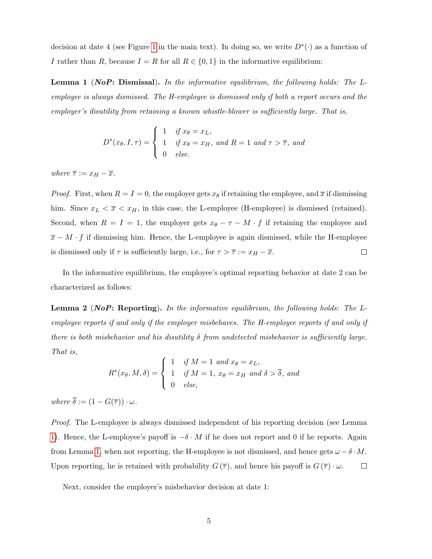decision at date 4 (see Figure [1](#page-9-0) in the main text). In doing so, we write  $D^*(.)$  as a function of I rather than R, because  $I = R$  for all  $R \in \{0, 1\}$  in the informative equilibrium:

<span id="page-38-0"></span>**Lemma 1** (NoP: Dismissal). In the informative equilibrium, the following holds: The Lemployee is always dismissed. The H-employee is dismissed only if both a report occurs and the employer's disutility from retaining a known whistle-blower is sufficiently large. That is,

$$
D^*(x_\theta, I, \tau) = \begin{cases} 1 & \text{if } x_\theta = x_L, \\ 1 & \text{if } x_\theta = x_H, \text{ and } R = 1 \text{ and } \tau > \overline{\tau}, \text{ and} \\ 0 & \text{else.} \end{cases}
$$

where  $\overline{\tau} := x_H - \overline{x}$ .

*Proof.* First, when  $R = I = 0$ , the employer gets  $x_{\theta}$  if retaining the employee, and  $\bar{x}$  if dismissing him. Since  $x_L < \bar{x} < x_H$ , in this case, the L-employee (H-employee) is dismissed (retained). Second, when  $R = I = 1$ , the employer gets  $x_{\theta} - \tau - M \cdot f$  if retaining the employee and  $\overline{x}$  – M · f if dismissing him. Hence, the L-employee is again dismissed, while the H-employee is dismissed only if  $\tau$  is sufficiently large, i.e., for  $\tau > \overline{\tau} := x_H - \overline{x}$ .  $\Box$ 

In the informative equilibrium, the employee's optimal reporting behavior at date 2 can be characterized as follows:

<span id="page-38-1"></span>**Lemma 2** (NoP: Reporting). In the informative equilibrium, the following holds: The Lemployee reports if and only if the employer misbehaves. The H-employee reports if and only if there is both misbehavior and his disutility  $\delta$  from undetected misbehavior is sufficiently large. That is,

$$
R^*(x_\theta, M, \delta) = \begin{cases} 1 & \text{if } M = 1 \text{ and } x_\theta = x_L, \\ 1 & \text{if } M = 1, x_\theta = x_H \text{ and } \delta > \overline{\delta}, \text{ and} \\ 0 & \text{else,} \end{cases}
$$

where  $\overline{\delta} := (1 - G(\overline{\tau})) \cdot \omega$ .

Proof. The L-employee is always dismissed independent of his reporting decision (see Lemma [1\)](#page-38-0). Hence, the L-employee's payoff is  $-\delta \cdot M$  if he does not report and 0 if he reports. Again from Lemma [1,](#page-38-0) when not reporting, the H-employee is not dismissed, and hence gets  $\omega - \delta \cdot M$ . Upon reporting, he is retained with probability  $G(\overline{\tau})$ , and hence his payoff is  $G(\overline{\tau}) \cdot \omega$ .  $\Box$ 

Next, consider the employer's misbehavior decision at date 1: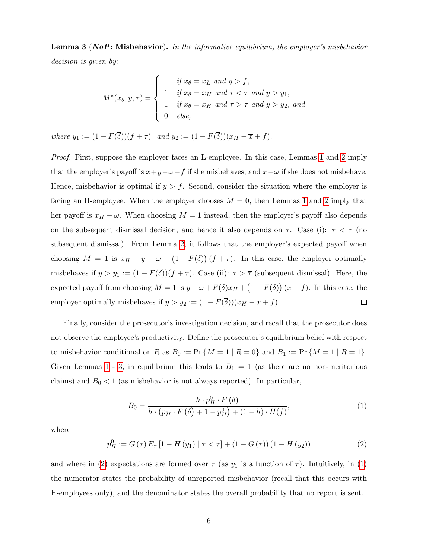<span id="page-39-0"></span>**Lemma 3 (NoP: Misbehavior).** In the informative equilibrium, the employer's misbehavior decision is given by:

$$
M^*(x_{\theta}, y, \tau) = \begin{cases} 1 & \text{if } x_{\theta} = x_L \text{ and } y > f, \\ 1 & \text{if } x_{\theta} = x_H \text{ and } \tau < \overline{\tau} \text{ and } y > y_1, \\ 1 & \text{if } x_{\theta} = x_H \text{ and } \tau > \overline{\tau} \text{ and } y > y_2, \text{ and} \\ 0 & \text{else,} \end{cases}
$$

where  $y_1 := (1 - F(\overline{\delta}))(f + \tau)$  and  $y_2 := (1 - F(\overline{\delta}))(x_H - \overline{x} + f)$ .

Proof. First, suppose the employer faces an L-employee. In this case, Lemmas [1](#page-38-0) and [2](#page-38-1) imply that the employer's payoff is  $\overline{x}+y-\omega-f$  if she misbehaves, and  $\overline{x}-\omega$  if she does not misbehave. Hence, misbehavior is optimal if  $y > f$ . Second, consider the situation where the employer is facing an H-employee. When the employer chooses  $M = 0$ , then Lemmas [1](#page-38-0) and [2](#page-38-1) imply that her payoff is  $x_H - \omega$ . When choosing  $M = 1$  instead, then the employer's payoff also depends on the subsequent dismissal decision, and hence it also depends on  $\tau$ . Case (i):  $\tau < \overline{\tau}$  (no subsequent dismissal). From Lemma [2,](#page-38-1) it follows that the employer's expected payoff when choosing  $M = 1$  is  $x_H + y - \omega - (1 - F(\overline{\delta})) (f + \tau)$ . In this case, the employer optimally misbehaves if  $y > y_1 := (1 - F(\overline{\delta}))(f + \tau)$ . Case (ii):  $\tau > \overline{\tau}$  (subsequent dismissal). Here, the expected payoff from choosing  $M = 1$  is  $y - \omega + F(\overline{\delta})x_H + (1 - F(\overline{\delta}))(\overline{x} - f)$ . In this case, the employer optimally misbehaves if  $y > y_2 := (1 - F(\overline{\delta}))(x_H - \overline{x} + f)$ .  $\Box$ 

Finally, consider the prosecutor's investigation decision, and recall that the prosecutor does not observe the employee's productivity. Define the prosecutor's equilibrium belief with respect to misbehavior conditional on R as  $B_0 := \Pr \{M = 1 \mid R = 0\}$  and  $B_1 := \Pr \{M = 1 \mid R = 1\}$ . Given Lemmas [1](#page-38-0) - [3,](#page-39-0) in equilibrium this leads to  $B_1 = 1$  (as there are no non-meritorious claims) and  $B_0 < 1$  (as misbehavior is not always reported). In particular,

<span id="page-39-2"></span>
$$
B_0 = \frac{h \cdot p_H^0 \cdot F(\overline{\delta})}{h \cdot (p_H^0 \cdot F(\overline{\delta}) + 1 - p_H^0) + (1 - h) \cdot H(f)},\tag{1}
$$

where

<span id="page-39-1"></span>
$$
p_H^0 := G(\overline{\tau}) E_{\tau} [1 - H(y_1) | \tau < \overline{\tau}] + (1 - G(\overline{\tau})) (1 - H(y_2))
$$
 (2)

and where in [\(2\)](#page-39-1) expectations are formed over  $\tau$  (as  $y_1$  is a function of  $\tau$ ). Intuitively, in [\(1\)](#page-39-2) the numerator states the probability of unreported misbehavior (recall that this occurs with H-employees only), and the denominator states the overall probability that no report is sent.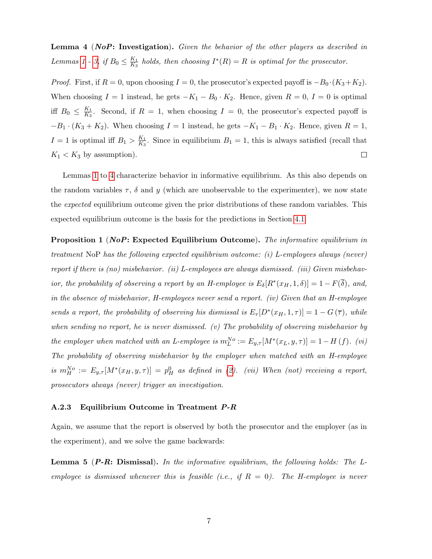<span id="page-40-1"></span>Lemma 4 (NoP: Investigation). Given the behavior of the other players as described in Lemmas [1](#page-38-0) - [3,](#page-39-0) if  $B_0 \leq \frac{K_1}{K_2}$  $\frac{K_1}{K_3}$  holds, then choosing  $I^*(R) = R$  is optimal for the prosecutor.

*Proof.* First, if  $R = 0$ , upon choosing  $I = 0$ , the prosecutor's expected payoff is  $-B_0 \cdot (K_3 + K_2)$ . When choosing  $I = 1$  instead, he gets  $-K_1 - B_0 \cdot K_2$ . Hence, given  $R = 0$ ,  $I = 0$  is optimal iff  $B_0 \leq \frac{K_1}{K_2}$  $\frac{K_1}{K_3}$ . Second, if  $R = 1$ , when choosing  $I = 0$ , the prosecutor's expected payoff is  $-B_1 \cdot (K_3 + K_2)$ . When choosing  $I = 1$  instead, he gets  $-K_1 - B_1 \cdot K_2$ . Hence, given  $R = 1$ ,  $I = 1$  is optimal iff  $B_1 > \frac{K_1}{K_2}$  $\frac{K_1}{K_3}$ . Since in equilibrium  $B_1 = 1$ , this is always satisfied (recall that  $K_1 < K_3$  by assumption).  $\Box$ 

Lemmas [1](#page-38-0) to [4](#page-40-1) characterize behavior in informative equilibrium. As this also depends on the random variables  $\tau$ ,  $\delta$  and y (which are unobservable to the experimenter), we now state the *expected* equilibrium outcome given the prior distributions of these random variables. This expected equilibrium outcome is the basis for the predictions in Section [4.1:](#page-12-4)

<span id="page-40-0"></span>Proposition 1 (NoP: Expected Equilibrium Outcome). The informative equilibrium in treatment NoP has the following expected equilibrium outcome: (i) L-employees always (never) report if there is (no) misbehavior. (ii) L-employees are always dismissed. (iii) Given misbehavior, the probability of observing a report by an H-employee is  $E_{\delta}[R^*(x_H, 1, \delta)] = 1 - F(\overline{\delta})$ , and, in the absence of misbehavior, H-employees never send a report. (iv) Given that an H-employee sends a report, the probability of observing his dismissal is  $E_{\tau}[D^*(x_H, 1, \tau)] = 1 - G(\overline{\tau})$ , while when sending no report, he is never dismissed. (v) The probability of observing misbehavior by the employer when matched with an L-employee is  $m_L^{No} := E_{y,\tau}[M^*(x_L, y, \tau)] = 1 - H(f)$ . (vi) The probability of observing misbehavior by the employer when matched with an H-employee is  $m_H^{No} := E_{y,\tau}[M^*(x_H, y, \tau)] = p_H^0$  as defined in [\(2\)](#page-39-1). (vii) When (not) receiving a report, prosecutors always (never) trigger an investigation.

#### A.2.3 Equilibrium Outcome in Treatment P-R

Again, we assume that the report is observed by both the prosecutor and the employer (as in the experiment), and we solve the game backwards:

<span id="page-40-2"></span>**Lemma 5 (P-R: Dismissal).** In the informative equilibrium, the following holds: The Lemployee is dismissed whenever this is feasible (i.e., if  $R = 0$ ). The H-employee is never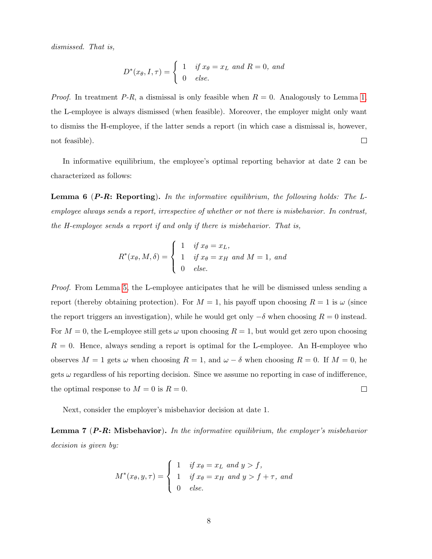dismissed. That is,

$$
D^*(x_\theta, I, \tau) = \begin{cases} 1 & \text{if } x_\theta = x_L \text{ and } R = 0, \text{ and} \\ 0 & \text{else.} \end{cases}
$$

*Proof.* In treatment P-R, a dismissal is only feasible when  $R = 0$ . Analogously to Lemma [1,](#page-38-0) the L-employee is always dismissed (when feasible). Moreover, the employer might only want to dismiss the H-employee, if the latter sends a report (in which case a dismissal is, however, not feasible).  $\Box$ 

In informative equilibrium, the employee's optimal reporting behavior at date 2 can be characterized as follows:

<span id="page-41-0"></span>**Lemma 6 (P-R: Reporting).** In the informative equilibrium, the following holds: The Lemployee always sends a report, irrespective of whether or not there is misbehavior. In contrast, the H-employee sends a report if and only if there is misbehavior. That is,

$$
R^*(x_\theta, M, \delta) = \begin{cases} 1 & \text{if } x_\theta = x_L, \\ 1 & \text{if } x_\theta = x_H \text{ and } M = 1, \text{ and} \\ 0 & \text{else.} \end{cases}
$$

Proof. From Lemma [5,](#page-40-2) the L-employee anticipates that he will be dismissed unless sending a report (thereby obtaining protection). For  $M = 1$ , his payoff upon choosing  $R = 1$  is  $\omega$  (since the report triggers an investigation), while he would get only  $-\delta$  when choosing  $R = 0$  instead. For  $M = 0$ , the L-employee still gets  $\omega$  upon choosing  $R = 1$ , but would get zero upon choosing  $R = 0$ . Hence, always sending a report is optimal for the L-employee. An H-employee who observes  $M = 1$  gets  $\omega$  when choosing  $R = 1$ , and  $\omega - \delta$  when choosing  $R = 0$ . If  $M = 0$ , he gets  $\omega$  regardless of his reporting decision. Since we assume no reporting in case of indifference, the optimal response to  $M = 0$  is  $R = 0$ .  $\Box$ 

Next, consider the employer's misbehavior decision at date 1.

<span id="page-41-1"></span>**Lemma 7 (P-R: Misbehavior).** In the informative equilibrium, the employer's misbehavior decision is given by:

$$
M^*(x_\theta, y, \tau) = \begin{cases} 1 & \text{if } x_\theta = x_L \text{ and } y > f, \\ 1 & \text{if } x_\theta = x_H \text{ and } y > f + \tau, \text{ and} \\ 0 & \text{else.} \end{cases}
$$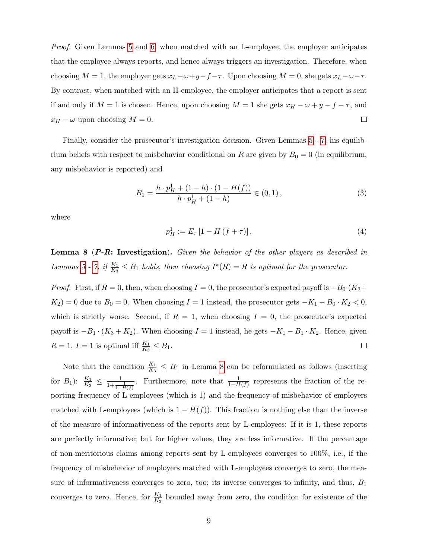Proof. Given Lemmas [5](#page-40-2) and [6,](#page-41-0) when matched with an L-employee, the employer anticipates that the employee always reports, and hence always triggers an investigation. Therefore, when choosing  $M = 1$ , the employer gets  $x_L - \omega + y - f - \tau$ . Upon choosing  $M = 0$ , she gets  $x_L - \omega - \tau$ . By contrast, when matched with an H-employee, the employer anticipates that a report is sent if and only if  $M = 1$  is chosen. Hence, upon choosing  $M = 1$  she gets  $x_H - \omega + y - f - \tau$ , and  $x_H - \omega$  upon choosing  $M = 0$ .  $\Box$ 

Finally, consider the prosecutor's investigation decision. Given Lemmas [5](#page-40-2) - [7,](#page-41-1) his equilibrium beliefs with respect to misbehavior conditional on R are given by  $B_0 = 0$  (in equilibrium, any misbehavior is reported) and

$$
B_1 = \frac{h \cdot p_H^1 + (1 - h) \cdot (1 - H(f))}{h \cdot p_H^1 + (1 - h)} \in (0, 1),\tag{3}
$$

where

<span id="page-42-1"></span>
$$
p_H^1 := E_\tau \left[ 1 - H \left( f + \tau \right) \right]. \tag{4}
$$

<span id="page-42-0"></span>Lemma 8 (P-R: Investigation). Given the behavior of the other players as described in Lemmas [5](#page-40-2) - [7,](#page-41-1) if  $\frac{K_1}{K_3} \leq B_1$  holds, then choosing  $I^*(R) = R$  is optimal for the prosecutor.

*Proof.* First, if  $R = 0$ , then, when choosing  $I = 0$ , the prosecutor's expected payoff is  $-B_0 \cdot (K_3 +$  $K_2$ ) = 0 due to  $B_0 = 0$ . When choosing  $I = 1$  instead, the prosecutor gets  $-K_1 - B_0 \cdot K_2 < 0$ , which is strictly worse. Second, if  $R = 1$ , when choosing  $I = 0$ , the prosecutor's expected payoff is  $-B_1 \cdot (K_3 + K_2)$ . When choosing  $I = 1$  instead, he gets  $-K_1 - B_1 \cdot K_2$ . Hence, given  $R = 1, I = 1$  is optimal iff  $\frac{K_1}{K_3} \leq B_1$ .  $\Box$ 

Note that the condition  $\frac{K_1}{K_3} \leq B_1$  in Lemma [8](#page-42-0) can be reformulated as follows (inserting for  $B_1$ ):  $\frac{K_1}{K_3} \leq \frac{1}{1+\frac{1}{1-H(f)}}$ . Furthermore, note that  $\frac{1}{1-H(f)}$  represents the fraction of the reporting frequency of L-employees (which is 1) and the frequency of misbehavior of employers matched with L-employees (which is  $1 - H(f)$ ). This fraction is nothing else than the inverse of the measure of informativeness of the reports sent by L-employees: If it is 1, these reports are perfectly informative; but for higher values, they are less informative. If the percentage of non-meritorious claims among reports sent by L-employees converges to 100%, i.e., if the frequency of misbehavior of employers matched with L-employees converges to zero, the measure of informativeness converges to zero, too; its inverse converges to infinity, and thus,  $B_1$ converges to zero. Hence, for  $\frac{K_1}{K_3}$  bounded away from zero, the condition for existence of the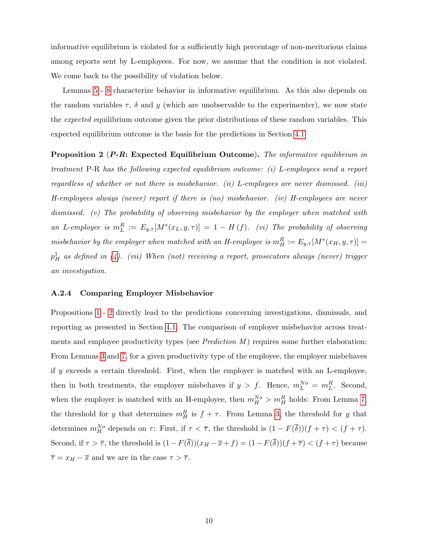informative equilibrium is violated for a sufficiently high percentage of non-meritorious claims among reports sent by L-employees. For now, we assume that the condition is not violated. We come back to the possibility of violation below.

Lemmas [5](#page-40-2) - [8](#page-42-0) characterize behavior in informative equilibrium. As this also depends on the random variables  $\tau$ ,  $\delta$  and y (which are unobservable to the experimenter), we now state the expected equilibrium outcome given the prior distributions of these random variables. This expected equilibrium outcome is the basis for the predictions in Section [4.1:](#page-12-4)

<span id="page-43-0"></span>Proposition 2 (P-R: Expected Equilibrium Outcome). The informative equilibrium in treatment P-R has the following expected equilibrium outcome: (i) L-employees send a report regardless of whether or not there is misbehavior. (ii) L-employees are never dismissed. (iii) H-employees always (never) report if there is (no) misbehavior. (iv) H-employees are never dismissed. (v) The probability of observing misbehavior by the employer when matched with an L-employee is  $m_L^R := E_{y,\tau}[M^*(x_L, y, \tau)] = 1 - H(f)$ . (vi) The probability of observing misbehavior by the employer when matched with an H-employee is  $m_H^R := E_{y,\tau}[M^*(x_H, y, \tau)] =$  $p^1_H$  as defined in [\(4\)](#page-42-1). (vii) When (not) receiving a report, prosecutors always (never) trigger an investigation.

#### A.2.4 Comparing Employer Misbehavior

Propositions [1](#page-40-0) - [2](#page-43-0) directly lead to the predictions concerning investigations, dismissals, and reporting as presented in Section [4.1.](#page-12-4) The comparison of employer misbehavior across treatments and employee productivity types (see *Prediction M*) requires some further elaboration: From Lemmas [3](#page-39-0) and [7,](#page-41-1) for a given productivity type of the employee, the employer misbehaves if  $y$  exceeds a certain threshold. First, when the employer is matched with an L-employee, then in both treatments, the employer misbehaves if  $y > f$ . Hence,  $m_L^{No} = m_L^R$ . Second, when the employer is matched with an H-employee, then  $m_H^{No} > m_H^R$  holds: From Lemma [7,](#page-41-1) the threshold for y that determines  $m_H^R$  is  $f + \tau$ . From Lemma [3,](#page-39-0) the threshold for y that determines  $m_H^{No}$  depends on  $\tau$ : First, if  $\tau < \overline{\tau}$ , the threshold is  $(1 - F(\overline{\delta}))(f + \tau) < (f + \tau)$ . Second, if  $\tau > \overline{\tau}$ , the threshold is  $(1 - F(\overline{\delta}))(x_H - \overline{x} + f) = (1 - F(\overline{\delta}))(f + \overline{\tau}) < (f + \tau)$  because  $\overline{\tau} = x_H - \overline{x}$  and we are in the case  $\tau > \overline{\tau}$ .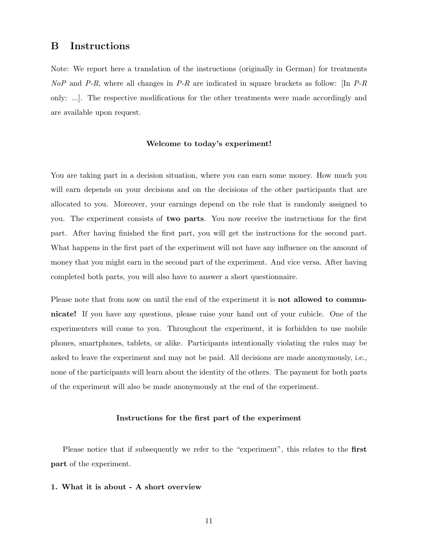## <span id="page-44-0"></span>B Instructions

Note: We report here a translation of the instructions (originally in German) for treatments  $NoP$  and P-R, where all changes in P-R are indicated in square brackets as follow: In P-R only: ...]. The respective modifications for the other treatments were made accordingly and are available upon request.

#### Welcome to today's experiment!

You are taking part in a decision situation, where you can earn some money. How much you will earn depends on your decisions and on the decisions of the other participants that are allocated to you. Moreover, your earnings depend on the role that is randomly assigned to you. The experiment consists of two parts. You now receive the instructions for the first part. After having finished the first part, you will get the instructions for the second part. What happens in the first part of the experiment will not have any influence on the amount of money that you might earn in the second part of the experiment. And vice versa. After having completed both parts, you will also have to answer a short questionnaire.

Please note that from now on until the end of the experiment it is **not allowed to commu**nicate! If you have any questions, please raise your hand out of your cubicle. One of the experimenters will come to you. Throughout the experiment, it is forbidden to use mobile phones, smartphones, tablets, or alike. Participants intentionally violating the rules may be asked to leave the experiment and may not be paid. All decisions are made anonymously, i.e., none of the participants will learn about the identity of the others. The payment for both parts of the experiment will also be made anonymously at the end of the experiment.

#### Instructions for the first part of the experiment

Please notice that if subsequently we refer to the "experiment", this relates to the first part of the experiment.

#### 1. What it is about - A short overview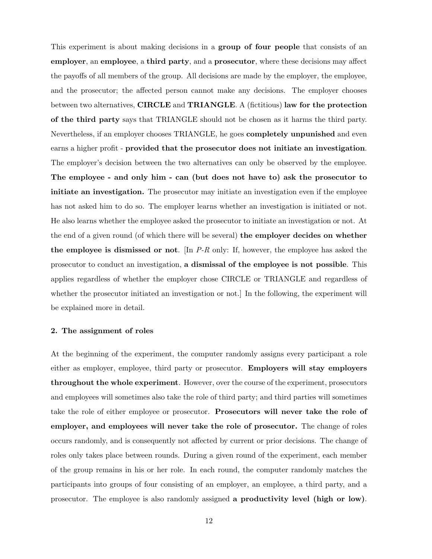This experiment is about making decisions in a group of four people that consists of an employer, an employee, a third party, and a prosecutor, where these decisions may affect the payoffs of all members of the group. All decisions are made by the employer, the employee, and the prosecutor; the affected person cannot make any decisions. The employer chooses between two alternatives, CIRCLE and TRIANGLE. A (fictitious) law for the protection of the third party says that TRIANGLE should not be chosen as it harms the third party. Nevertheless, if an employer chooses TRIANGLE, he goes completely unpunished and even earns a higher profit - provided that the prosecutor does not initiate an investigation. The employer's decision between the two alternatives can only be observed by the employee. The employee - and only him - can (but does not have to) ask the prosecutor to initiate an investigation. The prosecutor may initiate an investigation even if the employee has not asked him to do so. The employer learns whether an investigation is initiated or not. He also learns whether the employee asked the prosecutor to initiate an investigation or not. At the end of a given round (of which there will be several) the employer decides on whether the employee is dismissed or not.  $\text{In } P-R$  only: If, however, the employee has asked the prosecutor to conduct an investigation, a dismissal of the employee is not possible. This applies regardless of whether the employer chose CIRCLE or TRIANGLE and regardless of whether the prosecutor initiated an investigation or not.] In the following, the experiment will be explained more in detail.

#### 2. The assignment of roles

At the beginning of the experiment, the computer randomly assigns every participant a role either as employer, employee, third party or prosecutor. Employers will stay employers throughout the whole experiment. However, over the course of the experiment, prosecutors and employees will sometimes also take the role of third party; and third parties will sometimes take the role of either employee or prosecutor. Prosecutors will never take the role of employer, and employees will never take the role of prosecutor. The change of roles occurs randomly, and is consequently not affected by current or prior decisions. The change of roles only takes place between rounds. During a given round of the experiment, each member of the group remains in his or her role. In each round, the computer randomly matches the participants into groups of four consisting of an employer, an employee, a third party, and a prosecutor. The employee is also randomly assigned a productivity level (high or low).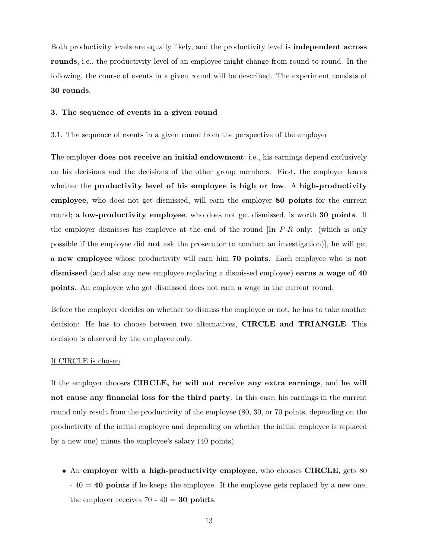Both productivity levels are equally likely, and the productivity level is independent across rounds, i.e., the productivity level of an employee might change from round to round. In the following, the course of events in a given round will be described. The experiment consists of 30 rounds.

#### 3. The sequence of events in a given round

3.1. The sequence of events in a given round from the perspective of the employer

The employer **does not receive an initial endowment**; i.e., his earnings depend exclusively on his decisions and the decisions of the other group members. First, the employer learns whether the productivity level of his employee is high or low. A high-productivity employee, who does not get dismissed, will earn the employer 80 points for the current round; a low-productivity employee, who does not get dismissed, is worth 30 points. If the employer dismisses his employee at the end of the round  $\overline{[In P-R]}$  only: (which is only possible if the employee did not ask the prosecutor to conduct an investigation)], he will get a new employee whose productivity will earn him 70 points. Each employee who is not dismissed (and also any new employee replacing a dismissed employee) earns a wage of 40 points. An employee who got dismissed does not earn a wage in the current round.

Before the employer decides on whether to dismiss the employee or not, he has to take another decision: He has to choose between two alternatives, CIRCLE and TRIANGLE. This decision is observed by the employee only.

#### If CIRCLE is chosen

If the employer chooses CIRCLE, he will not receive any extra earnings, and he will not cause any financial loss for the third party. In this case, his earnings in the current round only result from the productivity of the employee (80, 30, or 70 points, depending on the productivity of the initial employee and depending on whether the initial employee is replaced by a new one) minus the employee's salary (40 points).

 An employer with a high-productivity employee, who chooses CIRCLE, gets 80  $-40 = 40$  points if he keeps the employee. If the employee gets replaced by a new one, the employer receives  $70 - 40 = 30$  points.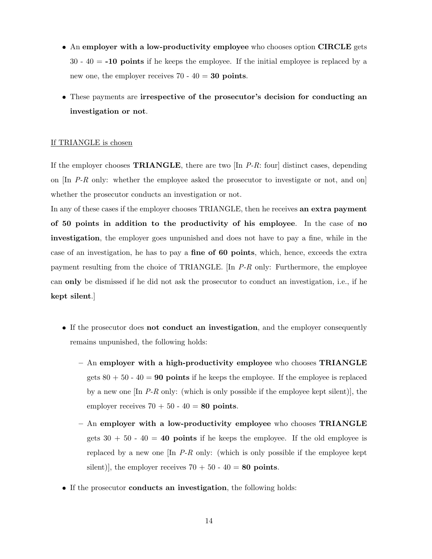- An employer with a low-productivity employee who chooses option CIRCLE gets  $30 - 40 = -10$  points if he keeps the employee. If the initial employee is replaced by a new one, the employer receives  $70 - 40 = 30$  points.
- These payments are irrespective of the prosecutor's decision for conducting an investigation or not.

#### If TRIANGLE is chosen

If the employer chooses **TRIANGLE**, there are two  $\left[ \text{In } P\text{-}R \right]$ : four distinct cases, depending on [In P-R only: whether the employee asked the prosecutor to investigate or not, and on] whether the prosecutor conducts an investigation or not.

In any of these cases if the employer chooses TRIANGLE, then he receives an extra payment of 50 points in addition to the productivity of his employee. In the case of no investigation, the employer goes unpunished and does not have to pay a fine, while in the case of an investigation, he has to pay a fine of 60 points, which, hence, exceeds the extra payment resulting from the choice of TRIANGLE. [In P-R only: Furthermore, the employee can only be dismissed if he did not ask the prosecutor to conduct an investigation, i.e., if he kept silent.]

- If the prosecutor does not conduct an investigation, and the employer consequently remains unpunished, the following holds:
	- An employer with a high-productivity employee who chooses TRIANGLE gets  $80 + 50 - 40 = 90$  points if he keeps the employee. If the employee is replaced by a new one  $[\text{In } P-R$  only: (which is only possible if the employee kept silent)], the employer receives  $70 + 50 - 40 = 80$  points.
	- An employer with a low-productivity employee who chooses TRIANGLE gets  $30 + 50 - 40 = 40$  points if he keeps the employee. If the old employee is replaced by a new one  $\text{In } P\text{-}R$  only: (which is only possible if the employee kept silent)], the employer receives  $70 + 50 - 40 = 80$  points.
- If the prosecutor conducts an investigation, the following holds: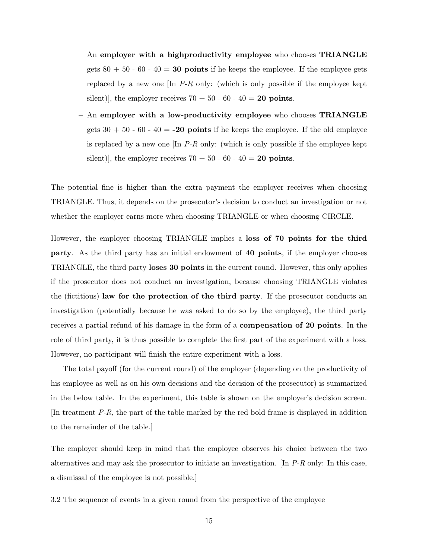- An employer with a highproductivity employee who chooses TRIANGLE gets  $80 + 50 - 60 - 40 = 30$  points if he keeps the employee. If the employee gets replaced by a new one  $\left[\text{In } P \text{-} R \text{ only: } (\text{which is only possible if the employee kept})\right]$ silent)], the employer receives  $70 + 50 - 60 - 40 = 20$  points.
- An employer with a low-productivity employee who chooses TRIANGLE gets  $30 + 50 - 60 - 40 = -20$  points if he keeps the employee. If the old employee is replaced by a new one  $\left[\text{In } P\text{-}R\right]$  only: (which is only possible if the employee kept silent)], the employer receives  $70 + 50 - 60 - 40 = 20$  points.

The potential fine is higher than the extra payment the employer receives when choosing TRIANGLE. Thus, it depends on the prosecutor's decision to conduct an investigation or not whether the employer earns more when choosing TRIANGLE or when choosing CIRCLE.

However, the employer choosing TRIANGLE implies a loss of 70 points for the third party. As the third party has an initial endowment of 40 points, if the employer chooses TRIANGLE, the third party loses 30 points in the current round. However, this only applies if the prosecutor does not conduct an investigation, because choosing TRIANGLE violates the (fictitious) law for the protection of the third party. If the prosecutor conducts an investigation (potentially because he was asked to do so by the employee), the third party receives a partial refund of his damage in the form of a compensation of 20 points. In the role of third party, it is thus possible to complete the first part of the experiment with a loss. However, no participant will finish the entire experiment with a loss.

The total payoff (for the current round) of the employer (depending on the productivity of his employee as well as on his own decisions and the decision of the prosecutor) is summarized in the below table. In the experiment, this table is shown on the employer's decision screen. [In treatment P-R, the part of the table marked by the red bold frame is displayed in addition to the remainder of the table.]

The employer should keep in mind that the employee observes his choice between the two alternatives and may ask the prosecutor to initiate an investigation. [In  $P-R$  only: In this case, a dismissal of the employee is not possible.]

3.2 The sequence of events in a given round from the perspective of the employee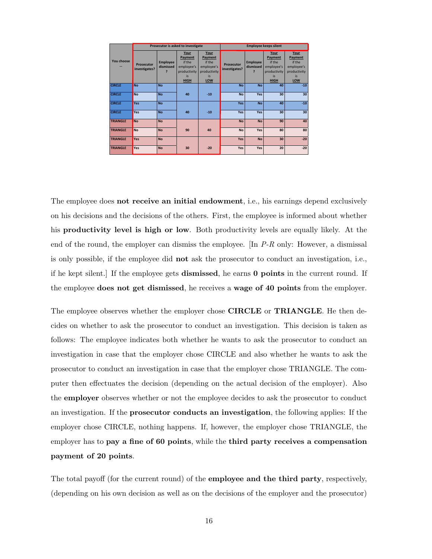|                 |                                    |                              | Prosecutor is asked to investigate                                           |                                                                       | <b>Employee keeps silent</b>       |                              |                                                                              |                                                                       |  |
|-----------------|------------------------------------|------------------------------|------------------------------------------------------------------------------|-----------------------------------------------------------------------|------------------------------------|------------------------------|------------------------------------------------------------------------------|-----------------------------------------------------------------------|--|
| You choose<br>  | <b>Prosecutor</b><br>investigates? | <b>Employee</b><br>dismissed | Your<br>Payment<br>if the<br>employee's<br>productivity<br>is<br><b>HIGH</b> | Your<br>Payment<br>if the<br>employee's<br>productivity<br>is.<br>LOW | <b>Prosecutor</b><br>investigates? | <b>Employee</b><br>dismissed | Your<br>Payment<br>if the<br>employee's<br>productivity<br>is<br><b>HIGH</b> | Your<br>Payment<br>if the<br>employee's<br>productivity<br>is.<br>LOW |  |
| <b>CIRCLE</b>   | <b>No</b>                          | <b>No</b>                    |                                                                              |                                                                       | <b>No</b>                          | <b>No</b>                    | 40                                                                           | $-10$                                                                 |  |
| <b>CIRCLE</b>   | <b>No</b>                          | <b>No</b>                    | 40                                                                           | $-10$                                                                 | <b>No</b>                          | Yes                          | 30                                                                           | 30                                                                    |  |
| <b>CIRCLE</b>   | Yes                                | <b>No</b>                    |                                                                              |                                                                       | Yes                                | <b>No</b>                    | 40                                                                           | $-10$                                                                 |  |
| <b>CIRCLE</b>   | Yes                                | <b>No</b>                    | 40                                                                           | $-10$                                                                 | Yes                                | Yes                          | 30                                                                           | 30                                                                    |  |
| <b>TRIANGLE</b> | <b>No</b>                          | <b>No</b>                    |                                                                              |                                                                       | <b>No</b>                          | <b>No</b>                    | 90                                                                           | 40                                                                    |  |
| <b>TRIANGLE</b> | <b>No</b>                          | <b>No</b>                    | 90                                                                           | 40                                                                    | <b>No</b>                          | Yes                          | 80                                                                           | 80                                                                    |  |
| <b>TRIANGLE</b> | Yes                                | <b>No</b>                    |                                                                              |                                                                       | Yes                                | <b>No</b>                    | 30                                                                           | $-20$                                                                 |  |
| <b>TRIANGLE</b> | Yes                                | <b>No</b>                    | 30                                                                           | $-20$                                                                 | Yes                                | Yes                          | 20                                                                           | $-20$                                                                 |  |

The employee does not receive an initial endowment, i.e., his earnings depend exclusively on his decisions and the decisions of the others. First, the employee is informed about whether his productivity level is high or low. Both productivity levels are equally likely. At the end of the round, the employer can dismiss the employee. [In P-R only: However, a dismissal is only possible, if the employee did not ask the prosecutor to conduct an investigation, i.e., if he kept silent.] If the employee gets dismissed, he earns 0 points in the current round. If the employee does not get dismissed, he receives a wage of 40 points from the employer.

The employee observes whether the employer chose CIRCLE or TRIANGLE. He then decides on whether to ask the prosecutor to conduct an investigation. This decision is taken as follows: The employee indicates both whether he wants to ask the prosecutor to conduct an investigation in case that the employer chose CIRCLE and also whether he wants to ask the prosecutor to conduct an investigation in case that the employer chose TRIANGLE. The computer then effectuates the decision (depending on the actual decision of the employer). Also the employer observes whether or not the employee decides to ask the prosecutor to conduct an investigation. If the prosecutor conducts an investigation, the following applies: If the employer chose CIRCLE, nothing happens. If, however, the employer chose TRIANGLE, the employer has to pay a fine of 60 points, while the third party receives a compensation payment of 20 points.

The total payoff (for the current round) of the employee and the third party, respectively, (depending on his own decision as well as on the decisions of the employer and the prosecutor)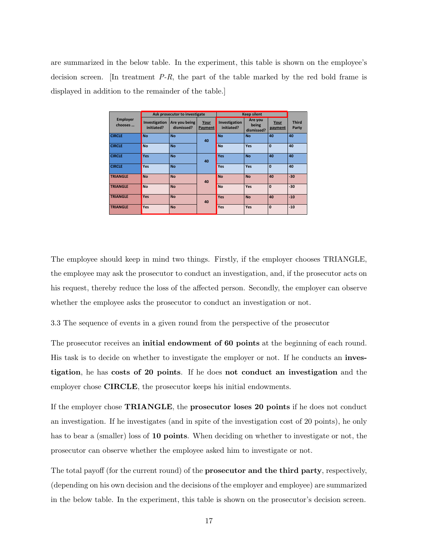are summarized in the below table. In the experiment, this table is shown on the employee's decision screen. In treatment  $P-R$ , the part of the table marked by the red bold frame is displayed in addition to the remainder of the table.]

|                            |                             | Ask prosecutor to investigate |                 |                             | <b>Keep silent</b>             |                 |                       |
|----------------------------|-----------------------------|-------------------------------|-----------------|-----------------------------|--------------------------------|-----------------|-----------------------|
| <b>Employer</b><br>chooses | Investigation<br>initiated? | Are you being<br>dismissed?   | Your<br>Payment | Investigation<br>initiated? | Are you<br>being<br>dismissed? | Your<br>payment | <b>Third</b><br>Party |
| <b>CIRCLE</b>              | <b>No</b>                   | <b>No</b>                     | 40              | <b>No</b>                   | <b>No</b>                      | 40              | 40                    |
| <b>CIRCLE</b>              | <b>No</b>                   | <b>No</b>                     |                 | <b>No</b>                   | Yes                            | $\mathbf{0}$    | 40                    |
| <b>CIRCLE</b>              | <b>Yes</b>                  | <b>No</b>                     | 40              | <b>Yes</b>                  | <b>No</b>                      | 40              | 40                    |
| <b>CIRCLE</b>              | Yes                         | <b>No</b>                     |                 | Yes                         | Yes                            | $\mathbf{0}$    | 40                    |
| <b>TRIANGLE</b>            | <b>No</b>                   | <b>No</b>                     | 40              | N <sub>o</sub>              | <b>No</b>                      | 40              | $-30$                 |
| <b>TRIANGLE</b>            | N <sub>o</sub>              | <b>No</b>                     |                 | N <sub>o</sub>              | Yes                            | $\mathbf{0}$    | $-30$                 |
| <b>TRIANGLE</b>            | Yes                         | <b>No</b>                     | 40              | <b>Yes</b>                  | <b>No</b>                      | 40              | $-10$                 |
| <b>TRIANGLE</b>            | Yes                         | <b>No</b>                     |                 | Yes                         | Yes                            | $\mathbf{0}$    | $-10$                 |

The employee should keep in mind two things. Firstly, if the employer chooses TRIANGLE, the employee may ask the prosecutor to conduct an investigation, and, if the prosecutor acts on his request, thereby reduce the loss of the affected person. Secondly, the employer can observe whether the employee asks the prosecutor to conduct an investigation or not.

3.3 The sequence of events in a given round from the perspective of the prosecutor

The prosecutor receives an **initial endowment of 60 points** at the beginning of each round. His task is to decide on whether to investigate the employer or not. If he conducts an investigation, he has costs of 20 points. If he does not conduct an investigation and the employer chose CIRCLE, the prosecutor keeps his initial endowments.

If the employer chose TRIANGLE, the prosecutor loses 20 points if he does not conduct an investigation. If he investigates (and in spite of the investigation cost of 20 points), he only has to bear a (smaller) loss of 10 points. When deciding on whether to investigate or not, the prosecutor can observe whether the employee asked him to investigate or not.

The total payoff (for the current round) of the prosecutor and the third party, respectively, (depending on his own decision and the decisions of the employer and employee) are summarized in the below table. In the experiment, this table is shown on the prosecutor's decision screen.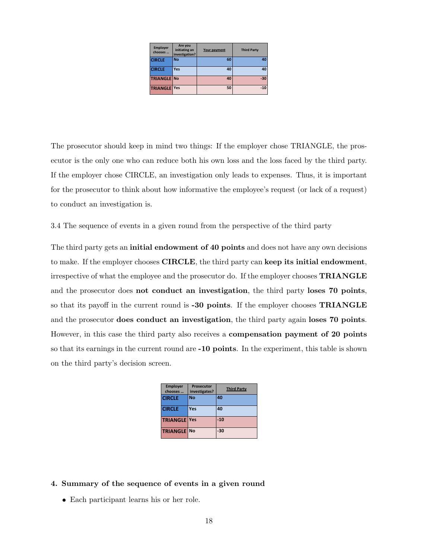| <b>Employer</b><br>chooses | Are you<br>initiating an<br>investigation? | <b>Your payment</b> | <b>Third Party</b> |
|----------------------------|--------------------------------------------|---------------------|--------------------|
| <b>CIRCLE</b>              | <b>No</b>                                  | 60                  | 40                 |
| <b>CIRCLE</b>              | Yes                                        | 40                  | 40                 |
| <b>TRIANGLE No</b>         |                                            | 40                  | $-30$              |
| <b>TRIANGLE</b> Yes        |                                            | 50                  | $-10$              |

The prosecutor should keep in mind two things: If the employer chose TRIANGLE, the prosecutor is the only one who can reduce both his own loss and the loss faced by the third party. If the employer chose CIRCLE, an investigation only leads to expenses. Thus, it is important for the prosecutor to think about how informative the employee's request (or lack of a request) to conduct an investigation is.

3.4 The sequence of events in a given round from the perspective of the third party

The third party gets an **initial endowment of 40 points** and does not have any own decisions to make. If the employer chooses CIRCLE, the third party can keep its initial endowment, irrespective of what the employee and the prosecutor do. If the employer chooses **TRIANGLE** and the prosecutor does not conduct an investigation, the third party loses 70 points, so that its payoff in the current round is **-30 points**. If the employer chooses **TRIANGLE** and the prosecutor does conduct an investigation, the third party again loses 70 points. However, in this case the third party also receives a **compensation payment of 20 points** so that its earnings in the current round are -10 points. In the experiment, this table is shown on the third party's decision screen.

| <b>Employer</b><br>chooses | <b>Prosecutor</b><br>investigates? | <b>Third Party</b> |
|----------------------------|------------------------------------|--------------------|
| <b>CIRCLE</b>              | <b>No</b>                          | 40                 |
| <b>CIRCLE</b>              | Yes                                | 40                 |
| <b>TRIANGLE Yes</b>        |                                    | $-10$              |
| <b>TRIANGLE No</b>         |                                    | $-30$              |

### 4. Summary of the sequence of events in a given round

Each participant learns his or her role.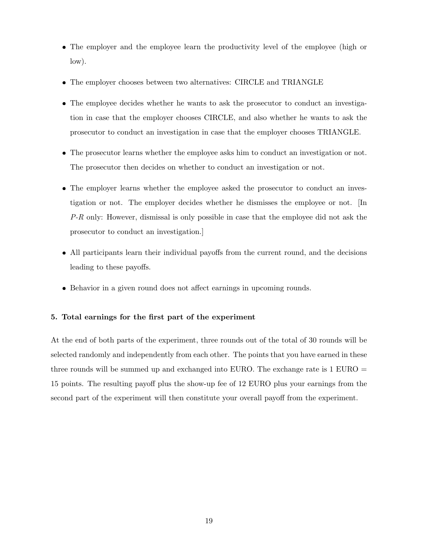- The employer and the employee learn the productivity level of the employee (high or low).
- The employer chooses between two alternatives: CIRCLE and TRIANGLE
- The employee decides whether he wants to ask the prosecutor to conduct an investigation in case that the employer chooses CIRCLE, and also whether he wants to ask the prosecutor to conduct an investigation in case that the employer chooses TRIANGLE.
- The prosecutor learns whether the employee asks him to conduct an investigation or not. The prosecutor then decides on whether to conduct an investigation or not.
- The employer learns whether the employee asked the prosecutor to conduct an investigation or not. The employer decides whether he dismisses the employee or not. [In P-R only: However, dismissal is only possible in case that the employee did not ask the prosecutor to conduct an investigation.]
- All participants learn their individual payoffs from the current round, and the decisions leading to these payoffs.
- Behavior in a given round does not affect earnings in upcoming rounds.

#### 5. Total earnings for the first part of the experiment

At the end of both parts of the experiment, three rounds out of the total of 30 rounds will be selected randomly and independently from each other. The points that you have earned in these three rounds will be summed up and exchanged into EURO. The exchange rate is 1 EURO = 15 points. The resulting payoff plus the show-up fee of 12 EURO plus your earnings from the second part of the experiment will then constitute your overall payoff from the experiment.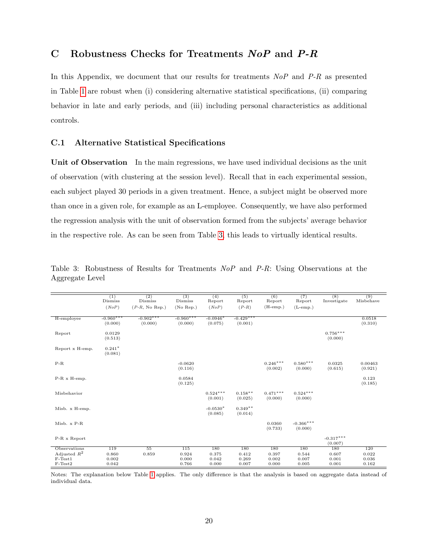## <span id="page-53-0"></span>C Robustness Checks for Treatments NoP and P-R

In this Appendix, we document that our results for treatments  $NoP$  and  $P-R$  as presented in Table [1](#page-17-0) are robust when (i) considering alternative statistical specifications, (ii) comparing behavior in late and early periods, and (iii) including personal characteristics as additional controls.

#### C.1 Alternative Statistical Specifications

Unit of Observation In the main regressions, we have used individual decisions as the unit of observation (with clustering at the session level). Recall that in each experimental session, each subject played 30 periods in a given treatment. Hence, a subject might be observed more than once in a given role, for example as an L-employee. Consequently, we have also performed the regression analysis with the unit of observation formed from the subjects' average behavior in the respective role. As can be seen from Table [3,](#page-53-1) this leads to virtually identical results.

|                                          | (1)<br>Dismiss<br>(NoP) | (2)<br>Dismiss<br>$(P-R, No Rep.)$ | (3)<br>Dismiss<br>(No Rep.) | (4)<br>Report<br>(NoP)  | (5)<br>Report<br>$(P-R)$ | (6)<br>Report<br>$(H-emp.)$ | (7)<br>Report<br>$(L-emp.)$ | (8)<br>Investigate      | (9)<br>Misbehave        |
|------------------------------------------|-------------------------|------------------------------------|-----------------------------|-------------------------|--------------------------|-----------------------------|-----------------------------|-------------------------|-------------------------|
| H-employee                               | $-0.960***$<br>(0.000)  | $-0.902***$<br>(0.000)             | $-0.960***$<br>(0.000)      | $-0.0946*$<br>(0.075)   | $-0.429***$<br>(0.001)   |                             |                             |                         | 0.0518<br>(0.310)       |
| Report                                   | 0.0129<br>(0.513)       |                                    |                             |                         |                          |                             |                             | $0.756***$<br>(0.000)   |                         |
| Report x H-emp.                          | $0.241*$<br>(0.081)     |                                    |                             |                         |                          |                             |                             |                         |                         |
| $P-R$                                    |                         |                                    | $-0.0620$<br>(0.116)        |                         |                          | $0.246***$<br>(0.002)       | $0.580***$<br>(0.000)       | 0.0325<br>(0.615)       | 0.00463<br>(0.921)      |
| P-R x H-emp.                             |                         |                                    | 0.0584<br>(0.125)           |                         |                          |                             |                             |                         | 0.123<br>(0.185)        |
| Misbehavior                              |                         |                                    |                             | $0.524***$<br>(0.001)   | $0.158**$<br>(0.025)     | $0.471***$<br>(0.000)       | $0.524***$<br>(0.000)       |                         |                         |
| Misb. x H-emp.                           |                         |                                    |                             | $-0.0530*$<br>(0.085)   | $0.349**$<br>(0.014)     |                             |                             |                         |                         |
| Misb. x P-R                              |                         |                                    |                             |                         |                          | 0.0360<br>(0.733)           | $-0.366***$<br>(0.000)      |                         |                         |
| P-R x Report                             |                         |                                    |                             |                         |                          |                             |                             | $-0.317***$<br>(0.007)  |                         |
| Observations                             | 119                     | 55                                 | 115                         | 180                     | 180                      | 180                         | 180                         | 180                     | 120                     |
| Adjusted $R^2$<br>$F-Test1$<br>$F-Test2$ | 0.860<br>0.002<br>0.042 | 0.859                              | 0.924<br>0.000<br>0.766     | 0.375<br>0.042<br>0.000 | 0.412<br>0.269<br>0.007  | 0.397<br>0.002<br>0.000     | 0.544<br>0.007<br>0.005     | 0.607<br>0.001<br>0.001 | 0.022<br>0.036<br>0.162 |

<span id="page-53-1"></span>Table 3: Robustness of Results for Treatments NoP and P-R: Using Observations at the Aggregate Level

Notes: The explanation below Table [1](#page-17-0) applies. The only difference is that the analysis is based on aggregate data instead of individual data.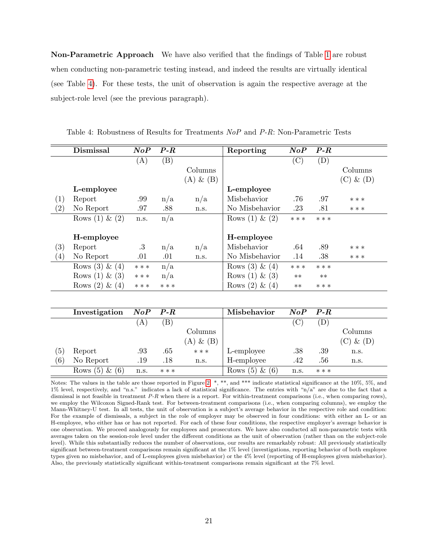Non-Parametric Approach We have also verified that the findings of Table [1](#page-17-0) are robust when conducting non-parametric testing instead, and indeed the results are virtually identical (see Table [4\)](#page-54-0). For these tests, the unit of observation is again the respective average at the subject-role level (see the previous paragraph).

<span id="page-54-0"></span>

|                   | <b>Dismissal</b>    | NoP     | $P-R$                      |              | Reporting             | NoP            | $P-R$ |                                     |
|-------------------|---------------------|---------|----------------------------|--------------|-----------------------|----------------|-------|-------------------------------------|
|                   |                     | (A)     | $\left( \mathrm{B}\right)$ |              |                       | $(\mathrm{C})$ | (D)   |                                     |
|                   |                     |         |                            | Columns      |                       |                |       | Columns                             |
|                   |                     |         |                            | $(A) \& (B)$ |                       |                |       | & (D)<br>$\left( \mathrm{C}\right)$ |
|                   | L-employee          |         |                            |              | L-employee            |                |       |                                     |
| $\left( 1\right)$ | Report              | .99     | n/a                        | n/a          | Misbehavior           | .76            | .97   | * * *                               |
| $\left( 2\right)$ | No Report           | .97     | .88                        | n.s.         | No Misbehavior        | .23            | .81   | * * *                               |
|                   | Rows $(1)$ & $(2)$  | n.s.    | n/a                        |              | Rows $(1) \& (2)$     | * * *          | * * * |                                     |
|                   | H-employee          |         |                            |              | H-employee            |                |       |                                     |
| $\left( 3\right)$ | Report              | .3      | n/a                        | n/a          | Misbehavior           | .64            | .89   | * * *                               |
| $\left( 4\right)$ | No Report           | .01     | .01                        | n.s.         | No Misbehavior        | .14            | .38   | * * *                               |
|                   | Rows $(3)$ & $(4)$  | $* * *$ | n/a                        |              | Rows $(3) \& (4)$     | * * *          | * * * |                                     |
|                   | Rows $(1) \& (3)$   | $***$   | n/a                        |              | Rows $(1)$<br>$\&(3)$ | $**$           | $**$  |                                     |
|                   | Rows $(2)$ &<br>(4) | $* * *$ | * * *                      |              | Rows $(2)$ &<br>(4)   | $**$           | * * * |                                     |

Table 4: Robustness of Results for Treatments NoP and P-R: Non-Parametric Tests

|                  | Investigation     | $\bm{NoP}$   | $P-R$         |              | <b>Misbehavior</b>     | $NoP$ $P-R$ |       |                 |
|------------------|-------------------|--------------|---------------|--------------|------------------------|-------------|-------|-----------------|
|                  |                   | $A^{\prime}$ | $\mathbf{B})$ |              |                        | Ć           | D     |                 |
|                  |                   |              |               | Columns      |                        |             |       | Columns         |
|                  |                   |              |               | $(A) \& (B)$ |                        |             |       | $\&$ (D)<br>(C) |
| $\left(5\right)$ | Report            | .93          | .65           | $* * *$      | L-employee             | .38         | .39   | n.s.            |
| (6)              | No Report         | .19          | .18           | n.s.         | H-employee             | .42         | .56   | n.s.            |
|                  | Rows $(5) \& (6)$ | n.s.         | * * *         |              | Rows $(5)$<br>&<br>(6) | n.s.        | * * * |                 |

Notes: The values in the table are those reported in Figure [2.](#page-16-0) \*, \*\*, and \*\*\* indicate statistical significance at the 10%, 5%, and  $1\%$  level, respectively, and "n.s." indicates a lack of statistical significance. The entries with "n/a" are due to the fact that a dismissal is not feasible in treatment P-R when there is a report. For within-treatment comparisons (i.e., when comparing rows), we employ the Wilcoxon Signed-Rank test. For between-treatment comparisons (i.e., when comparing columns), we employ the Mann-Whitney-U test. In all tests, the unit of observation is a subject's average behavior in the respective role and condition: For the example of dismissals, a subject in the role of employer may be observed in four conditions: with either an L- or an H-employee, who either has or has not reported. For each of these four conditions, the respective employer's average behavior is one observation. We proceed analogously for employees and prosecutors. We have also conducted all non-parametric tests with averages taken on the session-role level under the different conditions as the unit of observation (rather than on the subject-role level). While this substantially reduces the number of observations, our results are remarkably robust: All previously statistically significant between-treatment comparisons remain significant at the 1% level (investigations, reporting behavior of both employee types given no misbehavior, and of L-employees given misbehavior) or the 4% level (reporting of H-employees given misbehavior). Also, the previously statistically significant within-treatment comparisons remain significant at the 7% level.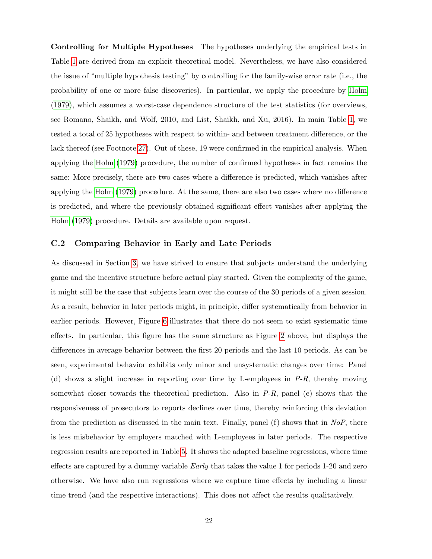Controlling for Multiple Hypotheses The hypotheses underlying the empirical tests in Table [1](#page-17-0) are derived from an explicit theoretical model. Nevertheless, we have also considered the issue of "multiple hypothesis testing" by controlling for the family-wise error rate (i.e., the probability of one or more false discoveries). In particular, we apply the procedure by [Holm](#page-31-8) [\(1979\)](#page-31-8), which assumes a worst-case dependence structure of the test statistics (for overviews, see Romano, Shaikh, and Wolf, 2010, and List, Shaikh, and Xu, 2016). In main Table [1,](#page-17-0) we tested a total of 25 hypotheses with respect to within- and between treatment difference, or the lack thereof (see Footnote [27\)](#page-15-0). Out of these, 19 were confirmed in the empirical analysis. When applying the [Holm](#page-31-8) [\(1979\)](#page-31-8) procedure, the number of confirmed hypotheses in fact remains the same: More precisely, there are two cases where a difference is predicted, which vanishes after applying the [Holm](#page-31-8) [\(1979\)](#page-31-8) procedure. At the same, there are also two cases where no difference is predicted, and where the previously obtained significant effect vanishes after applying the [Holm](#page-31-8) [\(1979\)](#page-31-8) procedure. Details are available upon request.

#### <span id="page-55-0"></span>C.2 Comparing Behavior in Early and Late Periods

As discussed in Section [3,](#page-8-0) we have strived to ensure that subjects understand the underlying game and the incentive structure before actual play started. Given the complexity of the game, it might still be the case that subjects learn over the course of the 30 periods of a given session. As a result, behavior in later periods might, in principle, differ systematically from behavior in earlier periods. However, Figure [6](#page-56-3) illustrates that there do not seem to exist systematic time effects. In particular, this figure has the same structure as Figure [2](#page-16-0) above, but displays the differences in average behavior between the first 20 periods and the last 10 periods. As can be seen, experimental behavior exhibits only minor and unsystematic changes over time: Panel (d) shows a slight increase in reporting over time by L-employees in P-R, thereby moving somewhat closer towards the theoretical prediction. Also in  $P-R$ , panel (e) shows that the responsiveness of prosecutors to reports declines over time, thereby reinforcing this deviation from the prediction as discussed in the main text. Finally, panel  $(f)$  shows that in  $NoP$ , there is less misbehavior by employers matched with L-employees in later periods. The respective regression results are reported in Table [5.](#page-57-0) It shows the adapted baseline regressions, where time effects are captured by a dummy variable  $Early$  that takes the value 1 for periods 1-20 and zero otherwise. We have also run regressions where we capture time effects by including a linear time trend (and the respective interactions). This does not affect the results qualitatively.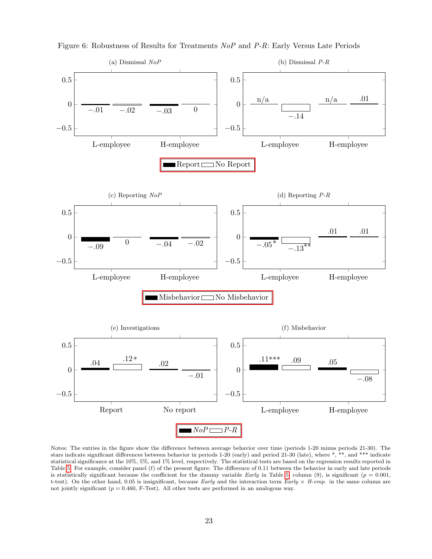<span id="page-56-0"></span>

<span id="page-56-3"></span>Figure 6: Robustness of Results for Treatments NoP and P-R: Early Versus Late Periods

<span id="page-56-2"></span><span id="page-56-1"></span>Notes: The entries in the figure show the difference between average behavior over time (periods 1-20 minus periods 21-30). The stars indicate significant differences between behavior in periods 1-20 (early) and period 21-30 (late), where \*, \*\*, and \*\*\* indicate statistical significance at the 10%, 5%, and 1% level, respectively. The statistical tests are based on the regression results reported in Table [5.](#page-57-0) For example, consider panel (f) of the present figure: The difference of 0.11 between the behavior in early and late periods is statistically significant because the coefficient for the dummy variable Early in Table [5,](#page-57-0) column (9), is significant ( $p = 0.001$ , t-test). On the other hand, 0.05 is insignificant, because Early and the interaction term Early  $\times$  H-emp. in the same column are not jointly significant ( $p = 0.460$ , F-Test). All other tests are performed in an analogous way.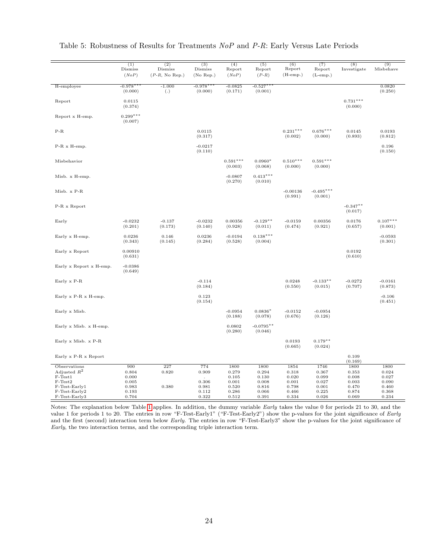|                                | (1)        | (2)              | $\overline{(3)}$ | (4)        | (5)         | (6)         | (7)         | (8)         | (9)        |
|--------------------------------|------------|------------------|------------------|------------|-------------|-------------|-------------|-------------|------------|
|                                | Dismiss    | Dismiss          | Dismiss          | Report     | Report      | Report      | Report      | Investigate | Misbehave  |
|                                | (NoP)      | $(P-R, No Rep.)$ | (No Rep.)        | (NoP)      | $(P-R)$     | $(H$ -emp.) | $(L-emp.)$  |             |            |
|                                |            |                  |                  |            |             |             |             |             |            |
|                                | $-0.978**$ | $-1.000$         | $-0.978***$      | $-0.0825$  | $-0.527*$   |             |             |             | 0.0820     |
| H-employee                     | (0.000)    | (.)              | (0.000)          | (0.171)    | (0.001)     |             |             |             | (0.250)    |
|                                |            |                  |                  |            |             |             |             |             |            |
| Report                         | 0.0115     |                  |                  |            |             |             |             | $0.731***$  |            |
|                                | (0.374)    |                  |                  |            |             |             |             | (0.000)     |            |
|                                |            |                  |                  |            |             |             |             |             |            |
| Report x H-emp.                | $0.299***$ |                  |                  |            |             |             |             |             |            |
|                                | (0.007)    |                  |                  |            |             |             |             |             |            |
|                                |            |                  |                  |            |             |             |             |             |            |
| $P-R$                          |            |                  | 0.0115           |            |             | $0.231***$  | $0.676***$  | 0.0145      | 0.0193     |
|                                |            |                  | (0.317)          |            |             | (0.002)     | (0.000)     | (0.893)     | (0.812)    |
|                                |            |                  | $-0.0217$        |            |             |             |             |             |            |
| P-R x H-emp.                   |            |                  | (0.110)          |            |             |             |             |             | 0.196      |
|                                |            |                  |                  |            |             |             |             |             | (0.150)    |
| Misbehavior                    |            |                  |                  | $0.591***$ | $0.0960*$   | $0.510***$  | $0.591***$  |             |            |
|                                |            |                  |                  | (0.003)    | (0.068)     | (0.000)     | (0.000)     |             |            |
|                                |            |                  |                  |            |             |             |             |             |            |
| Misb. x H-emp.                 |            |                  |                  | $-0.0807$  | $0.413***$  |             |             |             |            |
|                                |            |                  |                  | (0.270)    | (0.010)     |             |             |             |            |
|                                |            |                  |                  |            |             |             |             |             |            |
| Misb. x P-R                    |            |                  |                  |            |             | $-0.00136$  | $-0.495***$ |             |            |
|                                |            |                  |                  |            |             | (0.991)     | (0.001)     |             |            |
|                                |            |                  |                  |            |             |             |             |             |            |
| P-R x Report                   |            |                  |                  |            |             |             |             | $-0.347**$  |            |
|                                |            |                  |                  |            |             |             |             | (0.017)     |            |
| Early                          | $-0.0232$  | $-0.137$         | $-0.0232$        | 0.00356    | $-0.129**$  | $-0.0159$   | 0.00356     | 0.0176      | $0.107***$ |
|                                | (0.201)    | (0.173)          | (0.140)          | (0.928)    | (0.011)     | (0.474)     | (0.921)     | (0.657)     | (0.001)    |
|                                |            |                  |                  |            |             |             |             |             |            |
| Early x H-emp.                 | 0.0236     | 0.146            | 0.0236           | $-0.0194$  | $0.138***$  |             |             |             | $-0.0593$  |
|                                | (0.343)    | (0.145)          | (0.284)          | (0.528)    | (0.004)     |             |             |             | (0.301)    |
|                                |            |                  |                  |            |             |             |             |             |            |
| Early x Report                 | 0.00910    |                  |                  |            |             |             |             | 0.0192      |            |
|                                | (0.631)    |                  |                  |            |             |             |             | (0.610)     |            |
|                                |            |                  |                  |            |             |             |             |             |            |
| Early x Report x H-emp.        | $-0.0386$  |                  |                  |            |             |             |             |             |            |
|                                | (0.649)    |                  |                  |            |             |             |             |             |            |
| Early x P-R                    |            |                  | $-0.114$         |            |             | 0.0248      | $-0.133**$  | $-0.0272$   | $-0.0161$  |
|                                |            |                  | (0.184)          |            |             | (0.550)     | (0.015)     | (0.707)     | (0.873)    |
|                                |            |                  |                  |            |             |             |             |             |            |
| Early x P-R x H-emp.           |            |                  | 0.123            |            |             |             |             |             | $-0.106$   |
|                                |            |                  | (0.154)          |            |             |             |             |             | (0.451)    |
|                                |            |                  |                  |            |             |             |             |             |            |
| Early x Misb.                  |            |                  |                  | $-0.0954$  | $0.0836*$   | $-0.0152$   | $-0.0954$   |             |            |
|                                |            |                  |                  | (0.188)    | (0.078)     | (0.676)     | (0.126)     |             |            |
|                                |            |                  |                  |            |             |             |             |             |            |
| Early x Misb. x H-emp.         |            |                  |                  | 0.0802     | $-0.0795**$ |             |             |             |            |
|                                |            |                  |                  | (0.280)    | (0.046)     |             |             |             |            |
| Early x Misb. x P-R            |            |                  |                  |            |             | 0.0193      | $0.179**$   |             |            |
|                                |            |                  |                  |            |             | (0.665)     | (0.024)     |             |            |
|                                |            |                  |                  |            |             |             |             |             |            |
| Early x P-R x Report           |            |                  |                  |            |             |             |             | 0.109       |            |
|                                |            |                  |                  |            |             |             |             | (0.169)     |            |
| Observations                   | 900        | 227              | 774              | 1800       | 1800        | 1854        | 1746        | 1800        | 1800       |
| Adjusted $R^2$                 | 0.804      | 0.820            | 0.909            | 0.279      | 0.294       | 0.318       | 0.367       | 0.353       | 0.024      |
| $F-Test1$                      | 0.000      |                  |                  | 0.105      | 0.130       | 0.020       | 0.099       | 0.008       | 0.027      |
| $\operatorname{F-Test2}$       | 0.005      |                  | 0.306            | 0.001      | 0.008       | 0.001       | 0.027       | 0.003       | 0.090      |
| $\operatorname{F-Test-Early1}$ | 0.983      | 0.380            | 0.981            | 0.520      | 0.816       | 0.798       | 0.001       | 0.470       | 0.460      |
| F-Test-Early2                  | 0.193      |                  | 0.112            | 0.286      | 0.066       | 0.466       | 0.225       | 0.874       | 0.368      |
| F-Test-Early3                  | 0.704      |                  | 0.322            | 0.512      | 0.391       | 0.334       | 0.026       | 0.069       | 0.234      |

### <span id="page-57-0"></span>Table 5: Robustness of Results for Treatments NoP and P-R: Early Versus Late Periods

Notes: The explanation below Table [1](#page-17-0) applies. In addition, the dummy variable Early takes the value 0 for periods 21 to 30, and the value 1 for periods 1 to 20. The entries in row "F-Test-Early1" ("F-Test-Early2") show the p-values for the joint significance of Early and the first (second) interaction term below *Early*. The entries in row "F-Test-Early3" show the p-values for the joint significance of Early, the two interaction terms, and the corresponding triple interaction term.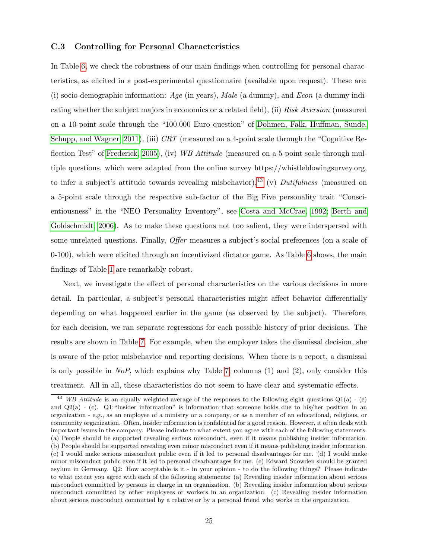#### C.3 Controlling for Personal Characteristics

In Table [6,](#page-59-0) we check the robustness of our main findings when controlling for personal characteristics, as elicited in a post-experimental questionnaire (available upon request). These are: (i) socio-demographic information: Age (in years), Male (a dummy), and Econ (a dummy indicating whether the subject majors in economics or a related field), (ii) Risk Aversion (measured on a 10-point scale through the "100.000 Euro question" of [Dohmen, Falk, Huffman, Sunde,](#page-30-8) [Schupp, and Wagner, 2011\)](#page-30-8), (iii) CRT (measured on a 4-point scale through the "Cognitive Re-flection Test" of [Frederick, 2005\)](#page-31-9), (iv) WB Attitude (measured on a 5-point scale through multiple questions, which were adapted from the online survey https://whistleblowingsurvey.org, to infer a subject's attitude towards revealing misbehavior),<sup>[43](#page-58-0)</sup> (v) Dutifulness (measured on a 5-point scale through the respective sub-factor of the Big Five personality trait "Conscientiousness" in the "NEO Personality Inventory", see [Costa and McCrae, 1992;](#page-29-8) [Berth and](#page-29-9) [Goldschmidt, 2006\)](#page-29-9). As to make these questions not too salient, they were interspersed with some unrelated questions. Finally, *Offer* measures a subject's social preferences (on a scale of 0-100), which were elicited through an incentivized dictator game. As Table [6](#page-59-0) shows, the main findings of Table [1](#page-17-0) are remarkably robust.

Next, we investigate the effect of personal characteristics on the various decisions in more detail. In particular, a subject's personal characteristics might affect behavior differentially depending on what happened earlier in the game (as observed by the subject). Therefore, for each decision, we ran separate regressions for each possible history of prior decisions. The results are shown in Table [7.](#page-60-0) For example, when the employer takes the dismissal decision, she is aware of the prior misbehavior and reporting decisions. When there is a report, a dismissal is only possible in  $NoP$ , which explains why Table [7,](#page-60-0) columns (1) and (2), only consider this treatment. All in all, these characteristics do not seem to have clear and systematic effects.

<span id="page-58-0"></span> $43$  WB Attitude is an equally weighted average of the responses to the following eight questions Q1(a) - (e) and  $Q2(a)$  - (c).  $Q1$ : "Insider information" is information that someone holds due to his/her position in an organization - e.g., as an employee of a ministry or a company, or as a member of an educational, religious, or community organization. Often, insider information is confidential for a good reason. However, it often deals with important issues in the company. Please indicate to what extent you agree with each of the following statements: (a) People should be supported revealing serious misconduct, even if it means publishing insider information. (b) People should be supported revealing even minor misconduct even if it means publishing insider information. (c) I would make serious misconduct public even if it led to personal disadvantages for me. (d) I would make minor misconduct public even if it led to personal disadvantages for me. (e) Edward Snowden should be granted asylum in Germany. Q2: How acceptable is it - in your opinion - to do the following things? Please indicate to what extent you agree with each of the following statements: (a) Revealing insider information about serious misconduct committed by persons in charge in an organization. (b) Revealing insider information about serious misconduct committed by other employees or workers in an organization. (c) Revealing insider information about serious misconduct committed by a relative or by a personal friend who works in the organization.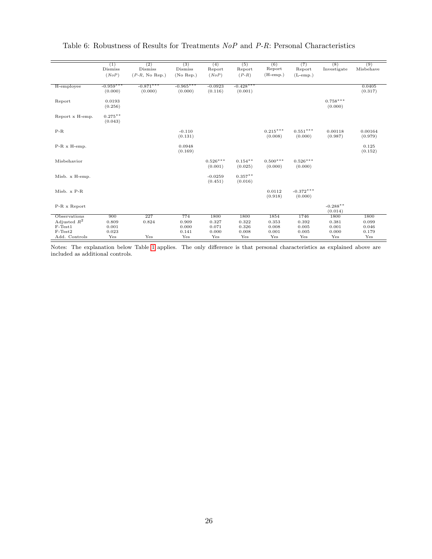|                      | (1)<br>Dismiss<br>(NoP) | $\overline{(2)}$<br>Dismiss<br>$(P-R, No Rep.)$ | (3)<br>Dismiss<br>(No Rep.) | (4)<br>Report<br>(NoP) | $\overline{(5)}$<br>Report<br>$(P-R)$ | (6)<br>Report<br>$(H-emp.)$ | (7)<br>Report<br>$(L-emp.)$ | (8)<br>Investigate    | (9)<br>Misbehave   |
|----------------------|-------------------------|-------------------------------------------------|-----------------------------|------------------------|---------------------------------------|-----------------------------|-----------------------------|-----------------------|--------------------|
| H-employee           | $-0.959***$<br>(0.000)  | $-0.871***$<br>(0.000)                          | $-0.965***$<br>(0.000)      | $-0.0923$<br>(0.116)   | $-0.428***$<br>(0.001)                |                             |                             |                       | 0.0405<br>(0.317)  |
| Report               | 0.0193<br>(0.256)       |                                                 |                             |                        |                                       |                             |                             | $0.758***$<br>(0.000) |                    |
| Report x H-emp.      | $0.275***$<br>(0.043)   |                                                 |                             |                        |                                       |                             |                             |                       |                    |
| $P-R$                |                         |                                                 | $-0.110$<br>(0.131)         |                        |                                       | $0.215***$<br>(0.008)       | $0.551***$<br>(0.000)       | 0.00118<br>(0.987)    | 0.00164<br>(0.979) |
| $P-R \times H$ -emp. |                         |                                                 | 0.0948<br>(0.169)           |                        |                                       |                             |                             |                       | 0.125<br>(0.152)   |
| Misbehavior          |                         |                                                 |                             | $0.526***$<br>(0.001)  | $0.154***$<br>(0.025)                 | $0.500***$<br>(0.000)       | $0.526***$<br>(0.000)       |                       |                    |
| Misb. x H-emp.       |                         |                                                 |                             | $-0.0259$<br>(0.451)   | $0.357***$<br>(0.016)                 |                             |                             |                       |                    |
| Misb. x P-R          |                         |                                                 |                             |                        |                                       | 0.0112<br>(0.918)           | $-0.372***$<br>(0.000)      |                       |                    |
| P-R x Report         |                         |                                                 |                             |                        |                                       |                             |                             | $-0.288**$<br>(0.014) |                    |
| Observations         | 900                     | 227                                             | 774                         | 1800                   | 1800                                  | 1854                        | 1746                        | 1800                  | 1800               |
| Adjusted $R^2$       | 0.809                   | 0.824                                           | 0.909                       | 0.327                  | 0.322                                 | 0.353                       | 0.392                       | 0.381                 | 0.099              |
| $F-Test1$            | 0.001                   |                                                 | 0.000                       | 0.071                  | 0.326                                 | 0.008                       | 0.005                       | 0.001                 | 0.046              |
| $F-Test2$            | 0.023                   |                                                 | 0.141                       | 0.000                  | 0.008                                 | 0.001                       | 0.005                       | 0.000                 | 0.179              |
| Add. Controls        | Yes                     | Yes                                             | Yes                         | Yes                    | Yes                                   | Yes                         | Yes                         | Yes                   | Yes                |

<span id="page-59-0"></span>Table 6: Robustness of Results for Treatments NoP and P-R: Personal Characteristics

Notes: The explanation below Table [1](#page-17-0) applies. The only difference is that personal characteristics as explained above are included as additional controls.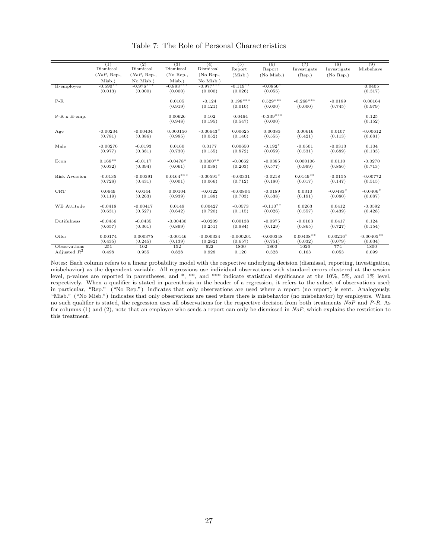<span id="page-60-0"></span>

|                | (1)<br>Dismissal      | $\overline{(2)}$<br>Dismissal | (3)<br>Dismissal       | (4)<br>Dismissal       | (5)<br>Report         | (6)<br>Report         | (7)<br>Investigate | (8)<br>Investigate | (9)<br>Misbehave  |
|----------------|-----------------------|-------------------------------|------------------------|------------------------|-----------------------|-----------------------|--------------------|--------------------|-------------------|
|                | (NoP, Rep.,           | (NoP, Rep.,                   | (No Rep.,              | (No Rep.,              | (Misb.)               | (No Misb.)            | (Rep.)             | (No Rep.)          |                   |
|                | Misb.)                | No Misb.)                     | Misb.)                 | No Misb.)              |                       |                       |                    |                    |                   |
| H-employee     | $-0.590**$<br>(0.013) | $-0.976***$<br>(0.000)        | $-0.893***$<br>(0.000) | $-0.977***$<br>(0.000) | $-0.119**$<br>(0.026) | $-0.0850*$<br>(0.055) |                    |                    | 0.0405<br>(0.317) |
|                |                       |                               |                        |                        |                       |                       |                    |                    |                   |
| $P-R$          |                       |                               | 0.0105                 | $-0.124$               | $0.198***$            | $0.529***$            | $-0.268***$        | $-0.0189$          | 0.00164           |
|                |                       |                               | (0.919)                | (0.121)                | (0.010)               | (0.000)               | (0.000)            | (0.745)            | (0.979)           |
| P-R x H-emp.   |                       |                               | 0.00626                | 0.102                  | 0.0464                | $-0.339***$           |                    |                    | 0.125             |
|                |                       |                               | (0.948)                | (0.195)                | (0.547)               | (0.000)               |                    |                    | (0.152)           |
| Age            | $-0.00234$            | $-0.00404$                    | 0.000156               | $-0.00643*$            | 0.00625               | 0.00383               | 0.00616            | 0.0107             | $-0.00612$        |
|                | (0.781)               | (0.386)                       | (0.985)                | (0.052)                | (0.140)               | (0.555)               | (0.421)            | (0.113)            | (0.681)           |
| Male           | $-0.00270$            | $-0.0193$                     | 0.0160                 | 0.0177                 | 0.00650               | $-0.192*$             | $-0.0501$          | $-0.0313$          | 0.104             |
|                | (0.977)               | (0.381)                       | (0.730)                | (0.155)                | (0.872)               | (0.059)               | (0.531)            | (0.689)            | (0.133)           |
| Econ           | $0.168**$             | $-0.0117$                     | $-0.0478*$             | $0.0300**$             | $-0.0662$             | $-0.0385$             | 0.000106           | 0.0110             | $-0.0270$         |
|                | (0.032)               | (0.394)                       | (0.061)                | (0.038)                | (0.203)               | (0.577)               | (0.999)            | (0.856)            | (0.713)           |
| Risk Aversion  | $-0.0135$             | $-0.00391$                    | $0.0164***$            | $-0.00591*$            | $-0.00331$            | $-0.0218$             | $0.0149**$         | $-0.0155$          | $-0.00772$        |
|                | (0.728)               | (0.431)                       | (0.001)                | (0.066)                | (0.712)               | (0.180)               | (0.017)            | (0.147)            | (0.515)           |
| CRT            | 0.0649                | 0.0144                        | 0.00104                | $-0.0122$              | $-0.00804$            | $-0.0189$             | 0.0310             | $-0.0483*$         | $-0.0406*$        |
|                | (0.119)               | (0.263)                       | (0.939)                | (0.188)                | (0.703)               | (0.538)               | (0.191)            | (0.080)            | (0.087)           |
| WB Attitude    | $-0.0418$             | $-0.00417$                    | 0.0149                 | 0.00427                | $-0.0573$             | $-0.110**$            | 0.0263             | 0.0412             | $-0.0592$         |
|                | (0.631)               | (0.527)                       | (0.642)                | (0.720)                | (0.115)               | (0.026)               | (0.557)            | (0.439)            | (0.428)           |
| Dutifulness    | $-0.0456$             | $-0.0435$                     | $-0.00430$             | $-0.0209$              | 0.00138               | $-0.0975$             | $-0.0103$          | 0.0417             | 0.124             |
|                | (0.657)               | (0.361)                       | (0.899)                | (0.251)                | (0.984)               | (0.129)               | (0.865)            | (0.727)            | (0.154)           |
| Offer          | 0.00174               | 0.000375                      | $-0.00146$             | $-0.000334$            | $-0.000201$           | $-0.000348$           | $0.00408**$        | $0.00216*$         | $-0.00405**$      |
|                | (0.435)               | (0.245)                       | (0.139)                | (0.282)                | (0.657)               | (0.751)               | (0.032)            | (0.079)            | (0.034)           |
| Observations   | 251                   | 102                           | 152                    | 622                    | 1800                  | 1800                  | 1026               | 774                | 1800              |
| Adjusted $R^2$ | 0.498                 | 0.955                         | 0.828                  | 0.928                  | 0.120                 | 0.328                 | 0.163              | 0.053              | 0.099             |

Table 7: The Role of Personal Characteristics

Notes: Each column refers to a linear probability model with the respective underlying decision (dismissal, reporting, investigation, misbehavior) as the dependent variable. All regressions use individual observations with standard errors clustered at the session level, p-values are reported in parentheses, and \*, \*\*, and \*\*\* indicate statistical significance at the 10%, 5%, and 1% level, respectively. When a qualifier is stated in parenthesis in the header of a regression, it refers to the subset of observations used; in particular, "Rep." ("No Rep.") indicates that only observations are used where a report (no report) is sent. Analogously, "Misb." ("No Misb.") indicates that only observations are used where there is misbehavior (no misbehavior) by employers. When no such qualifier is stated, the regression uses all observations for the respective decision from both treatments NoP and P-R. As for columns (1) and (2), note that an employee who sends a report can only be dismissed in  $NoP$ , which explains the restriction to this treatment.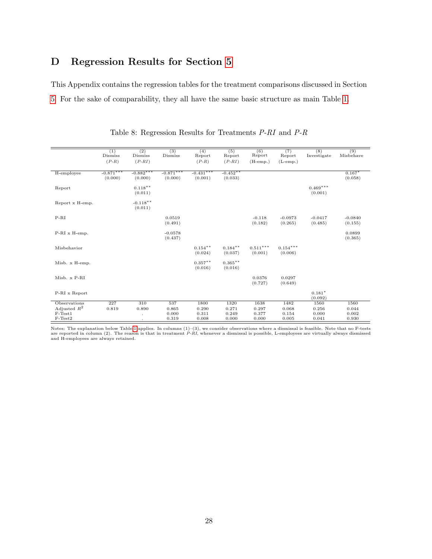## <span id="page-61-1"></span>D Regression Results for Section [5](#page-20-0)

This Appendix contains the regression tables for the treatment comparisons discussed in Section [5.](#page-20-0) For the sake of comparability, they all have the same basic structure as main Table [1.](#page-17-0)

<span id="page-61-0"></span>

|                 | (1)<br>Dismiss         | (2)<br>Dismiss         | (3)<br>Dismiss         | (4)<br>Report          | (5)<br>Report         | (6)<br>Report         | (7)<br>Report         | (8)<br>Investigate    | (9)<br>Misbehave     |
|-----------------|------------------------|------------------------|------------------------|------------------------|-----------------------|-----------------------|-----------------------|-----------------------|----------------------|
|                 | $(P-R)$                | $(P-RI)$               |                        | $(P-R)$                | $(P-RI)$              | $(H-emp.)$            | $(L-emp.)$            |                       |                      |
| H-employee      | $-0.871***$<br>(0.000) | $-0.882***$<br>(0.000) | $-0.871***$<br>(0.000) | $-0.431***$<br>(0.001) | $-0.452**$<br>(0.033) |                       |                       |                       | $0.167*$<br>(0.058)  |
| Report          |                        | $0.118**$<br>(0.011)   |                        |                        |                       |                       |                       | $0.469***$<br>(0.001) |                      |
| Report x H-emp. |                        | $-0.118**$<br>(0.011)  |                        |                        |                       |                       |                       |                       |                      |
| $P-RI$          |                        |                        | 0.0519<br>(0.491)      |                        |                       | $-0.118$<br>(0.182)   | $-0.0973$<br>(0.265)  | $-0.0417$<br>(0.485)  | $-0.0840$<br>(0.155) |
| P-RI x H-emp.   |                        |                        | $-0.0578$<br>(0.437)   |                        |                       |                       |                       |                       | 0.0899<br>(0.365)    |
| Misbehavior     |                        |                        |                        | $0.154**$<br>(0.024)   | $0.184**$<br>(0.037)  | $0.511***$<br>(0.001) | $0.154***$<br>(0.006) |                       |                      |
| Misb. x H-emp.  |                        |                        |                        | $0.357***$<br>(0.016)  | $0.365**$<br>(0.016)  |                       |                       |                       |                      |
| Misb. x P-RI    |                        |                        |                        |                        |                       | 0.0376<br>(0.727)     | 0.0297<br>(0.649)     |                       |                      |
| P-RI x Report   |                        |                        |                        |                        |                       |                       |                       | $0.181*$<br>(0.092)   |                      |
| Observations    | 227                    | 310                    | 537                    | 1800                   | 1320                  | 1638                  | 1482                  | 1560                  | 1560                 |
| Adjusted $R^2$  | 0.819                  | 0.890                  | 0.865                  | 0.290                  | 0.271                 | 0.297                 | 0.068                 | 0.256                 | 0.044                |
| $F-Test1$       |                        |                        | 0.000                  | 0.311                  | 0.249                 | 0.377                 | 0.154                 | 0.000                 | 0.002                |
| $F-Test2$       |                        |                        | 0.319                  | 0.008                  | 0.000                 | 0.000                 | 0.005                 | 0.041                 | 0.930                |

Table 8: Regression Results for Treatments P-RI and P-R

Notes: The explanation below Table [1](#page-17-0) applies. In columns (1)–(3), we consider observations where a dismissal is feasible. Note that no F-tests<br>are reported in column (2). The reason is that in treatment *P-RI*, whenever a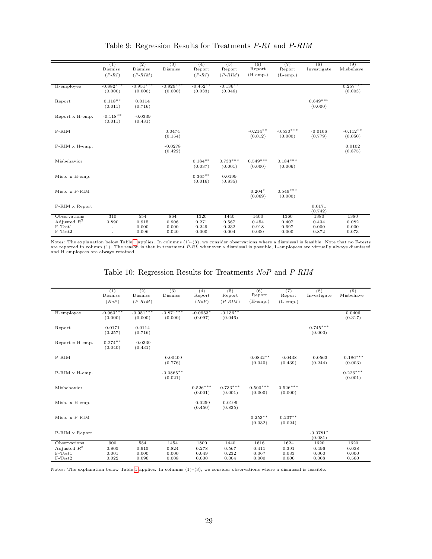<span id="page-62-0"></span>

|                 | (1)         | $\overline{(2)}$ | $\overline{(3)}$ | (4)        | $\overline{(5)}$ | (6)        | (7)         | (8)         | (9)        |
|-----------------|-------------|------------------|------------------|------------|------------------|------------|-------------|-------------|------------|
|                 | Dismiss     | Dismiss          | Dismiss          | Report     | Report           | Report     | Report      | Investigate | Misbehave  |
|                 | $(P-RI)$    | $(P-RIM)$        |                  | $(P-RI)$   | $(P-RIM)$        | $(H-emp.)$ | $(L-emp.)$  |             |            |
|                 |             |                  |                  |            |                  |            |             |             |            |
| H-employee      | $-0.882***$ | $-0.951***$      | $-0.929***$      | $-0.452**$ | $-0.136**$       |            |             |             | $0.257***$ |
|                 | (0.000)     | (0.000)          | (0.000)          | (0.033)    | (0.046)          |            |             |             | (0.003)    |
| Report          | $0.118**$   | 0.0114           |                  |            |                  |            |             | $0.649***$  |            |
|                 | (0.011)     | (0.716)          |                  |            |                  |            |             | (0.000)     |            |
|                 |             |                  |                  |            |                  |            |             |             |            |
| Report x H-emp. | $-0.118**$  | $-0.0339$        |                  |            |                  |            |             |             |            |
|                 | (0.011)     | (0.431)          |                  |            |                  |            |             |             |            |
| $P-RIM$         |             |                  | 0.0474           |            |                  | $-0.214**$ | $-0.530***$ | $-0.0106$   | $-0.112**$ |
|                 |             |                  | (0.154)          |            |                  | (0.012)    | (0.000)     | (0.779)     | (0.050)    |
|                 |             |                  |                  |            |                  |            |             |             |            |
| P-RIM x H-emp.  |             |                  | $-0.0278$        |            |                  |            |             |             | 0.0102     |
|                 |             |                  | (0.422)          |            |                  |            |             |             | (0.875)    |
| Misbehavior     |             |                  |                  | $0.184***$ | $0.733***$       | $0.549***$ | $0.184***$  |             |            |
|                 |             |                  |                  | (0.037)    | (0.001)          | (0.000)    | (0.006)     |             |            |
|                 |             |                  |                  |            |                  |            |             |             |            |
| Misb. x H-emp.  |             |                  |                  | $0.365***$ | 0.0199           |            |             |             |            |
|                 |             |                  |                  | (0.016)    | (0.835)          |            |             |             |            |
| $Misb. x P-RIM$ |             |                  |                  |            |                  | $0.204*$   | $0.549***$  |             |            |
|                 |             |                  |                  |            |                  | (0.069)    | (0.000)     |             |            |
|                 |             |                  |                  |            |                  |            |             |             |            |
| P-RIM x Report  |             |                  |                  |            |                  |            |             | 0.0171      |            |
|                 |             |                  |                  |            |                  |            |             | (0.742)     |            |
| Observations    | 310         | 554              | 864              | 1320       | 1440             | 1400       | 1360        | 1380        | 1380       |
| Adjusted $R^2$  | 0.890       | 0.915            | 0.906            | 0.271      | 0.567            | 0.454      | 0.407       | 0.434       | 0.082      |
| $F-Test1$       |             | 0.000            | 0.000            | 0.249      | 0.232            | 0.918      | 0.697       | 0.000       | 0.000      |
| $F-Test2$       | $\epsilon$  | 0.096            | 0.040            | 0.000      | 0.004            | 0.000      | 0.000       | 0.872       | 0.073      |

### Table 9: Regression Results for Treatments P-RI and P-RIM

Notes: The explanation below Table [1](#page-17-0) applies. In columns (1)–(3), we consider observations where a dismissal is feasible. Note that no F-tests<br>are reported in column (1). The reason is that in treatment *P-RI*, whenever a

<span id="page-62-1"></span>

|                 | (1)              | (2)                  | (3)         | (4)             | (5)                 | (6)                  | (7)                  | (8)                   | (9)         |
|-----------------|------------------|----------------------|-------------|-----------------|---------------------|----------------------|----------------------|-----------------------|-------------|
|                 | Dismiss<br>(NoP) | Dismiss<br>$(P-RIM)$ | Dismiss     | Report<br>(NoP) | Report<br>$(P-RIM)$ | Report<br>$(H-emp.)$ | Report<br>$(L-emp.)$ | Investigate           | Misbehave   |
|                 |                  |                      |             |                 |                     |                      |                      |                       |             |
| H-employee      | $-0.963***$      | $-0.951***$          | $-0.871***$ | $-0.0953*$      | $-0.136**$          |                      |                      |                       | 0.0406      |
|                 | (0.000)          | (0.000)              | (0.000)     | (0.097)         | (0.046)             |                      |                      |                       | (0.317)     |
| Report          | 0.0171           | 0.0114               |             |                 |                     |                      |                      | $0.745***$            |             |
|                 | (0.257)          | (0.716)              |             |                 |                     |                      |                      | (0.000)               |             |
| Report x H-emp. | $0.274***$       | $-0.0339$            |             |                 |                     |                      |                      |                       |             |
|                 | (0.040)          | (0.431)              |             |                 |                     |                      |                      |                       |             |
| $P-RIM$         |                  |                      | $-0.00409$  |                 |                     | $-0.0842**$          | $-0.0438$            | $-0.0563$             | $-0.186***$ |
|                 |                  |                      | (0.776)     |                 |                     | (0.040)              | (0.439)              | (0.244)               | (0.003)     |
| P-RIM x H-emp.  |                  |                      | $-0.0865**$ |                 |                     |                      |                      |                       | $0.226***$  |
|                 |                  |                      | (0.021)     |                 |                     |                      |                      |                       | (0.001)     |
| Misbehavior     |                  |                      |             | $0.526***$      | $0.733***$          | $0.500***$           | $0.526***$           |                       |             |
|                 |                  |                      |             | (0.001)         | (0.001)             | (0.000)              | (0.000)              |                       |             |
| Misb. x H-emp.  |                  |                      |             | $-0.0259$       | 0.0199              |                      |                      |                       |             |
|                 |                  |                      |             | (0.450)         | (0.835)             |                      |                      |                       |             |
| $Mish. x P-RIM$ |                  |                      |             |                 |                     | $0.253**$            | $0.207**$            |                       |             |
|                 |                  |                      |             |                 |                     | (0.032)              | (0.024)              |                       |             |
|                 |                  |                      |             |                 |                     |                      |                      |                       |             |
| P-RIM x Report  |                  |                      |             |                 |                     |                      |                      | $-0.0781*$<br>(0.081) |             |
| Observations    | 900              | 554                  | 1454        | 1800            | 1440                | 1616                 | 1624                 | 1620                  | 1620        |
| Adjusted $R^2$  | 0.805            | 0.915                | 0.824       | 0.278           | 0.567               | 0.411                | 0.391                | 0.496                 | 0.038       |
| $F-Test1$       | 0.001            | 0.000                | 0.000       | 0.049           | 0.232               | 0.067                | 0.033                | 0.000                 | 0.000       |
| $F-Test2$       | 0.022            | 0.096                | 0.008       | 0.000           | 0.004               | 0.000                | 0.000                | 0.008                 | 0.560       |

|  |  |  |  |  | Table 10: Regression Results for Treatments NoP and P-RIM |  |  |  |  |
|--|--|--|--|--|-----------------------------------------------------------|--|--|--|--|
|--|--|--|--|--|-----------------------------------------------------------|--|--|--|--|

Notes: The explanation below Table [1](#page-17-0) applies. In columns (1)–(3), we consider observations where a dismissal is feasible.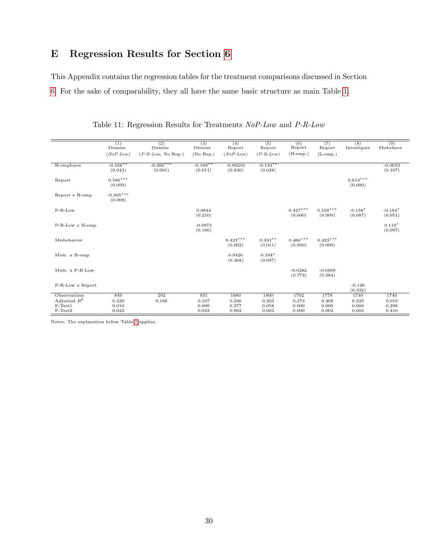# <span id="page-63-0"></span>E Regression Results for Section [6](#page-23-0)

This Appendix contains the regression tables for the treatment comparisons discussed in Section [6.](#page-23-0) For the sake of comparability, they all have the same basic structure as main Table [1.](#page-17-0)

<span id="page-63-1"></span>

|                  | (1)<br>Dismiss         | $\overline{(2)}$<br>Dismiss | $\overline{(3)}$<br>Dismiss | (4)<br>Report         | $\overline{(5)}$<br>Report | $\overline{(6)}$<br>Report | (7)<br>Report         | $\overline{(8)}$<br>Investigate | $\overline{(9)}$<br>Misbehave |
|------------------|------------------------|-----------------------------|-----------------------------|-----------------------|----------------------------|----------------------------|-----------------------|---------------------------------|-------------------------------|
|                  | $(NoP-Low)$            | $(P-R-Low, No Rep.)$        | (No Rep.)                   | $(NoP-Low)$           | $(P-R-Low)$                | $(H-emp.)$                 | $(L-emp.)$            |                                 |                               |
| H-employee       | $-0.168**$<br>(0.043)  | $-0.266***$<br>(0.001)      | $-0.168***$<br>(0.011)      | $-0.00216$<br>(0.830) | $-0.134***$<br>(0.038)     |                            |                       |                                 | $-0.0633$<br>(0.167)          |
| Report           | $0.586***$<br>(0.000)  |                             |                             |                       |                            |                            |                       | $0.613***$<br>(0.000)           |                               |
| Report x H-emp.  | $-0.305***$<br>(0.009) |                             |                             |                       |                            |                            |                       |                                 |                               |
| $P-R-Low$        |                        |                             | 0.0844<br>(0.210)           |                       |                            | $0.427***$<br>(0.000)      | $0.559***$<br>(0.000) | $-0.158*$<br>(0.087)            | $-0.184*$<br>(0.051)          |
| P-R-Low x H-emp. |                        |                             | $-0.0973$<br>(0.166)        |                       |                            |                            |                       |                                 | $0.110*$<br>(0.097)           |
| Misbehavior      |                        |                             |                             | $0.423***$<br>(0.002) | $0.333**$<br>(0.011)       | $0.466***$<br>(0.000)      | $0.423***$<br>(0.000) |                                 |                               |
| Misb. x H-emp.   |                        |                             |                             | 0.0426<br>(0.368)     | $0.104*$<br>(0.097)        |                            |                       |                                 |                               |
| Misb. x P-R-Low  |                        |                             |                             |                       |                            | $-0.0282$<br>(0.773)       | $-0.0899$<br>(0.384)  |                                 |                               |
| P-R-Low x Report |                        |                             |                             |                       |                            |                            |                       | $-0.126$<br>(0.332)             |                               |
| Observations     | 840                    | 292                         | 931                         | 1680                  | 1800                       | 1702                       | 1778                  | 1740                            | 1740                          |
| Adjusted $R^2$   | 0.320                  | 0.166                       | 0.107                       | 0.246                 | 0.203                      | 0.373                      | 0.408                 | 0.239                           | 0.019                         |
| $F-Test1$        | 0.010                  |                             | 0.000                       | 0.377                 | 0.058                      | 0.000                      | 0.000                 | 0.000                           | 0.296                         |
| $F-Test2$        | 0.023                  |                             | 0.043                       | 0.002                 | 0.003                      | 0.000                      | 0.002                 | 0.003                           | 0.410                         |

Table 11: Regression Results for Treatments NoP-Low and P-R-Low

Notes: The explanation below Table [1](#page-17-0) applies.